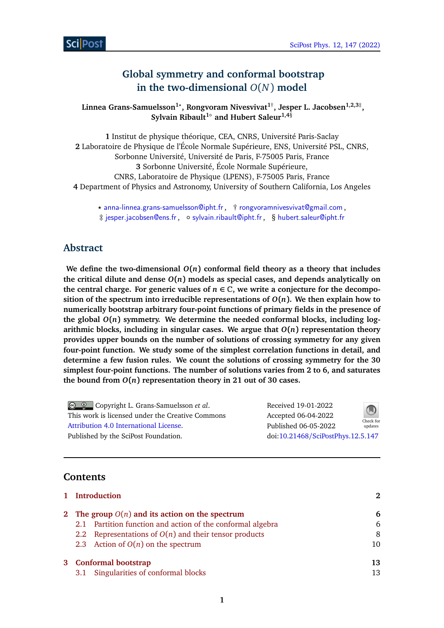# **Global symmetry and conformal bootstrap in the two-dimensional** *O*(*N*) **model**

**Linnea Grans-Samuelsson1***?* **, Rongvoram Nivesvivat1**† **, Jesper L. Jacobsen1,2,3**‡ **, Sylvain Ribault1**◦ **and Hubert Saleur1,4**§

 Institut de physique théorique, CEA, CNRS, Université Paris-Saclay Laboratoire de Physique de l'École Normale Supérieure, ENS, Université PSL, CNRS, Sorbonne Université, Université de Paris, F-75005 Paris, France Sorbonne Université, École Normale Supérieure, CNRS, Laboratoire de Physique (LPENS), F-75005 Paris, France Department of Physics and Astronomy, University of Southern California, Los Angeles

*?* [anna-linnea.grans-samuelsson@ipht.fr](mailto:anna-linnea.grans-samuelsson@ipht.fr) , † [rongvoramnivesvivat@gmail.com](mailto:rongvoramnivesvivat@gmail.com) , ‡ [jesper.jacobsen@ens.fr](mailto:jesper.jacobsen@ens.fr) , ◦ [sylvain.ribault@ipht.fr](mailto:sylvain.ribault@ipht.fr) , § [hubert.saleur@ipht.fr](mailto:hubert.saleur@ipht.fr)

# **Abstract**

We define the two-dimensional  $O(n)$  conformal field theory as a theory that includes the critical dilute and dense  $O(n)$  models as special cases, and depends analytically on the central charge. For generic values of  $n \in \mathbb{C}$ , we write a conjecture for the decompo**sition of the spectrum into irreducible representations of**  $O(n)$ **. We then explain how to numerically bootstrap arbitrary four-point functions of primary fields in the presence of the global** *O***(***n***) symmetry. We determine the needed conformal blocks, including logarithmic blocks, including in singular cases. We argue that** *O***(***n***) representation theory provides upper bounds on the number of solutions of crossing symmetry for any given four-point function. We study some of the simplest correlation functions in detail, and determine a few fusion rules. We count the solutions of crossing symmetry for the 30 simplest four-point functions. The number of solutions varies from 2 to 6, and saturates** the bound from  $O(n)$  representation theory in 21 out of 30 cases.

| $\bigcirc$ $\bigcirc$ Copyright L. Grans-Samuelsson <i>et al.</i> | Received 19-01-2022               | $\bigcirc$ |
|-------------------------------------------------------------------|-----------------------------------|------------|
| This work is licensed under the Creative Commons                  | Accepted 06-04-2022               | Check for  |
| Attribution 4.0 International License.                            | Published 06-05-2022              | updates    |
| Published by the SciPost Foundation.                              | doi:10.21468/SciPostPhys.12.5.147 |            |
|                                                                   |                                   |            |

# **Contents**

| 1 Introduction                                             |    |  |  |
|------------------------------------------------------------|----|--|--|
| 2 The group $O(n)$ and its action on the spectrum          | 6  |  |  |
| 2.1 Partition function and action of the conformal algebra | 6  |  |  |
| 2.2 Representations of $O(n)$ and their tensor products    | 8  |  |  |
| 2.3 Action of $O(n)$ on the spectrum                       | 10 |  |  |
| 3 Conformal bootstrap                                      | 13 |  |  |
| 3.1 Singularities of conformal blocks                      | 13 |  |  |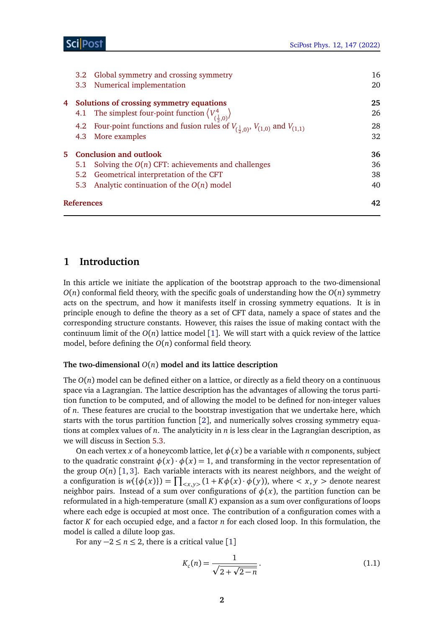|    | Global symmetry and crossing symmetry<br>3.2 <sub>1</sub>                                     | 16 |
|----|-----------------------------------------------------------------------------------------------|----|
|    | 3.3 Numerical implementation                                                                  | 20 |
| 4  | Solutions of crossing symmetry equations                                                      | 25 |
|    | 4.1 The simplest four-point function $\left\langle V^4_{(\frac{1}{2},0)} \right\rangle$       | 26 |
|    | 4.2 Four-point functions and fusion rules of $V_{(\frac{1}{2},0)}, V_{(1,0)}$ and $V_{(1,1)}$ | 28 |
|    | More examples<br>4.3                                                                          | 32 |
| 5. | <b>Conclusion and outlook</b>                                                                 | 36 |
|    | Solving the $O(n)$ CFT: achievements and challenges<br>5.1                                    | 36 |
|    | Geometrical interpretation of the CFT<br>5.2                                                  | 38 |
|    | Analytic continuation of the $O(n)$ model<br>5.3                                              | 40 |
|    | References                                                                                    | 42 |
|    |                                                                                               |    |

## <span id="page-1-0"></span>**1 Introduction**

In this article we initiate the application of the bootstrap approach to the two-dimensional  $O(n)$  conformal field theory, with the specific goals of understanding how the  $O(n)$  symmetry acts on the spectrum, and how it manifests itself in crossing symmetry equations. It is in principle enough to define the theory as a set of CFT data, namely a space of states and the corresponding structure constants. However, this raises the issue of making contact with the continuum limit of the  $O(n)$  lattice model [[1](#page-41-0)]. We will start with a quick review of the lattice model, before defining the  $O(n)$  conformal field theory.

## **The two-dimensional** *O*(*n*) **model and its lattice description**

The  $O(n)$  model can be defined either on a lattice, or directly as a field theory on a continuous space via a Lagrangian. The lattice description has the advantages of allowing the torus partition function to be computed, and of allowing the model to be defined for non-integer values of *n*. These features are crucial to the bootstrap investigation that we undertake here, which starts with the torus partition function [[2](#page-41-1)], and numerically solves crossing symmetry equations at complex values of *n*. The analyticity in *n* is less clear in the Lagrangian description, as we will discuss in Section [5.3.](#page-39-0)

On each vertex *x* of a honeycomb lattice, let  $\phi(x)$  be a variable with *n* components, subject to the quadratic constraint  $\phi(x) \cdot \phi(x) = 1$ , and transforming in the vector representation of the group  $O(n)$  [[1,](#page-41-0) [3](#page-41-2)]. Each variable interacts with its nearest neighbors, and the weight of a configuration is  $w({\phi(x)}) = \prod_{\langle x,y \rangle} (1 + K\phi(x) \cdot \phi(y))$ , where  $\langle x, y \rangle$  denote nearest neighbor pairs. Instead of a sum over configurations of  $\phi(x)$ , the partition function can be reformulated in a high-temperature (small *K*) expansion as a sum over configurations of loops where each edge is occupied at most once. The contribution of a configuration comes with a factor *K* for each occupied edge, and a factor *n* for each closed loop. In this formulation, the model is called a dilute loop gas.

For any  $-2 \le n \le 2$ , there is a critical value [[1](#page-41-0)]

<span id="page-1-1"></span>
$$
K_c(n) = \frac{1}{\sqrt{2 + \sqrt{2 - n}}}.
$$
\n(1.1)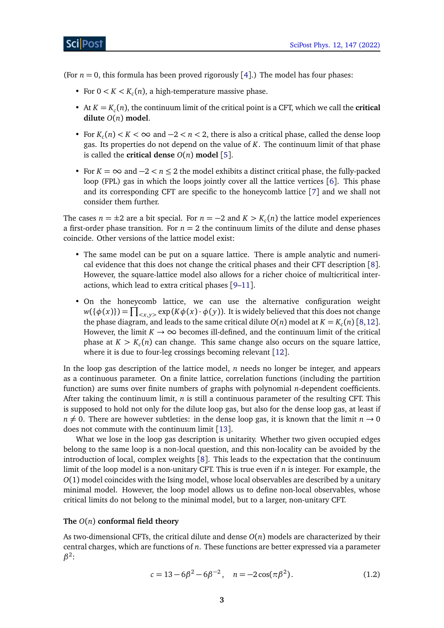**ScilPost** 

(For  $n = 0$ , this formula has been proved rigorously [[4](#page-41-3)].) The model has four phases:

- For  $0 < K < K_c(n)$ , a high-temperature massive phase.
- At  $K = K_c(n)$ , the continuum limit of the critical point is a CFT, which we call the **critical dilute** *O*(*n*) **model**.
- For  $K_c(n) < K < \infty$  and  $-2 < n < 2$ , there is also a critical phase, called the dense loop gas. Its properties do not depend on the value of *K*. The continuum limit of that phase is called the **critical dense**  $O(n)$  model [[5](#page-41-4)].
- For *K* = ∞ and −2 *< n* ≤ 2 the model exhibits a distinct critical phase, the fully-packed loop (FPL) gas in which the loops jointly cover all the lattice vertices [[6](#page-41-5)]. This phase and its corresponding CFT are specific to the honeycomb lattice [[7](#page-41-6)] and we shall not consider them further.

The cases  $n = \pm 2$  are a bit special. For  $n = -2$  and  $K > K_c(n)$  the lattice model experiences a first-order phase transition. For  $n = 2$  the continuum limits of the dilute and dense phases coincide. Other versions of the lattice model exist:

- The same model can be put on a square lattice. There is ample analytic and numerical evidence that this does not change the critical phases and their CFT description [[8](#page-42-0)]. However, the square-lattice model also allows for a richer choice of multicritical interactions, which lead to extra critical phases [[9–](#page-42-1)[11](#page-42-2)].
- On the honeycomb lattice, we can use the alternative configuration weight  $w(\{\phi(x)\}) = \prod_{} \exp(K\phi(x) \cdot \phi(y))$ . It is widely believed that this does not change the phase diagram, and leads to the same critical dilute  $O(n)$  model at  $K = K_c(n)$  [[8,](#page-42-0)[12](#page-42-3)]. However, the limit  $K \to \infty$  becomes ill-defined, and the continuum limit of the critical phase at *K > K<sup>c</sup>* (*n*) can change. This same change also occurs on the square lattice, where it is due to four-leg crossings becoming relevant [[12](#page-42-3)].

In the loop gas description of the lattice model, *n* needs no longer be integer, and appears as a continuous parameter. On a finite lattice, correlation functions (including the partition function) are sums over finite numbers of graphs with polynomial *n*-dependent coefficients. After taking the continuum limit, *n* is still a continuous parameter of the resulting CFT. This is supposed to hold not only for the dilute loop gas, but also for the dense loop gas, at least if  $n \neq 0$ . There are however subtleties: in the dense loop gas, it is known that the limit  $n \rightarrow 0$ does not commute with the continuum limit [[13](#page-42-4)].

What we lose in the loop gas description is unitarity. Whether two given occupied edges belong to the same loop is a non-local question, and this non-locality can be avoided by the introduction of local, complex weights [[8](#page-42-0)]. This leads to the expectation that the continuum limit of the loop model is a non-unitary CFT. This is true even if *n* is integer. For example, the *O*(1) model coincides with the Ising model, whose local observables are described by a unitary minimal model. However, the loop model allows us to define non-local observables, whose critical limits do not belong to the minimal model, but to a larger, non-unitary CFT.

## **The** *O*(*n*) **conformal field theory**

As two-dimensional CFTs, the critical dilute and dense *O*(*n*) models are characterized by their central charges, which are functions of *n*. These functions are better expressed via a parameter *β* 2 :

$$
c = 13 - 6\beta^2 - 6\beta^{-2}, \quad n = -2\cos(\pi\beta^2). \tag{1.2}
$$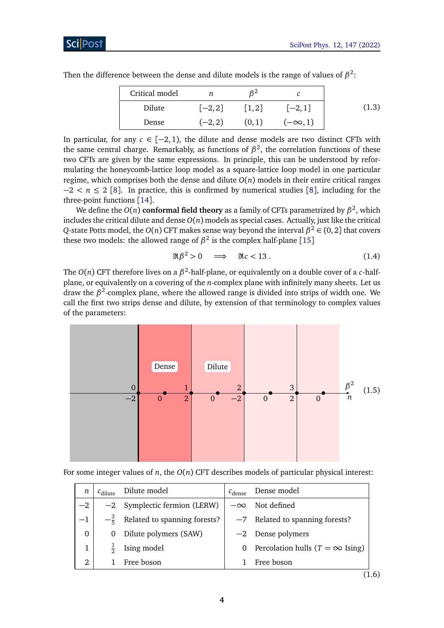| Critical model |           | β2                   |                |       |
|----------------|-----------|----------------------|----------------|-------|
| Dilute         | $[-2, 2]$ | $\lceil 1, 2 \rceil$ | $[-2, 1]$      | (1.3) |
| Dense          | $(-2, 2)$ | (0,1)                | $(-\infty, 1)$ |       |

Then the difference between the dense and dilute models is the range of values of  $\beta^2$ :

In particular, for any  $c \in [-2, 1)$ , the dilute and dense models are two distinct CFTs with the same central charge. Remarkably, as functions of  $\beta^2$ , the correlation functions of these two CFTs are given by the same expressions. In principle, this can be understood by reformulating the honeycomb-lattice loop model as a square-lattice loop model in one particular regime, which comprises both the dense and dilute  $O(n)$  models in their entire critical ranges −2 *< n* ≤ 2 [[8](#page-42-0)]. In practice, this is confirmed by numerical studies [[8](#page-42-0)], including for the three-point functions [[14](#page-42-5)].

We define the  $O(n)$  conformal field theory as a family of CFTs parametrized by  $\beta^2$ , which includes the critical dilute and dense  $O(n)$  models as special cases. Actually, just like the critical *Q*-state Potts model, the *O*(*n*) CFT makes sense way beyond the interval  $\beta^2 \in (0, 2]$  that covers these two models: the allowed range of  $\beta^2$  is the complex half-plane [[15](#page-42-6)]

<span id="page-3-1"></span><span id="page-3-0"></span>
$$
\Re \beta^2 > 0 \quad \Longrightarrow \quad \Re c < 13 \,. \tag{1.4}
$$

The  $O(n)$  CFT therefore lives on a  $\beta^2$ -half-plane, or equivalently on a double cover of a *c*-halfplane, or equivalently on a covering of the *n*-complex plane with infinitely many sheets. Let us draw the *β* 2 -complex plane, where the allowed range is divided into strips of width one. We call the first two strips dense and dilute, by extension of that terminology to complex values of the parameters:



For some integer values of *n*, the *O*(*n*) CFT describes models of particular physical interest:

| п              | $c_{\text{dilute}}$ | Dilute model                   | $c_{\text{dense}}$ | Dense model                             |
|----------------|---------------------|--------------------------------|--------------------|-----------------------------------------|
| $-2$           |                     | $-2$ Symplectic fermion (LERW) |                    | $-\infty$ Not defined                   |
| $-1$           | $-\frac{3}{5}$      | Related to spanning forests?   |                    | $-7$ Related to spanning forests?       |
| $\overline{0}$ | 0                   | Dilute polymers (SAW)          |                    | $-2$ Dense polymers                     |
| 1              | ≑                   | Ising model                    | 0                  | Percolation hulls ( $T = \infty$ Ising) |
| 2              |                     | Free boson                     |                    | Free boson                              |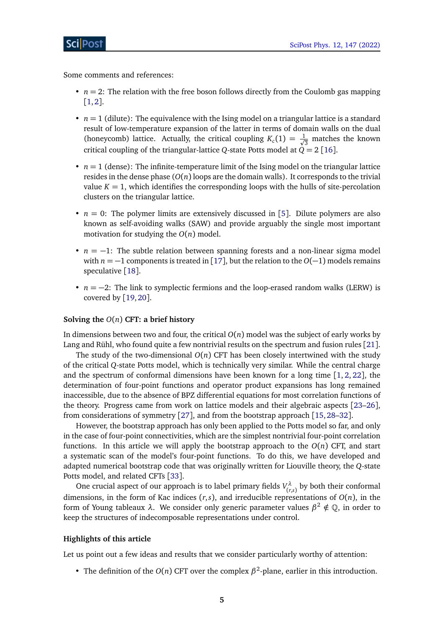Some comments and references:

- $\bullet$  *n* = 2: The relation with the free boson follows directly from the Coulomb gas mapping [[1,](#page-41-0)[2](#page-41-1)].
- $n = 1$  (dilute): The equivalence with the Ising model on a triangular lattice is a standard result of low-temperature expansion of the latter in terms of domain walls on the dual (honeycomb) lattice. Actually, the critical coupling  $K_c(1) = \frac{1}{\sqrt{2}}$  $\frac{1}{3}$  matches the known critical coupling of the triangular-lattice *Q*-state Potts model at  $\dot{Q} = 2$  [[16](#page-42-7)].
- $\bullet$   $n=1$  (dense): The infinite-temperature limit of the Ising model on the triangular lattice resides in the dense phase  $O(n)$  loops are the domain walls). It corresponds to the trivial value  $K = 1$ , which identifies the corresponding loops with the hulls of site-percolation clusters on the triangular lattice.
- $n = 0$ : The polymer limits are extensively discussed in [[5](#page-41-4)]. Dilute polymers are also known as self-avoiding walks (SAW) and provide arguably the single most important motivation for studying the *O*(*n*) model.
- *n* = −1: The subtle relation between spanning forests and a non-linear sigma model with *n* = −1 components is treated in [[17](#page-42-8)], but the relation to the  $O(-1)$  models remains speculative [[18](#page-42-9)].
- *n* = −2: The link to symplectic fermions and the loop-erased random walks (LERW) is covered by [[19,](#page-42-10)[20](#page-42-11)].

#### **Solving the** *O*(*n*) **CFT: a brief history**

In dimensions between two and four, the critical  $O(n)$  model was the subject of early works by Lang and Rühl, who found quite a few nontrivial results on the spectrum and fusion rules [[21](#page-42-12)].

The study of the two-dimensional  $O(n)$  CFT has been closely intertwined with the study of the critical *Q*-state Potts model, which is technically very similar. While the central charge and the spectrum of conformal dimensions have been known for a long time [[1,](#page-41-0) [2,](#page-41-1) [22](#page-42-13)], the determination of four-point functions and operator product expansions has long remained inaccessible, due to the absence of BPZ differential equations for most correlation functions of the theory. Progress came from work on lattice models and their algebraic aspects [[23](#page-42-14)[–26](#page-43-0)], from considerations of symmetry [[27](#page-43-1)], and from the bootstrap approach [[15,](#page-42-6)[28](#page-43-2)[–32](#page-43-3)].

However, the bootstrap approach has only been applied to the Potts model so far, and only in the case of four-point connectivities, which are the simplest nontrivial four-point correlation functions. In this article we will apply the bootstrap approach to the  $O(n)$  CFT, and start a systematic scan of the model's four-point functions. To do this, we have developed and adapted numerical bootstrap code that was originally written for Liouville theory, the *Q*-state Potts model, and related CFTs [[33](#page-43-4)].

One crucial aspect of our approach is to label primary fields  $V_{cr}^{\lambda}$  $\binom{n}{r,s}$  by both their conformal dimensions, in the form of Kac indices  $(r, s)$ , and irreducible representations of  $O(n)$ , in the form of Young tableaux *λ*. We consider only generic parameter values *β* <sup>2</sup> ∈*/* Q, in order to keep the structures of indecomposable representations under control.

### **Highlights of this article**

Let us point out a few ideas and results that we consider particularly worthy of attention:

• The definition of the  $O(n)$  CFT over the complex  $\beta^2$ -plane, earlier in this introduction.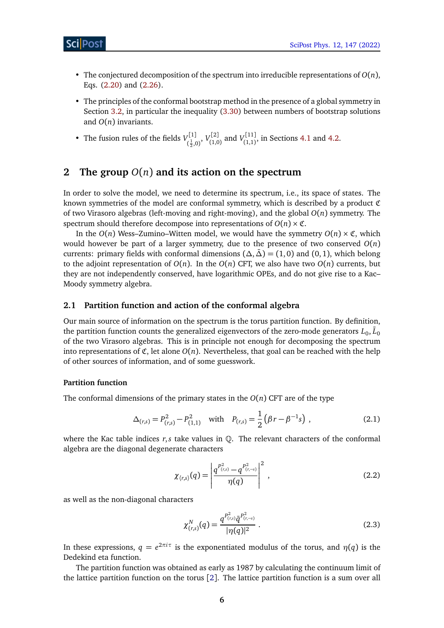- The conjectured decomposition of the spectrum into irreducible representations of *O*(*n*), Eqs. [\(2.20\)](#page-10-0) and [\(2.26\)](#page-11-0).
- The principles of the conformal bootstrap method in the presence of a global symmetry in Section [3.2,](#page-15-0) in particular the inequality [\(3.30\)](#page-18-0) between numbers of bootstrap solutions and *O*(*n*) invariants.

• The fusion rules of the fields  $V_{c1}^{[1]}$ ,[1]<br><sub>( $\frac{1}{2}$ ,0)</sub>,  $V^{[2]}_{(1,0)}$  $V^{[2]}_{(1,0)}$  and  $V^{[11]}_{(1,1)}$  $T_{(1,1)}^{(1,1)}$ , in Sections [4.1](#page-25-0) and [4.2.](#page-27-0)

# <span id="page-5-0"></span>**2 The group** *O*(*n*) **and its action on the spectrum**

In order to solve the model, we need to determine its spectrum, i.e., its space of states. The known symmetries of the model are conformal symmetry, which is described by a product C of two Virasoro algebras (left-moving and right-moving), and the global *O*(*n*) symmetry. The spectrum should therefore decompose into representations of  $O(n) \times \mathfrak{C}$ .

In the  $O(n)$  Wess–Zumino–Witten model, we would have the symmetry  $O(n) \times \mathfrak{C}$ , which would however be part of a larger symmetry, due to the presence of two conserved *O*(*n*) currents: primary fields with conformal dimensions  $(\Delta, \bar{\Delta}) = (1, 0)$  and  $(0, 1)$ , which belong to the adjoint representation of  $O(n)$ . In the  $O(n)$  CFT, we also have two  $O(n)$  currents, but they are not independently conserved, have logarithmic OPEs, and do not give rise to a Kac– Moody symmetry algebra.

## <span id="page-5-1"></span>**2.1 Partition function and action of the conformal algebra**

Our main source of information on the spectrum is the torus partition function. By definition, the partition function counts the generalized eigenvectors of the zero-mode generators  $L_0, {\bar L}_0$ of the two Virasoro algebras. This is in principle not enough for decomposing the spectrum into representations of  $\mathfrak{C}$ , let alone  $O(n)$ . Nevertheless, that goal can be reached with the help of other sources of information, and of some guesswork.

## **Partition function**

The conformal dimensions of the primary states in the  $O(n)$  CFT are of the type

$$
\Delta_{(r,s)} = P_{(r,s)}^2 - P_{(1,1)}^2 \quad \text{with} \quad P_{(r,s)} = \frac{1}{2} \left( \beta r - \beta^{-1} s \right) \,, \tag{2.1}
$$

where the Kac table indices  $r, s$  take values in  $\mathbb{Q}$ . The relevant characters of the conformal algebra are the diagonal degenerate characters

<span id="page-5-2"></span>
$$
\chi_{\langle r,s\rangle}(q) = \left| \frac{q^{P_{(r,s)}^2} - q^{P_{(r,-s)}^2}}{\eta(q)} \right|^2,
$$
\n(2.2)

as well as the non-diagonal characters

<span id="page-5-4"></span><span id="page-5-3"></span>
$$
\chi_{(r,s)}^N(q) = \frac{q^{P_{(r,s)}^2} \bar{q}^{P_{(r,-s)}^2}}{|\eta(q)|^2} \ . \tag{2.3}
$$

In these expressions,  $q = e^{2\pi i \tau}$  is the exponentiated modulus of the torus, and  $\eta(q)$  is the Dedekind eta function.

The partition function was obtained as early as 1987 by calculating the continuum limit of the lattice partition function on the torus [[2](#page-41-1)]. The lattice partition function is a sum over all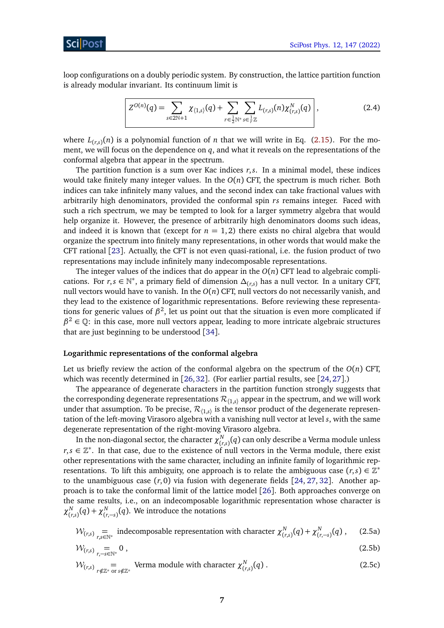loop configurations on a doubly periodic system. By construction, the lattice partition function is already modular invariant. Its continuum limit is

<span id="page-6-0"></span>
$$
Z^{O(n)}(q) = \sum_{s \in 2\mathbb{N}+1} \chi_{\langle 1,s \rangle}(q) + \sum_{r \in \frac{1}{2}\mathbb{N}^*} \sum_{s \in \frac{1}{r}\mathbb{Z}} L_{(r,s)}(n) \chi_{(r,s)}^N(q) \Bigg|, \tag{2.4}
$$

where  $L_{(r,s)}(n)$  is a polynomial function of *n* that we will write in Eq. [\(2.15\)](#page-9-1). For the moment, we will focus on the dependence on *q*, and what it reveals on the representations of the conformal algebra that appear in the spectrum.

The partition function is a sum over Kac indices *r*,*s*. In a minimal model, these indices would take finitely many integer values. In the *O*(*n*) CFT, the spectrum is much richer. Both indices can take infinitely many values, and the second index can take fractional values with arbitrarily high denominators, provided the conformal spin *rs* remains integer. Faced with such a rich spectrum, we may be tempted to look for a larger symmetry algebra that would help organize it. However, the presence of arbitrarily high denominators dooms such ideas, and indeed it is known that (except for  $n = 1, 2$ ) there exists no chiral algebra that would organize the spectrum into finitely many representations, in other words that would make the CFT rational [[23](#page-42-14)]. Actually, the CFT is not even quasi-rational, i.e. the fusion product of two representations may include infinitely many indecomposable representations.

The integer values of the indices that do appear in the  $O(n)$  CFT lead to algebraic complications. For *r*,*s* ∈ N<sup>\*</sup>, a primary field of dimension  $\Delta_{(r,s)}$  has a null vector. In a unitary CFT, null vectors would have to vanish. In the *O*(*n*) CFT, null vectors do not necessarily vanish, and they lead to the existence of logarithmic representations. Before reviewing these representations for generic values of  $\beta^2$ , let us point out that the situation is even more complicated if  $\beta^2 \in \mathbb{Q}$ : in this case, more null vectors appear, leading to more intricate algebraic structures that are just beginning to be understood [[34](#page-43-5)].

#### **Logarithmic representations of the conformal algebra**

Let us briefly review the action of the conformal algebra on the spectrum of the  $O(n)$  CFT, which was recently determined in [[26,](#page-43-0)[32](#page-43-3)]. (For earlier partial results, see [[24,](#page-42-15)[27](#page-43-1)].)

The appearance of degenerate characters in the partition function strongly suggests that the corresponding degenerate representations  $\mathcal{R}_{(1,s)}$  appear in the spectrum, and we will work under that assumption. To be precise,  $\mathcal{R}_{\langle 1,s\rangle}$  is the tensor product of the degenerate representation of the left-moving Virasoro algebra with a vanishing null vector at level *s*, with the same degenerate representation of the right-moving Virasoro algebra.

In the non-diagonal sector, the character  $\chi^N_{\alpha}$  $C_{(r,s)}^N(q)$  can only describe a Verma module unless *r*, *s* ∈  $\mathbb{Z}^*$ . In that case, due to the existence of null vectors in the Verma module, there exist other representations with the same character, including an infinite family of logarithmic representations. To lift this ambiguity, one approach is to relate the ambiguous case  $(r, s) \in \mathbb{Z}^*$ to the unambiguous case  $(r, 0)$  via fusion with degenerate fields  $[24, 27, 32]$  $[24, 27, 32]$  $[24, 27, 32]$  $[24, 27, 32]$  $[24, 27, 32]$  $[24, 27, 32]$  $[24, 27, 32]$ . Another approach is to take the conformal limit of the lattice model [[26](#page-43-0)]. Both approaches converge on the same results, i.e., on an indecomposable logarithmic representation whose character is *χ N*  $\chi_{(r,s)}^N(q) + \chi_{(r,-s)}^N(q)$ . We introduce the notations

$$
\mathcal{W}_{(r,s)} = \text{ indecomposable representation with character } \chi^N_{(r,s)}(q) + \chi^N_{(r,-s)}(q) \,,\tag{2.5a}
$$

$$
\mathcal{W}_{(r,s)} = 0 \tag{2.5b}
$$

$$
\mathcal{W}_{(r,s)} = \text{Verma module with character } \chi^N_{(r,s)}(q) \,. \tag{2.5c}
$$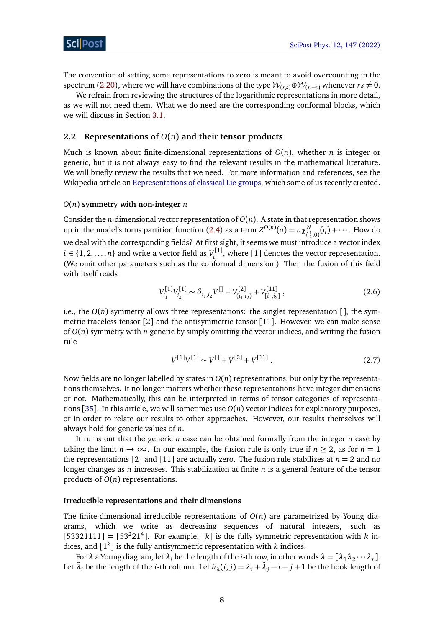The convention of setting some representations to zero is meant to avoid overcounting in the spectrum [\(2.20\)](#page-10-0), where we will have combinations of the type  $W_{(r,s)} \oplus W_{(r,-s)}$  whenever  $rs \neq 0$ .

We refrain from reviewing the structures of the logarithmic representations in more detail, as we will not need them. What we do need are the corresponding conformal blocks, which we will discuss in Section [3.1.](#page-12-1)

## <span id="page-7-0"></span>**2.2 Representations of** *O*(*n*) **and their tensor products**

Much is known about finite-dimensional representations of *O*(*n*), whether *n* is integer or generic, but it is not always easy to find the relevant results in the mathematical literature. We will briefly review the results that we need. For more information and references, see the Wikipedia article on [Representations of classical Lie groups,](https://en.wikipedia.org/wiki/Representations_of_classical_Lie_groups) which some of us recently created.

#### *O*(*n*) **symmetry with non-integer** *n*

Consider the *n*-dimensional vector representation of  $O(n)$ . A state in that representation shows up in the model's torus partition function [\(2.4\)](#page-6-0) as a term  $Z^{O(n)}(q) = n \chi^N$  $\frac{N}{(\frac{1}{2},0)}(q) + \cdots$ . How do 2 we deal with the corresponding fields? At first sight, it seems we must introduce a vector index *i* ∈ {1, 2, . . . , *n*} and write a vector field as  $V_i^{[1]}$  $\mathbf{z}_i^{\text{rel}}$ , where [1] denotes the vector representation. (We omit other parameters such as the conformal dimension.) Then the fusion of this field with itself reads

<span id="page-7-1"></span>
$$
V_{i_1}^{[1]} V_{i_2}^{[1]} \sim \delta_{i_1, i_2} V^{[1]} + V_{(i_1, i_2)}^{[2]} + V_{[i_1, i_2]}^{[11]}, \qquad (2.6)
$$

i.e., the  $O(n)$  symmetry allows three representations: the singlet representation  $\lceil \cdot \rceil$ , the symmetric traceless tensor  $\lceil 2 \rceil$  and the antisymmetric tensor  $\lceil 11 \rceil$ . However, we can make sense of  $O(n)$  symmetry with *n* generic by simply omitting the vector indices, and writing the fusion rule

$$
V^{[1]}V^{[1]} \sim V^{[1]} + V^{[2]} + V^{[11]} \tag{2.7}
$$

Now fields are no longer labelled by states in *O*(*n*) representations, but only by the representations themselves. It no longer matters whether these representations have integer dimensions or not. Mathematically, this can be interpreted in terms of tensor categories of representations [[35](#page-43-6)]. In this article, we will sometimes use *O*(*n*) vector indices for explanatory purposes, or in order to relate our results to other approaches. However, our results themselves will always hold for generic values of *n*.

It turns out that the generic *n* case can be obtained formally from the integer *n* case by taking the limit  $n \to \infty$ . In our example, the fusion rule is only true if  $n \geq 2$ , as for  $n = 1$ the representations [2] and [11] are actually zero. The fusion rule stabilizes at  $n = 2$  and no longer changes as *n* increases. This stabilization at finite *n* is a general feature of the tensor products of *O*(*n*) representations.

## **Irreducible representations and their dimensions**

The finite-dimensional irreducible representations of *O*(*n*) are parametrized by Young diagrams, which we write as decreasing sequences of natural integers, such as  $[53321111] = [53<sup>2</sup>21<sup>4</sup>]$ . For example, [k] is the fully symmetric representation with *k* indices, and [1 *k* ] is the fully antisymmetric representation with *k* indices.

For  $\lambda$  a Young diagram, let  $\lambda_i$  be the length of the *i*-th row, in other words  $\lambda = [\lambda_1 \lambda_2 \cdots \lambda_r]$ . Let  $\tilde{\lambda}_i$  be the length of the *i*-th column. Let  $h_\lambda(i,j) = \lambda_i + \tilde{\lambda}_j - i - j + 1$  be the hook length of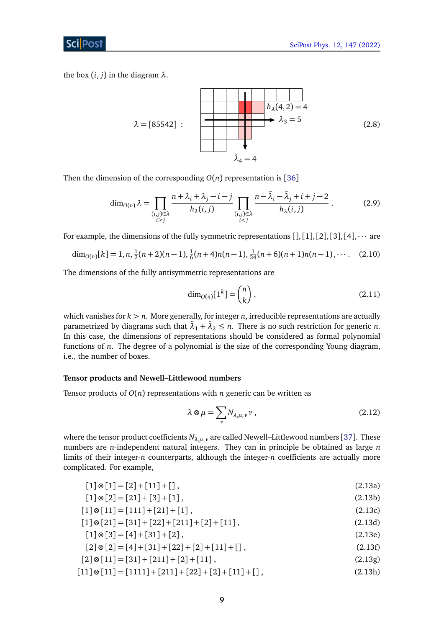ScilPos<sup>.</sup>

the box  $(i, j)$  in the diagram  $\lambda$ .

<span id="page-8-1"></span>
$$
\lambda = [85542]:
$$
\n
$$
\lambda_3 = 5
$$
\n
$$
\lambda_4 = 4
$$
\n(2.8)

Then the dimension of the corresponding  $O(n)$  representation is [[36](#page-43-7)]

$$
\dim_{O(n)} \lambda = \prod_{\substack{(i,j)\in\lambda\\i\geq j}} \frac{n+\lambda_i+\lambda_j-i-j}{h_{\lambda}(i,j)} \prod_{\substack{(i,j)\in\lambda\\i (2.9)
$$

For example, the dimensions of the fully symmetric representations  $[], [1], [2], [3], [4], \cdots$  are

$$
\dim_{O(n)}[k] = 1, n, \frac{1}{2}(n+2)(n-1), \frac{1}{6}(n+4)n(n-1), \frac{1}{24}(n+6)(n+1)n(n-1), \cdots
$$
 (2.10)

The dimensions of the fully antisymmetric representations are

<span id="page-8-0"></span>
$$
\dim_{O(n)}[1^k] = \binom{n}{k},\tag{2.11}
$$

which vanishes for *k > n*. More generally, for integer *n*, irreducible representations are actually parametrized by diagrams such that  $\tilde{\lambda}_1 + \tilde{\lambda}_2 \le n$ . There is no such restriction for generic *n*. In this case, the dimensions of representations should be considered as formal polynomial functions of *n*. The degree of a polynomial is the size of the corresponding Young diagram, i.e., the number of boxes.

## **Tensor products and Newell–Littlewood numbers**

Tensor products of *O*(*n*) representations with *n* generic can be written as

$$
\lambda \otimes \mu = \sum_{\nu} N_{\lambda,\mu,\nu} \nu , \qquad (2.12)
$$

where the tensor product coefficients  $N_{\lambda,\mu,\nu}$  are called Newell–Littlewood numbers [[37](#page-43-8)]. These numbers are *n*-independent natural integers. They can in principle be obtained as large *n* limits of their integer-*n* counterparts, although the integer-*n* coefficients are actually more complicated. For example,

$$
[1] \otimes [1] = [2] + [11] + []\,,\tag{2.13a}
$$

$$
[1] \otimes [2] = [21] + [3] + [1], \tag{2.13b}
$$

$$
[1] \otimes [11] = [111] + [21] + [1], \tag{2.13c}
$$

$$
[1] \otimes [21] = [31] + [22] + [211] + [2] + [11], \tag{2.13d}
$$

$$
[1] \otimes [3] = [4] + [31] + [2], \tag{2.13e}
$$

$$
[2] \otimes [2] = [4] + [31] + [22] + [2] + [11] + []\,,\tag{2.13f}
$$

$$
[2] \otimes [11] = [31] + [211] + [2] + [11], \tag{2.13g}
$$

$$
[11] \otimes [11] = [1111] + [211] + [22] + [2] + [11] + []\,,\tag{2.13h}
$$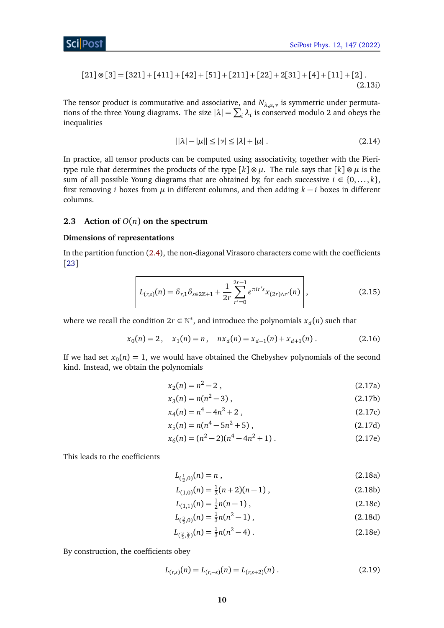$$
[21] \otimes [3] = [321] + [411] + [42] + [51] + [211] + [22] + 2[31] + [4] + [11] + [2].
$$
\n
$$
(2.13i)
$$

The tensor product is commutative and associative, and *Nλ*,*µ*,*<sup>ν</sup>* is symmetric under permutations of the three Young diagrams. The size  $|\lambda| = \sum_i \lambda_i$  is conserved modulo 2 and obeys the inequalities

$$
||\lambda| - |\mu|| \le |\nu| \le |\lambda| + |\mu| \,. \tag{2.14}
$$

In practice, all tensor products can be computed using associativity, together with the Pieritype rule that determines the products of the type  $[k] \otimes \mu$ . The rule says that  $[k] \otimes \mu$  is the sum of all possible Young diagrams that are obtained by, for each successive  $i \in \{0, \ldots, k\}$ , first removing *i* boxes from  $\mu$  in different columns, and then adding  $k - i$  boxes in different columns.

## <span id="page-9-0"></span>**2.3 Action of**  $O(n)$  **on the spectrum**

## **Dimensions of representations**

In the partition function [\(2.4\)](#page-6-0), the non-diagonal Virasoro characters come with the coefficients [[23](#page-42-14)]

$$
L_{(r,s)}(n) = \delta_{r,1} \delta_{s \in 2\mathbb{Z}+1} + \frac{1}{2r} \sum_{r'=0}^{2r-1} e^{\pi i r' s} x_{(2r)\wedge r'}(n) \Bigg|, \tag{2.15}
$$

where we recall the condition  $2r \in \mathbb{N}^*$ , and introduce the polynomials  $x_d(n)$  such that

$$
x_0(n) = 2, \quad x_1(n) = n, \quad nx_d(n) = x_{d-1}(n) + x_{d+1}(n) \,. \tag{2.16}
$$

If we had set  $x_0(n) = 1$ , we would have obtained the Chebyshev polynomials of the second kind. Instead, we obtain the polynomials

<span id="page-9-1"></span>
$$
x_2(n) = n^2 - 2 \tag{2.17a}
$$

$$
x_3(n) = n(n^2 - 3), \tag{2.17b}
$$

$$
x_4(n) = n^4 - 4n^2 + 2 \tag{2.17c}
$$

$$
x_5(n) = n(n^4 - 5n^2 + 5),
$$
 (2.17d)

$$
x_6(n) = (n^2 - 2)(n^4 - 4n^2 + 1).
$$
 (2.17e)

This leads to the coefficients

$$
L_{(\frac{1}{2},0)}(n) = n \tag{2.18a}
$$

$$
L_{(1,0)}(n) = \frac{1}{2}(n+2)(n-1) \tag{2.18b}
$$

$$
L_{(1,1)}(n) = \frac{1}{2}n(n-1),
$$
\n(2.18c)

$$
L_{(\frac{3}{2},0)}(n) = \frac{1}{3}n(n^2 - 1),
$$
\n(2.18d)

$$
L_{(\frac{3}{2},\frac{2}{3})}(n) = \frac{1}{3}n(n^2 - 4) \tag{2.18e}
$$

By construction, the coefficients obey

$$
L_{(r,s)}(n) = L_{(r,-s)}(n) = L_{(r,s+2)}(n) . \tag{2.19}
$$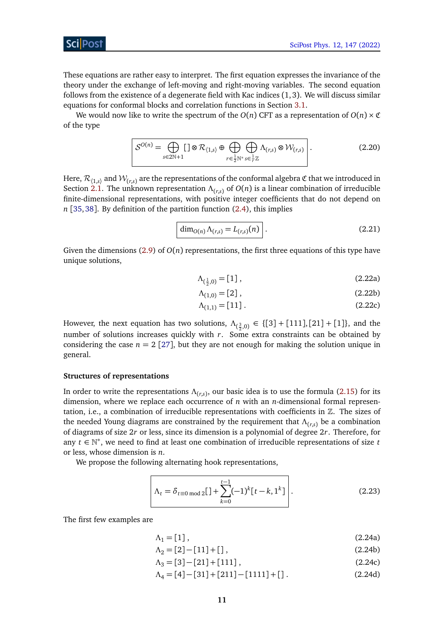These equations are rather easy to interpret. The first equation expresses the invariance of the theory under the exchange of left-moving and right-moving variables. The second equation follows from the existence of a degenerate field with Kac indices (1, 3). We will discuss similar equations for conformal blocks and correlation functions in Section [3.1.](#page-12-1)

We would now like to write the spectrum of the  $O(n)$  CFT as a representation of  $O(n) \times \mathfrak{C}$ of the type

$$
\mathcal{S}^{O(n)} = \bigoplus_{s \in 2\mathbb{N}+1} [\ ] \otimes \mathcal{R}_{\langle 1,s \rangle} \oplus \bigoplus_{r \in \frac{1}{2}\mathbb{N}^*} \bigoplus_{s \in \frac{1}{r}\mathbb{Z}} \Lambda_{(r,s)} \otimes \mathcal{W}_{(r,s)} \Bigg| \,.
$$

Here,  $\mathcal{R}_{(1,s)}$  and  $\mathcal{W}_{(r,s)}$  are the representations of the conformal algebra  $\mathfrak C$  that we introduced in Section [2.1.](#page-5-1) The unknown representation *Λ*(*r*,*s*) of *O*(*n*) is a linear combination of irreducible finite-dimensional representations, with positive integer coefficients that do not depend on *n* [[35,](#page-43-6)[38](#page-43-9)]. By definition of the partition function [\(2.4\)](#page-6-0), this implies

<span id="page-10-0"></span>
$$
\dim_{O(n)} \Lambda_{(r,s)} = L_{(r,s)}(n) . \tag{2.21}
$$

Given the dimensions [\(2.9\)](#page-8-0) of  $O(n)$  representations, the first three equations of this type have unique solutions,

<span id="page-10-1"></span>
$$
\Lambda_{(\frac{1}{2},0)} = [1], \tag{2.22a}
$$

$$
\Lambda_{(1,0)} = [2], \tag{2.22b}
$$

$$
\Lambda_{(1,1)} = [11]. \tag{2.22c}
$$

However, the next equation has two solutions,  $\Lambda_{(\frac{3}{2},0)} \in \{[3] + [111], [21] + [1]\}$ , and the number of solutions increases quickly with *r*. Some extra constraints can be obtained by considering the case  $n = 2$  [[27](#page-43-1)], but they are not enough for making the solution unique in general.

#### **Structures of representations**

In order to write the representations *Λ*(*r*,*s*) , our basic idea is to use the formula [\(2.15\)](#page-9-1) for its dimension, where we replace each occurrence of *n* with an *n*-dimensional formal representation, i.e., a combination of irreducible representations with coefficients in  $\mathbb Z$ . The sizes of the needed Young diagrams are constrained by the requirement that *Λ*(*r*,*s*) be a combination of diagrams of size 2*r* or less, since its dimension is a polynomial of degree 2*r*. Therefore, for any *t* ∈ N ∗ , we need to find at least one combination of irreducible representations of size *t* or less, whose dimension is *n*.

We propose the following alternating hook representations,

$$
\lambda_t = \delta_{t \equiv 0 \mod 2} [1 + \sum_{k=0}^{t-1} (-1)^k [t-k, 1^k] \Bigg].
$$
 (2.23)

The first few examples are

$$
\Lambda_1 = [1], \tag{2.24a}
$$

$$
\Lambda_2 = [2] - [11] + [] , \tag{2.24b}
$$

$$
\Lambda_3 = [3] - [21] + [111], \tag{2.24c}
$$

$$
\Lambda_4 = [4] - [31] + [211] - [1111] + [] \tag{2.24d}
$$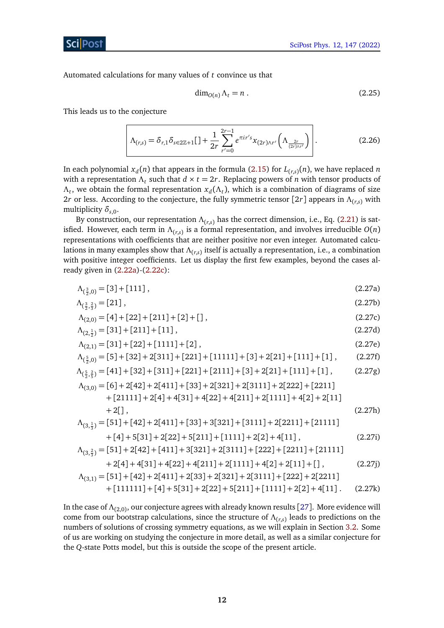Automated calculations for many values of *t* convince us that

<span id="page-11-0"></span>
$$
\dim_{O(n)} \Lambda_t = n . \tag{2.25}
$$

This leads us to the conjecture

$$
\Lambda_{(r,s)} = \delta_{r,1} \delta_{s \in 2\mathbb{Z}+1} [1 + \frac{1}{2r} \sum_{r'=0}^{2r-1} e^{\pi i r' s} x_{(2r)\wedge r'} \left( \Lambda_{\frac{2r}{(2r)\wedge r'}} \right) \Bigg| \,. \tag{2.26}
$$

In each polynomial  $x_d(n)$  that appears in the formula [\(2.15\)](#page-9-1) for  $L_{(r,s)}(n)$ , we have replaced  $n$ with a representation  $\Lambda_t$  such that  $d \times t = 2r$ . Replacing powers of *n* with tensor products of  $Λ$ <sub>*t*</sub>, we obtain the formal representation  $x_d(Λ_t)$ , which is a combination of diagrams of size 2*r* or less. According to the conjecture, the fully symmetric tensor [2*r*] appears in *Λ*(*r*,*s*) with multiplicity *δs*,0.

By construction, our representation *Λ*(*r*,*s*) has the correct dimension, i.e., Eq. [\(2.21\)](#page-10-1) is satisfied. However, each term in *Λ*(*r*,*s*) is a formal representation, and involves irreducible *O*(*n*) representations with coefficients that are neither positive nor even integer. Automated calculations in many examples show that  $\Lambda_{(r,s)}$  itself is actually a representation, i.e., a combination with positive integer coefficients. Let us display the first few examples, beyond the cases already given in [\(2.22a\)](#page-5-2)-[\(2.22c\)](#page-5-3):

<span id="page-11-1"></span>
$$
\Lambda_{(\frac{3}{2},0)} = [3] + [111],\tag{2.27a}
$$

$$
\Lambda_{(\frac{3}{2},\frac{2}{3})} = [21],\tag{2.27b}
$$

$$
\Lambda_{(2,0)} = [4] + [22] + [211] + [2] + []\,,\tag{2.27c}
$$

$$
\Lambda_{(2,\frac{1}{2})} = [31] + [211] + [11],\tag{2.27d}
$$

$$
\Lambda_{(2,1)} = [31] + [22] + [1111] + [2],
$$
\n
$$
\Lambda_{(2,1)} = [51 + [32] + 2[311] + [221] + [11111] + [3] + 2[21] + [1111] + [1]
$$
\n
$$
(2.276)
$$
\n
$$
(2.276)
$$

$$
\Lambda_{(\frac{5}{2},0)} = [5] + [32] + 2[311] + [221] + [11111] + [3] + 2[21] + [111] + [1],
$$
\n(2.27f)  
\n
$$
\Lambda_{(\frac{5}{2},\frac{2}{5})} = [41] + [32] + [311] + [221] + [2111] + [3] + 2[21] + [111] + [1],
$$
\n(2.27g)  
\n
$$
\Lambda_{(\frac{5}{2},\frac{2}{5})} = [41] + [32] + [311] + [221] + [2111] + [3] + 2[2111] + [111] + [111]
$$

$$
\Lambda_{(3,0)} = [6] + 2[42] + 2[411] + [33] + 2[321] + 2[3111] + 2[222] + [2211] \n+ [21111] + 2[4] + 4[31] + 4[22] + 4[211] + 2[1111] + 4[2] + 2[11] \n+ 2[]
$$
\n
$$
\Lambda_{(3,\frac{1}{3})} = [51] + [42] + 2[411] + [33] + 3[321] + [3111] + 2[2211] + [21111]
$$
\n(2.27h)

$$
+ [4] + 5[31] + 2[22] + 5[211] + [1111] + 2[2] + 4[11],
$$
 (2.27i)  
\n $- [511] + 2[42] + [411] + 2[221] + 2[2111] + [222] + [2211] + [21111] + [21111]$ 

$$
\Lambda_{(3,\frac{2}{3})} = [51] + 2[42] + [411] + 3[321] + 2[3111] + [222] + [2211] + [21111] \n+ 2[4] + 4[31] + 4[22] + 4[211] + 2[1111] + 4[2] + 2[11] + [] ,
$$
\n(2.27j)

$$
\Lambda_{(3,1)} = [51] + [42] + 2[411] + 2[33] + 2[321] + 2[3111] + [222] + 2[2211] \n+ [111111] + [4] + 5[31] + 2[22] + 5[211] + [1111] + 2[2] + 4[11].
$$
\n(2.27k)

In the case of  $\Lambda_{(2,0)}$ , our conjecture agrees with already known results [[27](#page-43-1)]. More evidence will come from our bootstrap calculations, since the structure of *Λ*(*r*,*s*) leads to predictions on the numbers of solutions of crossing symmetry equations, as we will explain in Section [3.2.](#page-15-0) Some of us are working on studying the conjecture in more detail, as well as a similar conjecture for the *Q*-state Potts model, but this is outside the scope of the present article.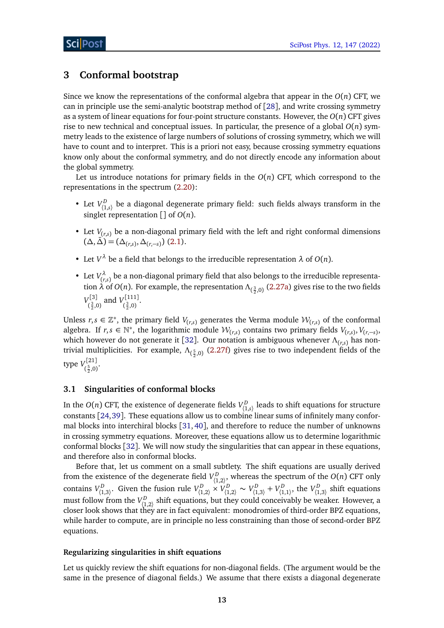# <span id="page-12-0"></span>**3 Conformal bootstrap**

Since we know the representations of the conformal algebra that appear in the  $O(n)$  CFT, we can in principle use the semi-analytic bootstrap method of [[28](#page-43-2)], and write crossing symmetry as a system of linear equations for four-point structure constants. However, the *O*(*n*) CFT gives rise to new technical and conceptual issues. In particular, the presence of a global  $O(n)$  symmetry leads to the existence of large numbers of solutions of crossing symmetry, which we will have to count and to interpret. This is a priori not easy, because crossing symmetry equations know only about the conformal symmetry, and do not directly encode any information about the global symmetry.

Let us introduce notations for primary fields in the  $O(n)$  CFT, which correspond to the representations in the spectrum [\(2.20\)](#page-10-0):

- Let  $V^D_{(1,s)}$  be a diagonal degenerate primary field: such fields always transform in the singlet representation [] of *O*(*n*).
- Let  $V_{(r,s)}$  be a non-diagonal primary field with the left and right conformal dimensions  $(\Delta, \bar{\Delta}) = (\Delta_{(r,s)}, \Delta_{(r,-s)})$  [\(2.1\)](#page-5-2).
- Let  $V^{\lambda}$  be a field that belongs to the irreducible representation  $\lambda$  of  $O(n)$ .
- Let  $V_{\text{f}_r}^{\lambda}$  $\mathcal{L}(\mathcal{L}_{(r,s)})$  be a non-diagonal primary field that also belongs to the irreducible representation *λ* of *O*(*n*). For example, the representation  $Λ_{(\frac{3}{2},0)}$  [\(2.27a\)](#page-5-2) gives rise to the two fields  $V_{c3}^{[3]}$  $V^{[3]}_{(\frac{3}{2},0)}$  and  $V^{[111]}_{(\frac{3}{2},0)}$  $\frac{1}{2}$ .0)

Unless  $r, s \in \mathbb{Z}^*$ , the primary field  $V_{(r,s)}$  generates the Verma module  $\mathcal{W}_{(r,s)}$  of the conformal algebra. If  $r, s \in \mathbb{N}^*$ , the logarithmic module  $\mathcal{W}_{(r,s)}$  contains two primary fields  $V_{(r,s)}$ ,  $V_{(r,-s)}$ , which however do not generate it [[32](#page-43-3)]. Our notation is ambiguous whenever *Λ*(*r*,*s*) has nontrivial multiplicities. For example,  $Λ_{(\frac{5}{2},0)}$  [\(2.27f\)](#page-7-1) gives rise to two independent fields of the type *V* [21]  $(\frac{5}{2},0)$ 

## <span id="page-12-1"></span>**3.1 Singularities of conformal blocks**

In the  $O(n)$  CFT, the existence of degenerate fields  $V^D_{\langle 1,s\rangle}$  leads to shift equations for structure constants [[24,](#page-42-15)[39](#page-43-10)]. These equations allow us to combine linear sums of infinitely many conformal blocks into interchiral blocks [[31,](#page-43-11) [40](#page-43-12)], and therefore to reduce the number of unknowns in crossing symmetry equations. Moreover, these equations allow us to determine logarithmic conformal blocks [[32](#page-43-3)]. We will now study the singularities that can appear in these equations, and therefore also in conformal blocks.

Before that, let us comment on a small subtlety. The shift equations are usually derived from the existence of the degenerate field  $V^D_{(1,2)}$ , whereas the spectrum of the *O*(*n*) CFT only contains  $V^D_{(1,3)}$ . Given the fusion rule  $V^D_{(1,2)} \times V^D_{(1,2)} \sim V^D_{(1,3)} + V^D_{(1,1)}$ , the  $V^D_{(1,3)}$  shift equations must follow from the  $V^D_{(1,2)}$  shift equations, but they could conceivably be weaker. However, a closer look shows that they are in fact equivalent: monodromies of third-order BPZ equations, while harder to compute, are in principle no less constraining than those of second-order BPZ equations.

## **Regularizing singularities in shift equations**

Let us quickly review the shift equations for non-diagonal fields. (The argument would be the same in the presence of diagonal fields.) We assume that there exists a diagonal degenerate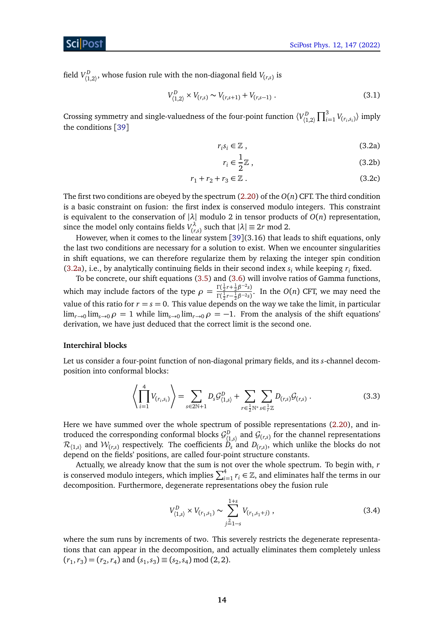## ScilPost

field  $V^D_{(1,2)}$ , whose fusion rule with the non-diagonal field  $V_{(r,s)}$  is

$$
V_{(1,2)}^D \times V_{(r,s)} \sim V_{(r,s+1)} + V_{(r,s-1)} . \tag{3.1}
$$

Crossing symmetry and single-valuedness of the four-point function  $\langle V_{(1,2)}^D \prod_{i=1}^3 V_{(r_i,s_i)} \rangle$  imply the conditions [[39](#page-43-10)]

<span id="page-13-0"></span>
$$
r_i s_i \in \mathbb{Z} \,, \tag{3.2a}
$$

<span id="page-13-2"></span>
$$
r_i \in \frac{1}{2}\mathbb{Z} \,,\tag{3.2b}
$$

$$
r_1 + r_2 + r_3 \in \mathbb{Z} \ . \tag{3.2c}
$$

The first two conditions are obeyed by the spectrum [\(2.20\)](#page-10-0) of the *O*(*n*) CFT. The third condition is a basic constraint on fusion: the first index is conserved modulo integers. This constraint is equivalent to the conservation of |*λ*| modulo 2 in tensor products of *O*(*n*) representation, since the model only contains fields  $V_{\text{tr}}^{\lambda}$  $\binom{n}{r,s}$  such that  $|\lambda| \equiv 2r \mod 2$ .

However, when it comes to the linear system [[39](#page-43-10)](3.16) that leads to shift equations, only the last two conditions are necessary for a solution to exist. When we encounter singularities in shift equations, we can therefore regularize them by relaxing the integer spin condition [\(3.2a\)](#page-13-0), i.e., by analytically continuing fields in their second index  $s_i$  while keeping  $r_i$  fixed.

To be concrete, our shift equations [\(3.5\)](#page-14-0) and [\(3.6\)](#page-14-1) will involve ratios of Gamma functions, which may include factors of the type  $\rho = \frac{\Gamma(\frac{1}{2}r + \frac{1}{2}\beta^{-2}s)}{\Gamma(\frac{1}{2}r - \frac{1}{2}\beta^{-2}s)}$  $\frac{1}{\Gamma(\frac{1}{2}r-\frac{1}{2}\beta^{-2}s)}$ . In the *O*(*n*) CFT, we may need the value of this ratio for  $r = s = 0$ . This value depends on the way we take the limit, in particular  $\lim_{r\to 0}$   $\lim_{s\to 0}$   $\rho = 1$  while  $\lim_{s\to 0}$   $\lim_{r\to 0}$   $\rho = -1$ . From the analysis of the shift equations' derivation, we have just deduced that the correct limit is the second one.

## **Interchiral blocks**

Let us consider a four-point function of non-diagonal primary fields, and its *s*-channel decomposition into conformal blocks:

$$
\left\langle \prod_{i=1}^{4} V_{(r_i, s_i)} \right\rangle = \sum_{s \in 2\mathbb{N}+1} D_s \mathcal{G}_{\langle 1, s \rangle}^D + \sum_{r \in \frac{1}{2}\mathbb{N}^*} \sum_{s \in \frac{1}{r} \mathbb{Z}} D_{(r,s)} \mathcal{G}_{(r,s)} . \tag{3.3}
$$

Here we have summed over the whole spectrum of possible representations [\(2.20\)](#page-10-0), and introduced the corresponding conformal blocks  $\mathcal{G}^D_{(1,s)}$  and  $\mathcal{G}_{(r,s)}$  for the channel representations  $\mathcal{R}_{(1,s)}$  and  $\mathcal{W}_{(r,s)}$  respectively. The coefficients  $D_s$  and  $D_{(r,s)}$ , which unlike the blocks do not depend on the fields' positions, are called four-point structure constants.

Actually, we already know that the sum is not over the whole spectrum. To begin with, *r* is conserved modulo integers, which implies  $\sum_{i=1}^{4} r_i \in \mathbb{Z}$ , and eliminates half the terms in our decomposition. Furthermore, degenerate representations obey the fusion rule

<span id="page-13-1"></span>
$$
V_{\langle 1,s \rangle}^D \times V_{(r_1,s_1)} \sim \sum_{j=1-s}^{1+s} V_{(r_1,s_1+j)}, \qquad (3.4)
$$

where the sum runs by increments of two. This severely restricts the degenerate representations that can appear in the decomposition, and actually eliminates them completely unless  $(r_1, r_3) = (r_2, r_4)$  and  $(s_1, s_3) \equiv (s_2, s_4) \mod (2, 2)$ .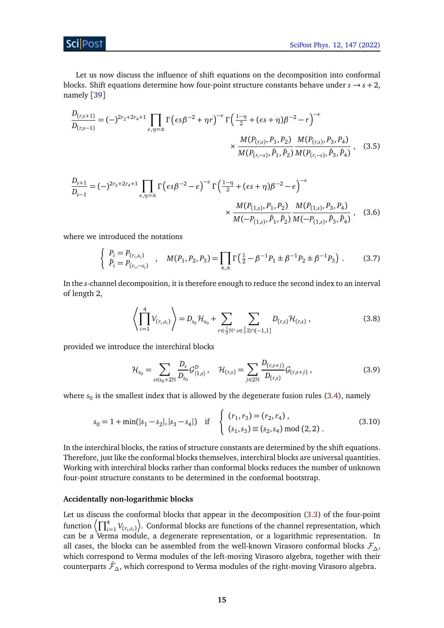ScilPost

Let us now discuss the influence of shift equations on the decomposition into conformal blocks. Shift equations determine how four-point structure constants behave under  $s \rightarrow s + 2$ , namely [[39](#page-43-10)]

$$
\frac{D_{(r,s+1)}}{D_{(r,s-1)}} = (-)^{2r_2 + 2r_4 + 1} \prod_{\epsilon,\eta=\pm} \Gamma\left(\epsilon s \beta^{-2} + \eta r\right)^{-\epsilon} \Gamma\left(\frac{1-\eta}{2} + (\epsilon s + \eta)\beta^{-2} - r\right)^{-\epsilon} \times \frac{M(P_{(r,s)}, P_1, P_2)}{M(P_{(r,-s)}, \bar{P}_1, \bar{P}_2)} \frac{M(P_{(r,s)}, P_3, P_4)}{M(P_{(r,-s)}, \bar{P}_3, \bar{P}_4)}, \quad (3.5)
$$

$$
\frac{D_{s+1}}{D_{s-1}} = (-)^{2r_2 + 2r_4 + 1} \prod_{\epsilon, \eta = \pm} \Gamma\left(\epsilon s \beta^{-2} - \epsilon\right)^{-\epsilon} \Gamma\left(\frac{1-\eta}{2} + (\epsilon s + \eta)\beta^{-2} - \epsilon\right)^{-\epsilon} \times \frac{M(P_{(1,s)}, P_1, P_2)}{M(-P_{(1,s)}, \bar{P}_1, \bar{P}_2)} \frac{M(P_{(1,s)}, P_3, P_4)}{M(-P_{(1,s)}, \bar{P}_1, \bar{P}_2)} , \quad (3.6)
$$

where we introduced the notations

<span id="page-14-0"></span>
$$
\begin{cases}\nP_i = P_{(r_i, s_i)} \\
\bar{P}_i = P_{(r_i, -s_i)}\n\end{cases},\n\quad\nM(P_1, P_2, P_3) = \prod_{\pm, \pm} \Gamma\left(\frac{1}{2} - \beta^{-1}P_1 \pm \beta^{-1}P_2 \pm \beta^{-1}P_3\right). \tag{3.7}
$$

In the *s*-channel decomposition, it is therefore enough to reduce the second index to an interval of length 2,

<span id="page-14-2"></span><span id="page-14-1"></span>
$$
\left\langle \prod_{i=1}^{4} V_{(r_i, s_i)} \right\rangle = D_{s_0} \mathcal{H}_{s_0} + \sum_{r \in \frac{1}{2} \mathbb{N}^*} \sum_{s \in \frac{1}{r} \mathbb{Z} \cap (-1, 1]} D_{(r, s)} \mathcal{H}_{(r, s)}, \tag{3.8}
$$

provided we introduce the interchiral blocks

$$
\mathcal{H}_{s_0} = \sum_{s \in s_0 + 2\mathbb{N}} \frac{D_s}{D_{s_0}} \mathcal{G}_{\langle 1, s \rangle}^D, \quad \mathcal{H}_{(r,s)} = \sum_{j \in 2\mathbb{N}} \frac{D_{(r,s+j)}}{D_{(r,s)}} \mathcal{G}_{(r,s+j)}, \tag{3.9}
$$

where  $s_0$  is the smallest index that is allowed by the degenerate fusion rules  $(3.4)$ , namely

$$
s_0 = 1 + \min(|s_1 - s_2|, |s_3 - s_4|) \quad \text{if} \quad \begin{cases} (r_1, r_3) = (r_2, r_4), \\ (s_1, s_3) \equiv (s_2, s_4) \mod (2, 2). \end{cases} \tag{3.10}
$$

In the interchiral blocks, the ratios of structure constants are determined by the shift equations. Therefore, just like the conformal blocks themselves, interchiral blocks are universal quantities. Working with interchiral blocks rather than conformal blocks reduces the number of unknown four-point structure constants to be determined in the conformal bootstrap.

#### **Accidentally non-logarithmic blocks**

Let us discuss the conformal blocks that appear in the decomposition [\(3.3\)](#page-13-2) of the four-point function  $\left\langle \prod_{i=1}^4 V_{(r_i,s_i)} \right\rangle$ . Conformal blocks are functions of the channel representation, which can be a Verma module, a degenerate representation, or a logarithmic representation. In all cases, the blocks can be assembled from the well-known Virasoro conformal blocks  $\mathcal{F}_{\Lambda}$ , which correspond to Verma modules of the left-moving Virasoro algebra, together with their counterparts F¯*∆*, which correspond to Verma modules of the right-moving Virasoro algebra.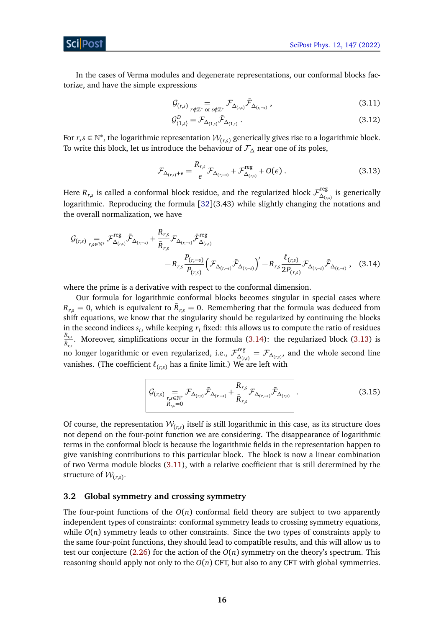

In the cases of Verma modules and degenerate representations, our conformal blocks factorize, and have the simple expressions

$$
\mathcal{G}_{(r,s)}\underset{r \notin \mathbb{Z}^*}{=} \mathcal{F}_{\Delta_{(r,s)}} \bar{\mathcal{F}}_{\Delta_{(r,-s)}},
$$
\n(3.11)

<span id="page-15-3"></span><span id="page-15-2"></span>
$$
\mathcal{G}^D_{(1,s)} = \mathcal{F}_{\Delta_{(1,s)}} \bar{\mathcal{F}}_{\Delta_{(1,s)}} \,. \tag{3.12}
$$

For  $r, s \in \mathbb{N}^*$ , the logarithmic representation  $\mathcal{W}_{(r,s)}$  generically gives rise to a logarithmic block. To write this block, let us introduce the behaviour of F*<sup>∆</sup>* near one of its poles,

<span id="page-15-1"></span>
$$
\mathcal{F}_{\Delta_{(r,s)}+\epsilon} = \frac{R_{r,s}}{\epsilon} \mathcal{F}_{\Delta_{(r,-s)}} + \mathcal{F}_{\Delta_{(r,s)}}^{\text{reg}} + O(\epsilon) \,. \tag{3.13}
$$

Here  $R_{r,s}$  is called a conformal block residue, and the regularized block  ${\cal F}_{\Delta_{rr}}^{\text{reg}}$  $\frac{Z_{(r,s)}}{\Delta_{(r,s)}}$  is generically logarithmic. Reproducing the formula [[32](#page-43-3)](3.43) while slightly changing the notations and the overall normalization, we have

$$
G_{(r,s)} = \mathcal{F}^{\text{reg}}_{\Delta(r,s)} \bar{\mathcal{F}}_{\Delta(r,s)} + \frac{R_{r,s}}{\bar{R}_{r,s}} \mathcal{F}_{\Delta(r,-s)} \bar{\mathcal{F}}^{\text{reg}}_{\Delta(r,s)} - R_{r,s} \frac{P_{(r,-s)}}{P_{(r,s)}} \left( \mathcal{F}_{\Delta(r,-s)} \bar{\mathcal{F}}_{\Delta(r,-s)} \right)' - R_{r,s} \frac{\ell(r,s)}{2P_{(r,s)}} \mathcal{F}_{\Delta(r,-s)} \bar{\mathcal{F}}_{\Delta(r,-s)},
$$
(3.14)

where the prime is a derivative with respect to the conformal dimension.

Our formula for logarithmic conformal blocks becomes singular in special cases where  $R_{r,s} = 0$ , which is equivalent to  $\bar{R}_{r,s} = 0$ . Remembering that the formula was deduced from shift equations, we know that the singularity should be regularized by continuing the blocks in the second indices  $s_i$ , while keeping  $r_i$  fixed: this allows us to compute the ratio of residues *Rr*,*<sup>s</sup>*  $\frac{R_{r,s}}{\bar{R}_{r,s}}$ . Moreover, simplifications occur in the formula [\(3.14\)](#page-15-1): the regularized block [\(3.13\)](#page-15-2) is no longer logarithmic or even regularized, i.e.,  $\mathcal{F}^{\text{reg}}_{\Lambda}$  $\Delta$ <sup>*(r,* $\Delta$ )</sup> $($ *r,s* $)$ , and the whole second line vanishes. (The coefficient  $\ell_{(r,s)}$  has a finite limit.) We are left with

$$
\left| \mathcal{G}_{(r,s)} \underset{\substack{r,s \in \mathbb{N}^* \\ R_{r,s} = 0}}{\cong} \mathcal{F}_{\Delta_{(r,s)}} \bar{\mathcal{F}}_{\Delta_{(r,-s)}} + \frac{R_{r,s}}{\bar{R}_{r,s}} \mathcal{F}_{\Delta_{(r,-s)}} \bar{\mathcal{F}}_{\Delta_{(r,s)}} \right|.
$$
 (3.15)

Of course, the representation  $\mathcal{W}_{(r,s)}$  itself is still logarithmic in this case, as its structure does not depend on the four-point function we are considering. The disappearance of logarithmic terms in the conformal block is because the logarithmic fields in the representation happen to give vanishing contributions to this particular block. The block is now a linear combination of two Verma module blocks [\(3.11\)](#page-15-3), with a relative coefficient that is still determined by the structure of  $\mathcal{W}_{(r,s)}$ .

## <span id="page-15-0"></span>**3.2 Global symmetry and crossing symmetry**

The four-point functions of the  $O(n)$  conformal field theory are subject to two apparently independent types of constraints: conformal symmetry leads to crossing symmetry equations, while  $O(n)$  symmetry leads to other constraints. Since the two types of constraints apply to the same four-point functions, they should lead to compatible results, and this will allow us to test our conjecture [\(2.26\)](#page-11-0) for the action of the  $O(n)$  symmetry on the theory's spectrum. This reasoning should apply not only to the  $O(n)$  CFT, but also to any CFT with global symmetries.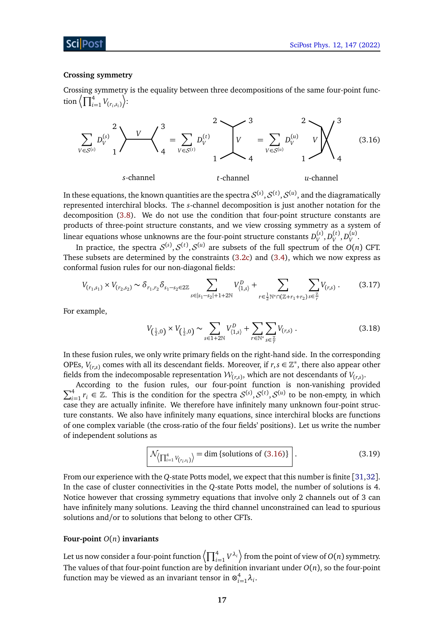## ScilPost

#### **Crossing symmetry**

Crossing symmetry is the equality between three decompositions of the same four-point function  $\left\langle \prod_{i=1}^4 V_{(r_i, s_i)} \right\rangle$ :



In these equations, the known quantities are the spectra  $\mathcal{S}^{(s)},\mathcal{S}^{(t)},\mathcal{S}^{(u)},$  and the diagramatically represented interchiral blocks. The *s*-channel decomposition is just another notation for the decomposition [\(3.8\)](#page-14-2). We do not use the condition that four-point structure constants are products of three-point structure constants, and we view crossing symmetry as a system of linear equations whose unknowns are the four-point structure constants  $D_V^{(s)}, D_V^{(t)}, D_V^{(u)}$ .

In practice, the spectra  $\mathcal{S}^{(s)}, \mathcal{S}^{(t)}, \mathcal{S}^{(u)}$  are subsets of the full spectrum of the  $O(n)$  CFT. These subsets are determined by the constraints [\(3.2c\)](#page-13-2) and [\(3.4\)](#page-13-1), which we now express as conformal fusion rules for our non-diagonal fields:

$$
V_{(r_1,s_1)} \times V_{(r_2,s_2)} \sim \delta_{r_1,r_2} \delta_{s_1-s_2 \in 2\mathbb{Z}} \sum_{s \in |s_1-s_2|+1+2\mathbb{N}} V_{\langle 1,s \rangle}^D + \sum_{r \in \frac{1}{2}\mathbb{N}^* \cap (\mathbb{Z}+r_1+r_2)} \sum_{s \in \frac{\mathbb{Z}}{r}} V_{(r,s)}.
$$
(3.17)

For example,

<span id="page-16-1"></span><span id="page-16-0"></span>
$$
V_{(\frac{1}{2},0)} \times V_{(\frac{1}{2},0)} \sim \sum_{s \in 1+2\mathbb{N}} V_{(1,s)}^D + \sum_{r \in \mathbb{N}^*} \sum_{s \in \frac{Z}{r}} V_{(r,s)} . \tag{3.18}
$$

In these fusion rules, we only write primary fields on the right-hand side. In the corresponding OPEs,  $V_{(r,s)}$  comes with all its descendant fields. Moreover, if  $r, s \in \mathbb{Z}^*$ , there also appear other fields from the indecomposable representation  $\mathcal{W}_{(r,s)}$ , which are not descendants of  $V_{(r,s)}$ .

 $\Sigma$ According to the fusion rules, our four-point function is non-vanishing provided  $\frac{4}{3}$   $\pi \in \mathbb{Z}$ . This is the condition for the greater  $S^{(s)}$ ,  $S^{(t)}$ ,  $S^{(t)}$  to be non-conntri-in-vibiable <sup>4</sup><sub>*i*=1</sub>  $r_i$  ∈ ℤ. This is the condition for the spectra  $S^{(s)}$ ,  $S^{(t)}$ ,  $S^{(u)}$  to be non-empty, in which case they are actually infinite. We therefore have infinitely many unknown four-point structure constants. We also have infinitely many equations, since interchiral blocks are functions of one complex variable (the cross-ratio of the four fields' positions). Let us write the number of independent solutions as

$$
\mathcal{N}_{\left\langle \prod_{i=1}^{4} V_{\left(r_i, s_i\right)} \right\rangle} = \dim \left\{ \text{solutions of (3.16)} \right\} \tag{3.19}
$$

From our experience with the *Q*-state Potts model, we expect that this number is finite [[31,](#page-43-11)[32](#page-43-3)]. In the case of cluster connectivities in the *Q*-state Potts model, the number of solutions is 4. Notice however that crossing symmetry equations that involve only 2 channels out of 3 can have infinitely many solutions. Leaving the third channel unconstrained can lead to spurious solutions and/or to solutions that belong to other CFTs.

## **Four-point** *O*(*n*) **invariants**

Let us now consider a four-point function  $\left<\prod_{i=1}^4 V^{\lambda_i}\right>$  from the point of view of  $O(n)$  symmetry. The values of that four-point function are by definition invariant under  $O(n)$ , so the four-point function may be viewed as an invariant tensor in  $\otimes^4_k$  $i=1}^4 \lambda_i$ .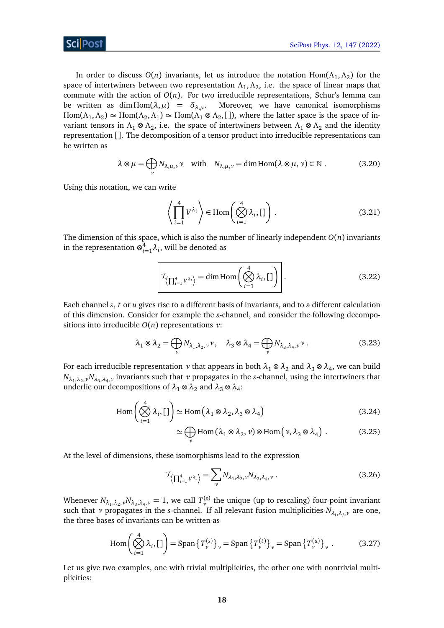

In order to discuss  $O(n)$  invariants, let us introduce the notation  $\text{Hom}(\Lambda_1, \Lambda_2)$  for the space of intertwiners between two representation  $\Lambda_1, \Lambda_2,$  i.e. the space of linear maps that commute with the action of  $O(n)$ . For two irreducible representations, Schur's lemma can be written as dim Hom $(\lambda, \mu) = \delta_{\lambda,\mu}$ . Moreover, we have canonical isomorphisms  $Hom(\Lambda_1, \Lambda_2) \simeq Hom(\Lambda_2, \Lambda_1) \simeq Hom(\Lambda_1 \otimes \Lambda_2, [$ ]), where the latter space is the space of invariant tensors in *Λ*<sup>1</sup> ⊗ *Λ*<sup>2</sup> , i.e. the space of intertwiners between *Λ*<sup>1</sup> ⊗ *Λ*<sup>2</sup> and the identity representation []. The decomposition of a tensor product into irreducible representations can be written as

$$
\lambda \otimes \mu = \bigoplus_{\nu} N_{\lambda,\mu,\nu} \nu \quad \text{with} \quad N_{\lambda,\mu,\nu} = \dim \text{Hom}(\lambda \otimes \mu,\nu) \in \mathbb{N} \ . \tag{3.20}
$$

Using this notation, we can write

$$
\left\langle \prod_{i=1}^{4} V^{\lambda_i} \right\rangle \in \text{Hom}\left(\bigotimes_{i=1}^{4} \lambda_i, [1] \right). \tag{3.21}
$$

The dimension of this space, which is also the number of linearly independent *O*(*n*) invariants in the representation  $\otimes_{i}^4$  $\sum_{i=1}^{4} \lambda_i$ , will be denoted as

$$
\mathcal{I}_{\left\langle \prod_{i=1}^{4} V^{\lambda_{i}} \right\rangle} = \dim \text{Hom}\left(\bigotimes_{i=1}^{4} \lambda_{i}, [1] \right).
$$
 (3.22)

Each channel *s*, *t* or *u* gives rise to a different basis of invariants, and to a different calculation of this dimension. Consider for example the *s*-channel, and consider the following decompositions into irreducible *O*(*n*) representations *ν*:

$$
\lambda_1 \otimes \lambda_2 = \bigoplus_{\nu} N_{\lambda_1, \lambda_2, \nu} \nu, \quad \lambda_3 \otimes \lambda_4 = \bigoplus_{\nu} N_{\lambda_3, \lambda_4, \nu} \nu. \tag{3.23}
$$

For each irreducible representation  $\nu$  that appears in both  $\lambda_1 \otimes \lambda_2$  and  $\lambda_3 \otimes \lambda_4$ , we can build  $N_{\lambda_1,\lambda_2,\nu}N_{\lambda_3,\lambda_4,\nu}$  invariants such that  $\nu$  propagates in the *s*-channel, using the intertwiners that underlie our decompositions of  $\lambda_1 \otimes \lambda_2$  and  $\lambda_3 \otimes \lambda_4$ :

$$
\operatorname{Hom}\left(\bigotimes_{i=1}^{4} \lambda_{i}, \left[ \right] \right) \simeq \operatorname{Hom}\left(\lambda_{1} \otimes \lambda_{2}, \lambda_{3} \otimes \lambda_{4}\right) \tag{3.24}
$$

$$
\simeq \bigoplus_{\nu} \text{Hom} \left( \lambda_1 \otimes \lambda_2, \nu \right) \otimes \text{Hom} \left( \nu, \lambda_3 \otimes \lambda_4 \right) . \tag{3.25}
$$

At the level of dimensions, these isomorphisms lead to the expression

$$
\mathcal{I}_{\left\langle \prod_{i=1}^{4} V^{\lambda_i} \right\rangle} = \sum_{\nu} N_{\lambda_1, \lambda_2, \nu} N_{\lambda_3, \lambda_4, \nu} \ . \tag{3.26}
$$

Whenever  $N_{\lambda_1,\lambda_2,\nu}N_{\lambda_3,\lambda_4,\nu}=1$ , we call  $T_{\nu}^{(s)}$  the unique (up to rescaling) four-point invariant such that *ν* propagates in the *s*-channel. If all relevant fusion multiplicities *Nλ<sup>i</sup>* ,*λ<sup>j</sup>* ,*<sup>ν</sup>* are one, the three bases of invariants can be written as

$$
\operatorname{Hom}\left(\bigotimes_{i=1}^{4} \lambda_{i}, \left[1\right]\right) = \operatorname{Span}\left\{T_{\nu}^{(s)}\right\}_{\nu} = \operatorname{Span}\left\{T_{\nu}^{(t)}\right\}_{\nu} = \operatorname{Span}\left\{T_{\nu}^{(u)}\right\}_{\nu}.
$$
 (3.27)

Let us give two examples, one with trivial multiplicities, the other one with nontrivial multiplicities: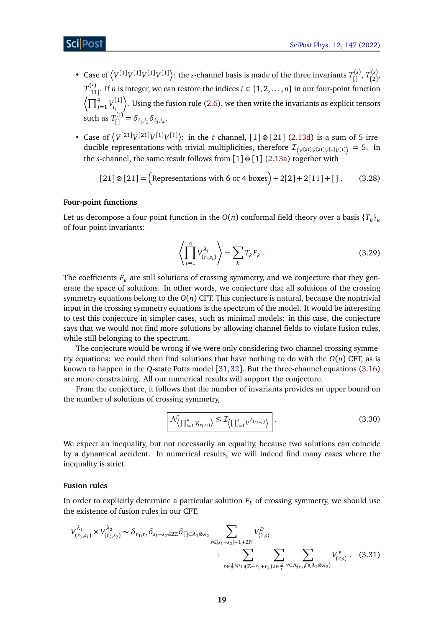- Case of  $\left\langle V^{[1]}V^{[1]}V^{[1]}V^{[1]}\right\rangle$ : the *s*-channel basis is made of the three invariants  $T_{[1]}^{(s)}$ ,  $T_{[2]}^{(s)}$ ,(s)<br>[2]'  $T_{\text{f1}}^{(s)}$  $\binom{n(s)}{[11]}$ . If *n* is integer, we can restore the indices  $i \in \{1, 2, ..., n\}$  in our four-point function  $\sqrt{\prod_{j=1}^4 V_{i_j}^{[1]}}$ *i j* E . Using the fusion rule [\(2.6\)](#page-7-1), we then write the invariants as explicit tensors such as  $T_{[]}^{(s)} = \delta_{i_1, i_2} \delta_{i_3, i_4}$ .
- Case of  $\left\langle V^{[21]}V^{[21]}V^{[1]}V^{[1]}\right\rangle$ : in the *t*-channel, [1]  $\otimes$  [21] [\(2.13d\)](#page-6-0) is a sum of 5 irreducible representations with trivial multiplicities, therefore  $\mathcal{I}_{\{V^{[21]}V^{[21]}V^{[1]}\}} = 5$ . In the *s*-channel, the same result follows from  $[1] \otimes [1]$  [\(2.13a\)](#page-5-2) together with

$$
[21] \otimes [21] = \left(\text{Representations with 6 or 4 boxes}\right) + 2[2] + 2[11] + []\,. \tag{3.28}
$$

## **Four-point functions**

Let us decompose a four-point function in the  $O(n)$  conformal field theory over a basis  $\{T_k\}_k$ of four-point invariants:

<span id="page-18-1"></span>
$$
\left\langle \prod_{i=1}^{4} V_{(r_i, s_i)}^{\lambda_i} \right\rangle = \sum_k T_k F_k . \tag{3.29}
$$

The coefficients  $F_k$  are still solutions of crossing symmetry, and we conjecture that they generate the space of solutions. In other words, we conjecture that all solutions of the crossing symmetry equations belong to the  $O(n)$  CFT. This conjecture is natural, because the nontrivial input in the crossing symmetry equations is the spectrum of the model. It would be interesting to test this conjecture in simpler cases, such as minimal models: in this case, the conjecture says that we would not find more solutions by allowing channel fields to violate fusion rules, while still belonging to the spectrum.

The conjecture would be wrong if we were only considering two-channel crossing symmetry equations: we could then find solutions that have nothing to do with the  $O(n)$  CFT, as is known to happen in the *Q*-state Potts model [[31,](#page-43-11)[32](#page-43-3)]. But the three-channel equations [\(3.16\)](#page-16-0) are more constraining. All our numerical results will support the conjecture.

From the conjecture, it follows that the number of invariants provides an upper bound on the number of solutions of crossing symmetry,

<span id="page-18-0"></span>
$$
\mathcal{N}_{\left\langle \prod_{i=1}^{4} V_{(r_i, s_i)} \right\rangle} \leq \mathcal{I}_{\left\langle \prod_{i=1}^{4} V^{\Lambda_{(r_i, s_i)}} \right\rangle} \tag{3.30}
$$

We expect an inequality, but not necessarily an equality, because two solutions can coincide by a dynamical accident. In numerical results, we will indeed find many cases where the inequality is strict.

### **Fusion rules**

In order to explicitly determine a particular solution  $F_k$  of crossing symmetry, we should use the existence of fusion rules in our CFT,

$$
V_{(r_1,s_1)}^{\lambda_1} \times V_{(r_2,s_2)}^{\lambda_2} \sim \delta_{r_1,r_2} \delta_{s_1-s_2 \in 2\mathbb{Z}} \delta_{[\ ] \subset \lambda_1 \otimes \lambda_2} \sum_{s \in |s_1-s_2|+1+2\mathbb{N}} V_{\langle 1,s \rangle}^D + \sum_{r \in \frac{1}{2}\mathbb{N}^* \cap (\mathbb{Z}+r_1+r_2)} \sum_{s \in \frac{\mathbb{Z}}{r}} \sum_{\nu \subset \Lambda_{(r,s)} \cap (\lambda_1 \otimes \lambda_2)} V_{(r,s)}^{\nu}. \tag{3.31}
$$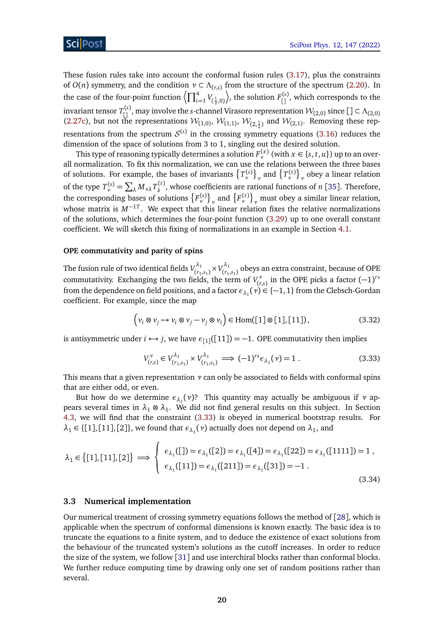These fusion rules take into account the conformal fusion rules [\(3.17\)](#page-16-1), plus the constraints of  $O(n)$  symmetry, and the condition  $\nu \subset \Lambda_{(r,s)}$  from the structure of the spectrum [\(2.20\)](#page-10-0). In the case of the four-point function  $\left\langle \prod_{i=1}^4 V_{(\frac{1}{2},0)} \right\rangle$ ), the solution  $F_{[\,]}^{(s)}$ , which corresponds to the invariant tensor  $T_{[]}^{(s)}$ , may involve the *s*-channel Virasoro representation  $\mathcal{W}_{(2,0)}$  since  $[\ ] \subset \Lambda_{(2,0)}$ [\(2.27c\)](#page-5-3), but not the representations  $W_{(1,0)}$ ,  $W_{(1,1)}$ ,  $W_{(2,\frac{1}{2})}$  and  $W_{(2,1)}$ . Removing these representations from the spectrum  $\mathcal{S}^{(s)}$  in the crossing symmetry equations [\(3.16\)](#page-16-0) reduces the dimension of the space of solutions from 3 to 1, singling out the desired solution.

This type of reasoning typically determines a solution  $F_{\nu}^{(x)}$  (with  $x \in \{s, t, u\}$ ) up to an overall normalization. To fix this normalization, we can use the relations between the three bases of solutions. For example, the bases of invariants  $\{T_{\nu}^{(s)}\}_{\nu}$  and  $\{T_{\nu}^{(t)}\}_{\nu}$  obey a linear relation *ν ν* of the type  $T_{\nu}^{(s)} = \sum_{\lambda} M_{\nu\lambda} T_{\lambda}^{(t)}$ *λ* , whose coefficients are rational functions of *n* [[35](#page-43-6)]. Therefore, the corresponding bases of solutions  $\{F_v^{(s)}\}_v$  and  $\{F_v^{(t)}\}_v$  must obey a similar linear relation, whose matrix is *M*−1*<sup>T</sup>* . We expect that this linear relation fixes the relative normalizations of the solutions, which determines the four-point function [\(3.29\)](#page-18-1) up to one overall constant coefficient. We will sketch this fixing of normalizations in an example in Section [4.1.](#page-25-0)

#### **OPE commutativity and parity of spins**

The fusion rule of two identical fields  $V_{(r)}^{\lambda_1}$  $(v_1, s_1) \times V_{(r_1)}^{\lambda_1}$  $\binom{n_1}{r_1,s_1}$  obeys an extra constraint, because of OPE commutativity. Exchanging the two fields, the term of  $V_r^{\nu}$  $\binom{r}{r,s}$  in the OPE picks a factor  $(-1)^{rs}$ from the dependence on field positions, and a factor  $\epsilon_{\lambda_1}(\nu) \in \{-1,1\}$  from the Clebsch-Gordan coefficient. For example, since the map

$$
\left(v_i \otimes v_j \mapsto v_i \otimes v_j - v_j \otimes v_i\right) \in \text{Hom}([1] \otimes [1], [11]),\tag{3.32}
$$

is antisymmetric under  $i \leftrightarrow j$ , we have  $\epsilon_{1}$ <sup>[[11]</sup>] = -1. OPE commutativity then implies

<span id="page-19-1"></span>
$$
V_{(r,s)}^{\nu} \in V_{(r_1,s_1)}^{\lambda_1} \times V_{(r_1,s_1)}^{\lambda_1} \implies (-1)^{rs} \epsilon_{\lambda_1}(\nu) = 1.
$$
 (3.33)

This means that a given representation *ν* can only be associated to fields with conformal spins that are either odd, or even.

But how do we determine *ελ*<sup>1</sup> (*ν*)? This quantity may actually be ambiguous if *ν* appears several times in  $\lambda_1 \otimes \lambda_1$ . We did not find general results on this subject. In Section [4.3,](#page-31-0) we will find that the constraint [\(3.33\)](#page-19-1) is obeyed in numerical bootstrap results. For  $\lambda_1 \in \{ [1], [11], [2] \}$ , we found that  $\epsilon_{\lambda_1}(\nu)$  actually does not depend on  $\lambda_1$ , and

$$
\lambda_1 \in \{ [1], [11], [2] \} \implies \begin{cases} \epsilon_{\lambda_1}([1]) = \epsilon_{\lambda_1}([2]) = \epsilon_{\lambda_1}([4]) = \epsilon_{\lambda_1}([22]) = \epsilon_{\lambda_1}([1111]) = 1 \,, \\ \epsilon_{\lambda_1}([11]) = \epsilon_{\lambda_1}([211]) = \epsilon_{\lambda_1}([31]) = -1 \,. \end{cases} \tag{3.34}
$$

### <span id="page-19-0"></span>**3.3 Numerical implementation**

Our numerical treatment of crossing symmetry equations follows the method of [[28](#page-43-2)], which is applicable when the spectrum of conformal dimensions is known exactly. The basic idea is to truncate the equations to a finite system, and to deduce the existence of exact solutions from the behaviour of the truncated system's solutions as the cutoff increases. In order to reduce the size of the system, we follow [[31](#page-43-11)] and use interchiral blocks rather than conformal blocks. We further reduce computing time by drawing only one set of random positions rather than several.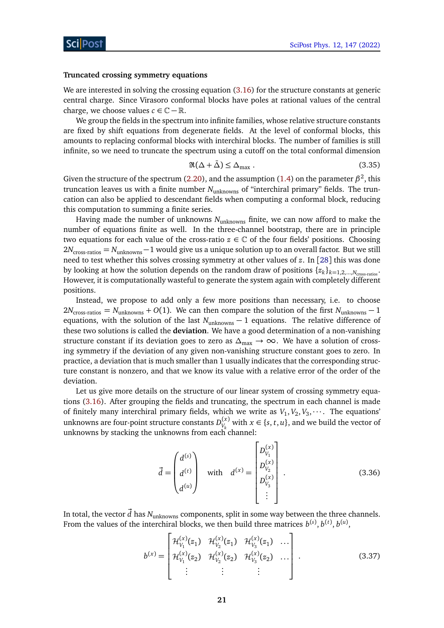#### **Truncated crossing symmetry equations**

We are interested in solving the crossing equation [\(3.16\)](#page-16-0) for the structure constants at generic central charge. Since Virasoro conformal blocks have poles at rational values of the central charge, we choose values  $c \in \mathbb{C} - \mathbb{R}$ .

We group the fields in the spectrum into infinite families, whose relative structure constants are fixed by shift equations from degenerate fields. At the level of conformal blocks, this amounts to replacing conformal blocks with interchiral blocks. The number of families is still infinite, so we need to truncate the spectrum using a cutoff on the total conformal dimension

$$
\Re(\Delta + \bar{\Delta}) \le \Delta_{\text{max}} \,. \tag{3.35}
$$

Given the structure of the spectrum [\(2.20\)](#page-10-0), and the assumption [\(1.4\)](#page-3-0) on the parameter  $\beta^2$ , this truncation leaves us with a finite number *N*unknowns of "interchiral primary" fields. The truncation can also be applied to descendant fields when computing a conformal block, reducing this computation to summing a finite series.

Having made the number of unknowns *N*unknowns finite, we can now afford to make the number of equations finite as well. In the three-channel bootstrap, there are in principle two equations for each value of the cross-ratio  $z \in \mathbb{C}$  of the four fields' positions. Choosing 2*N*cross-ratios = *N*unknowns−1 would give us a unique solution up to an overall factor. But we still need to test whether this solves crossing symmetry at other values of *z*. In [[28](#page-43-2)] this was done by looking at how the solution depends on the random draw of positions  $\{z_k\}_{k=1,2,...,N_{\text{cross-ratios}}}$ . However, it is computationally wasteful to generate the system again with completely different positions.

Instead, we propose to add only a few more positions than necessary, i.e. to choose  $2N_{\text{cross-ratios}} = N_{\text{unknowns}} + O(1)$ . We can then compare the solution of the first  $N_{\text{unknowns}} - 1$ equations, with the solution of the last *N*<sub>unknowns</sub> − 1 equations. The relative difference of these two solutions is called the **deviation**. We have a good determination of a non-vanishing structure constant if its deviation goes to zero as  $\Delta_{\text{max}} \to \infty$ . We have a solution of crossing symmetry if the deviation of any given non-vanishing structure constant goes to zero. In practice, a deviation that is much smaller than 1 usually indicates that the corresponding structure constant is nonzero, and that we know its value with a relative error of the order of the deviation.

Let us give more details on the structure of our linear system of crossing symmetry equations [\(3.16\)](#page-16-0). After grouping the fields and truncating, the spectrum in each channel is made of finitely many interchiral primary fields, which we write as  $V_1, V_2, V_3, \cdots$ . The equations' unknowns are four-point structure constants  $D^{(x)}_V$  $V_k^{(x)}$  with  $x \in \{s, t, u\}$ , and we build the vector of unknowns by stacking the unknowns from each channel:

$$
\vec{d} = \begin{pmatrix} d^{(s)} \\ d^{(t)} \\ d^{(u)} \end{pmatrix} \quad \text{with} \quad d^{(x)} = \begin{bmatrix} D_{V_1}^{(x)} \\ D_{V_2}^{(x)} \\ D_{V_3}^{(x)} \\ \vdots \end{bmatrix} . \tag{3.36}
$$

In total, the vector  $\vec{d}$  has  $N_{unknowns}$  components, split in some way between the three channels. From the values of the interchiral blocks, we then build three matrices  $b^{(s)}, b^{(t)}, b^{(u)},$ 

$$
b^{(x)} = \begin{bmatrix} \mathcal{H}_{V_1}^{(x)}(z_1) & \mathcal{H}_{V_2}^{(x)}(z_1) & \mathcal{H}_{V_3}^{(x)}(z_1) & \dots \\ \mathcal{H}_{V_1}^{(x)}(z_2) & \mathcal{H}_{V_2}^{(x)}(z_2) & \mathcal{H}_{V_3}^{(x)}(z_2) & \dots \\ \vdots & \vdots & \vdots & \ddots \end{bmatrix} . \tag{3.37}
$$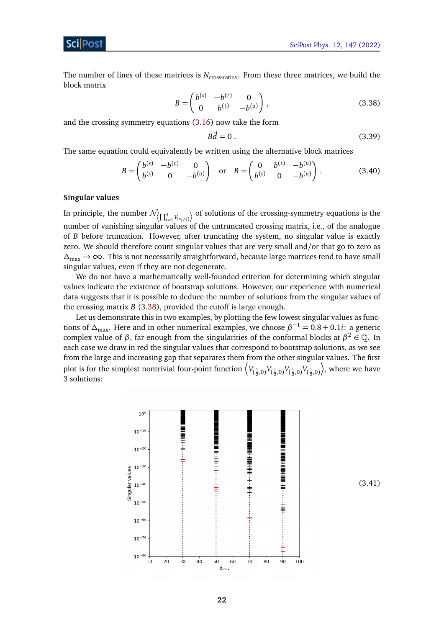Sci Post

The number of lines of these matrices is  $N_{\text{cross-ratios}}$ . From these three matrices, we build the block matrix

$$
B = \begin{pmatrix} b^{(s)} & -b^{(t)} & 0 \\ 0 & b^{(t)} & -b^{(u)} \end{pmatrix},
$$
 (3.38)

and the crossing symmetry equations [\(3.16\)](#page-16-0) now take the form

<span id="page-21-0"></span>
$$
B\vec{d} = 0\tag{3.39}
$$

The same equation could equivalently be written using the alternative block matrices

$$
B = \begin{pmatrix} b^{(s)} & -b^{(t)} & 0 \\ b^{(s)} & 0 & -b^{(u)} \end{pmatrix} \text{ or } B = \begin{pmatrix} 0 & b^{(t)} & -b^{(u)} \\ b^{(s)} & 0 & -b^{(u)} \end{pmatrix}.
$$
 (3.40)

## **Singular values**

In principle, the number  $\mathcal{N}_{\left\{\prod_{i=1}^{4}V_{(r_i,s_i)}\right\}}$  of solutions of the crossing-symmetry equations is the number of vanishing singular values of the untruncated crossing matrix, i.e., of the analogue of *B* before truncation. However, after truncating the system, no singular value is exactly zero. We should therefore count singular values that are very small and/or that go to zero as  $\Delta_{\text{max}} \rightarrow \infty$ . This is not necessarily straightforward, because large matrices tend to have small singular values, even if they are not degenerate.

We do not have a mathematically well-founded criterion for determining which singular values indicate the existence of bootstrap solutions. However, our experience with numerical data suggests that it is possible to deduce the number of solutions from the singular values of the crossing matrix *B* [\(3.38\)](#page-21-0), provided the cutoff is large enough.

Let us demonstrate this in two examples, by plotting the few lowest singular values as functions of  $\Delta_{\text{max}}$ . Here and in other numerical examples, we choose  $\beta^{-1} = 0.8 + 0.1i$ : a generic complex value of *β*, far enough from the singularities of the conformal blocks at  $β^2 ∈ Q$ . In each case we draw in red the singular values that correspond to bootstrap solutions, as we see from the large and increasing gap that separates them from the other singular values. The first plot is for the simplest nontrivial four-point function  $\left\langle V_{(\frac{1}{2},0)} V_{(\frac{1}{2},0)} V_{(\frac{1}{2},0)} V_{(\frac{1}{2},0)} \right\rangle$ ¶ , where we have 3 solutions:



<span id="page-21-1"></span>(3.41)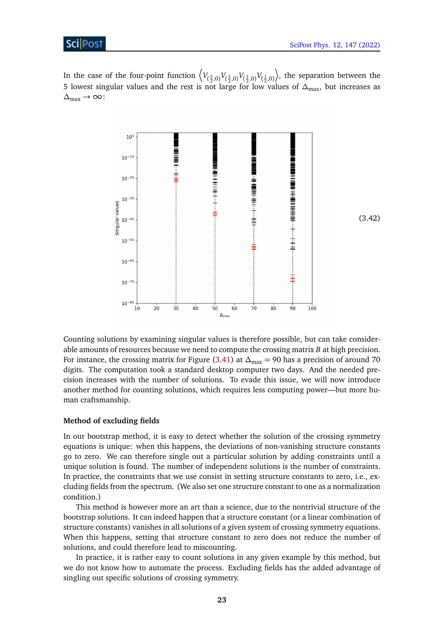## **ScilPost**

In the case of the four-point function  $\left\langle V_{(\frac{3}{2},0)} V_{(\frac{3}{2},0)} V_{(\frac{1}{2},0)} V_{(\frac{1}{2},0)} \right\rangle$ ¶ , the separation between the 5 lowest singular values and the rest is not large for low values of *∆*max, but increases as  $\Delta_{\text{max}}$  → ∞:



Counting solutions by examining singular values is therefore possible, but can take considerable amounts of resources because we need to compute the crossing matrix *B* at high precision. For instance, the crossing matrix for Figure [\(3.41\)](#page-21-1) at  $\Delta_{\text{max}} = 90$  has a precision of around 70 digits. The computation took a standard desktop computer two days. And the needed precision increases with the number of solutions. To evade this issue, we will now introduce another method for counting solutions, which requires less computing power—but more human craftsmanship.

## **Method of excluding fields**

In our bootstrap method, it is easy to detect whether the solution of the crossing symmetry equations is unique: when this happens, the deviations of non-vanishing structure constants go to zero. We can therefore single out a particular solution by adding constraints until a unique solution is found. The number of independent solutions is the number of constraints. In practice, the constraints that we use consist in setting structure constants to zero, i.e., excluding fields from the spectrum. (We also set one structure constant to one as a normalization condition.)

This method is however more an art than a science, due to the nontrivial structure of the bootstrap solutions. It can indeed happen that a structure constant (or a linear combination of structure constants) vanishes in all solutions of a given system of crossing symmetry equations. When this happens, setting that structure constant to zero does not reduce the number of solutions, and could therefore lead to miscounting.

In practice, it is rather easy to count solutions in any given example by this method, but we do not know how to automate the process. Excluding fields has the added advantage of singling out specific solutions of crossing symmetry.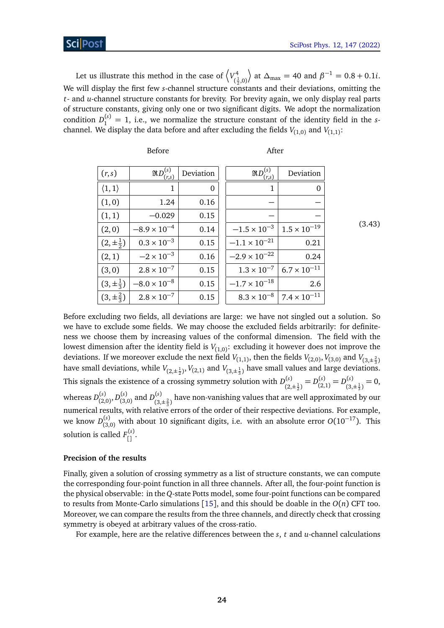Let us illustrate this method in the case of  $\langle V_{c}^4 \rangle$  $(\frac{1}{2}, 0)$  $\left( \phi \right)$  at  $\Delta_{\text{max}} = 40$  and  $\beta^{-1} = 0.8 + 0.1i$ . We will display the first few *s*-channel structure constants and their deviations, omitting the *t*- and *u*-channel structure constants for brevity. For brevity again, we only display real parts of structure constants, giving only one or two significant digits. We adopt the normalization condition  $D_1^{(s)} = 1$ , i.e., we normalize the structure constant of the identity field in the *s*channel. We display the data before and after excluding the fields  $V_{(1,0)}$  and  $V_{(1,1)}$ :

| (r,s)                  | $\Re D^{(s)}$ .<br>(r,s) | Deviation | $\Re D^{(s)}$<br>(r,s) | Deviation             |
|------------------------|--------------------------|-----------|------------------------|-----------------------|
| $\langle 1,1\rangle$   | 1                        | 0         | 1                      | 0                     |
| (1,0)                  | 1.24                     | 0.16      |                        |                       |
| (1,1)                  | $-0.029$                 | 0.15      |                        |                       |
| (2,0)                  | $-8.9 \times 10^{-4}$    | 0.14      | $-1.5 \times 10^{-3}$  | $1.5 \times 10^{-19}$ |
| $(2,\pm \frac{1}{2})$  | $0.3 \times 10^{-3}$     | 0.15      | $-1.1 \times 10^{-21}$ | 0.21                  |
| (2,1)                  | $-2 \times 10^{-3}$      | 0.16      | $-2.9 \times 10^{-22}$ | 0.24                  |
| (3,0)                  | $2.8 \times 10^{-7}$     | 0.15      | $1.3 \times 10^{-7}$   | $6.7 \times 10^{-11}$ |
| $(3, \pm \frac{1}{3})$ | $-8.0 \times 10^{-8}$    | 0.15      | $-1.7 \times 10^{-18}$ | 2.6                   |
| $(3,\pm\frac{2}{3})$   | $2.8 \times 10^{-7}$     | 0.15      | $8.3 \times 10^{-8}$   | $7.4 \times 10^{-11}$ |

Before After

(3.43)

Before excluding two fields, all deviations are large: we have not singled out a solution. So we have to exclude some fields. We may choose the excluded fields arbitrarily: for definiteness we choose them by increasing values of the conformal dimension. The field with the lowest dimension after the identity field is  $V_{(1,0)}$ : excluding it however does not improve the deviations. If we moreover exclude the next field  $V_{(1,1)}$ , then the fields  $V_{(2,0)}$ ,  $V_{(3,0)}$  and  $V_{(3,\pm \frac{2}{3})}$ have small deviations, while  $V_{(2,\pm \frac{1}{2})}$ ,  $V_{(2,1)}$  and  $V_{(3,\pm \frac{1}{3})}$  have small values and large deviations.  $2^{\int}$  (2,1) (3,  $\frac{3}{2}$ ) This signals the existence of a crossing symmetry solution with  $D_{(0)}^{(s)}$  $L_{(2,\pm\frac{1}{2})}^{(s)} = D_{(2,\pm\frac{1}{2})}^{(s)}$  $D_{(2,1)}^{(s)} = D_{(3)}^{(s)}$  $j_{(3,\pm\frac{1}{3})}^{(s)}=0,$ whereas  $D_{(2)}^{(s)}$ (2,0) , *D* (*s*)  $_{(3,0)}^{(s)}$  and  $D_{(3)}^{(s)}$  $\binom{3}{3,\pm\frac{2}{3}}$  have non-vanishing values that are well approximated by our numerical results, with relative errors of the order of their respective deviations. For example, we know *D* (*s*) (3,0) with about 10 significant digits, i.e. with an absolute error *<sup>O</sup>*(10−17). This solution is called  $F_{\begin{bmatrix} 1 \end{bmatrix}}^{(s)}$ .

## **Precision of the results**

Finally, given a solution of crossing symmetry as a list of structure constants, we can compute the corresponding four-point function in all three channels. After all, the four-point function is the physical observable: in the *Q*-state Potts model, some four-point functions can be compared to results from Monte-Carlo simulations [[15](#page-42-6)], and this should be doable in the *O*(*n*) CFT too. Moreover, we can compare the results from the three channels, and directly check that crossing symmetry is obeyed at arbitrary values of the cross-ratio.

For example, here are the relative differences between the *s*, *t* and *u*-channel calculations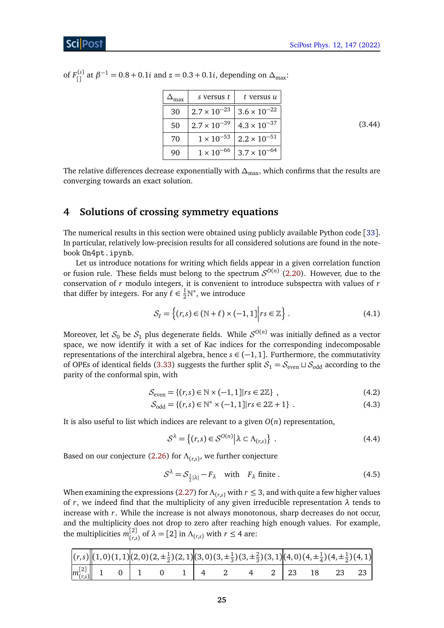of  $F_{[]}^{(s)}$  at  $\beta^{-1} = 0.8 + 0.1i$  and  $z = 0.3 + 0.1i$ , depending on  $\Delta_{\text{max}}$ :

| nax | s versus t            | t versus u            |
|-----|-----------------------|-----------------------|
| 30  | $2.7 \times 10^{-23}$ | $3.6 \times 10^{-22}$ |
| 50  | $2.7 \times 10^{-39}$ | $4.3 \times 10^{-37}$ |
| 70  | $1 \times 10^{-53}$   | $2.2 \times 10^{-51}$ |
| 90  | $1\times10^{-66}$     | $3.7 \times 10^{-64}$ |

<span id="page-24-1"></span>(3.44)

The relative differences decrease exponentially with  $\Delta_{\text{max}}$ , which confirms that the results are converging towards an exact solution.

## <span id="page-24-0"></span>**4 Solutions of crossing symmetry equations**

The numerical results in this section were obtained using publicly available Python code [[33](#page-43-4)]. In particular, relatively low-precision results for all considered solutions are found in the notebook On4pt.ipynb.

Let us introduce notations for writing which fields appear in a given correlation function or fusion rule. These fields must belong to the spectrum  $\mathcal{S}^{O(n)}$  [\(2.20\)](#page-10-0). However, due to the conservation of *r* modulo integers, it is convenient to introduce subspectra with values of *r* that differ by integers. For any  $\ell \in \frac{1}{2} \mathbb{N}^*$ , we introduce

$$
\mathcal{S}_{\ell} = \left\{ (r,s) \in (\mathbb{N} + \ell) \times (-1,1) \middle| rs \in \mathbb{Z} \right\}.
$$
 (4.1)

Moreover, let  $\mathcal{S}_0$  be  $\mathcal{S}_1$  plus degenerate fields. While  $\mathcal{S}^{O(n)}$  was initially defined as a vector space, we now identify it with a set of Kac indices for the corresponding indecomposable representations of the interchiral algebra, hence  $s \in (-1, 1]$ . Furthermore, the commutativity of OPEs of identical fields [\(3.33\)](#page-19-1) suggests the further split  $S_1 = S_{even} \sqcup S_{odd}$  according to the parity of the conformal spin, with

$$
S_{\text{even}} = \{(r,s) \in \mathbb{N} \times (-1,1] | rs \in 2\mathbb{Z}\},\tag{4.2}
$$

$$
S_{\text{odd}} = \{(r, s) \in \mathbb{N}^* \times (-1, 1] | rs \in 2\mathbb{Z} + 1\} . \tag{4.3}
$$

It is also useful to list which indices are relevant to a given  $O(n)$  representation,

<span id="page-24-3"></span><span id="page-24-2"></span>
$$
S^{\lambda} = \left\{ (r,s) \in S^{O(n)} \middle| \lambda \subset \Lambda_{(r,s)} \right\} . \tag{4.4}
$$

Based on our conjecture [\(2.26\)](#page-11-0) for *Λ*(*r*,*s*) , we further conjecture

$$
S^{\lambda} = S_{\frac{1}{2}|\lambda|} - F_{\lambda} \quad \text{with} \quad F_{\lambda} \text{ finite }.
$$
 (4.5)

When examining the expressions [\(2.27\)](#page-11-1) for  $\Lambda_{(r,s)}$  with  $r \leq 3$ , and with quite a few higher values of *r*, we indeed find that the multiplicity of any given irreducible representation  $\lambda$  tends to increase with *r*. While the increase is not always monotonous, sharp decreases do not occur, and the multiplicity does not drop to zero after reaching high enough values. For example, the multiplicities  $m_{\ell_{r,s}}^{[2]}$  $\left(\begin{array}{c} 2 \ l(r,s) \end{array}\right)$  of  $\lambda = [2]$  in  $\Lambda_{(r,s)}$  with  $r \leq 4$  are:

|  |  |                                            |  | $ (r,s)  (1,0)(1,1) (2,0)(2,\pm\frac{1}{2})(2,1) (3,0)(3,\pm\frac{1}{3})(3,\pm\frac{2}{3})(3,1) (4,0)(4,\pm\frac{1}{4})(4,\pm\frac{1}{2})(4,1) $ |  |  |  |
|--|--|--------------------------------------------|--|--------------------------------------------------------------------------------------------------------------------------------------------------|--|--|--|
|  |  | $\left[m_{(r,s)}^{[2]}\right]$ 1 0 1 0 1 4 |  | $4 \quad 2 \mid 23 \quad 18 \quad 23 \quad 23 \mid$                                                                                              |  |  |  |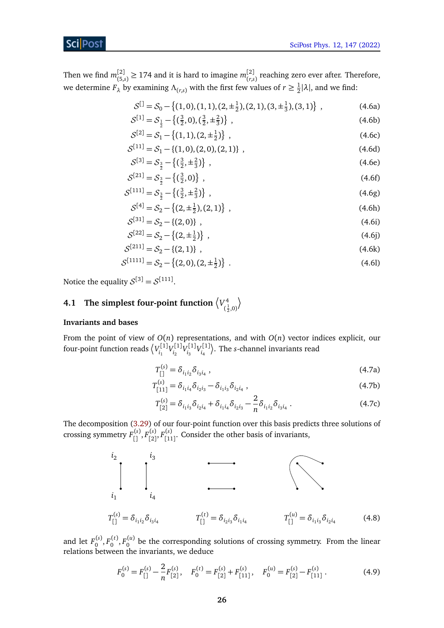Then we find  $m_{(5)}^{[2]}$  $\binom{[2]}{(5,s)}$  ≥ 174 and it is hard to imagine  $m_{\binom{r,s}{s}}^{[2]}$  $\binom{[2]}{(r,s)}$  reaching zero ever after. Therefore, we determine  $F_{\lambda}$  by examining  $\Lambda_{(r,s)}$  with the first few values of  $r \geq \frac{1}{2}$  $\frac{1}{2}|\lambda|$ , and we find:

$$
S^{[]} = S_0 - \{(1,0), (1,1), (2, \pm \frac{1}{2}), (2,1), (3, \pm \frac{1}{3}), (3,1)\},
$$
 (4.6a)

$$
S^{[1]} = S_{\frac{1}{2}} - \left\{ \left( \frac{3}{2}, 0 \right), \left( \frac{3}{2}, \pm \frac{2}{3} \right) \right\},\tag{4.6b}
$$

$$
S^{[2]} = S_1 - \{(1,1), (2, \pm \frac{1}{2})\},\tag{4.6c}
$$

$$
S^{[11]} = S_1 - \{(1,0), (2,0), (2,1)\},\tag{4.6d}
$$

$$
S^{[3]} = S_{\frac{3}{2}} - \left\{ \left( \frac{3}{2}, \pm \frac{2}{3} \right) \right\},\tag{4.6e}
$$

$$
S^{[21]} = S_{\frac{3}{2}} - \left\{ \left( \frac{3}{2}, 0 \right) \right\} , \tag{4.6f}
$$

$$
S^{[111]} = S_{\frac{3}{2}} - \left\{ \left( \frac{3}{2}, \pm \frac{2}{3} \right) \right\},\tag{4.6g}
$$

<span id="page-25-3"></span>
$$
S^{[4]} = S_2 - \{(2, \pm \frac{1}{2}), (2, 1)\},\tag{4.6h}
$$

<span id="page-25-2"></span><span id="page-25-1"></span>
$$
S^{[31]} = S_2 - \{(2,0)\} \t{,} \t(4.6i)
$$

$$
S^{[22]} = S_2 - \{(2, \pm \frac{1}{2})\},\tag{4.6}
$$

$$
S^{[211]} = S_2 - \{(2, 1)\},\tag{4.6k}
$$

$$
S^{[1111]} = S_2 - \{(2,0), (2, \pm \frac{1}{2})\} \tag{4.6}
$$

Notice the equality  $S^{[3]} = S^{[111]}$ .

#### <span id="page-25-0"></span>**4.1** The simplest four-point function  $\langle V^4_{\epsilon} \rangle$  $(\frac{1}{2}, 0)$  $\backslash$

## **Invariants and bases**

From the point of view of *O*(*n*) representations, and with *O*(*n*) vector indices explicit, our four-point function reads  $\langle V_i^{[1]} \rangle$ ,[1]<sub>*V*[1]</sub><br>*i*<sub>1</sub> <sup>r</sup><sup>[1]</sup>V<sup>[1]</sup><br><sup>*i*<sub>2</sub></sub></sup> <sup>r</sup><sup>[1]</sup>V<sup>[1]</sup><br><sup>*i*<sub>3</sub></sub></sup>  $\binom{[1]}{i_4}$ . The *s*-channel invariants read

$$
T_{[1]}^{(s)} = \delta_{i_1 i_2} \delta_{i_3 i_4} , \qquad (4.7a)
$$

$$
T_{[11]}^{(s)} = \delta_{i_1 i_4} \delta_{i_2 i_3} - \delta_{i_1 i_3} \delta_{i_2 i_4}, \qquad (4.7b)
$$

$$
T_{[2]}^{(s)} = \delta_{i_1 i_3} \delta_{i_2 i_4} + \delta_{i_1 i_4} \delta_{i_2 i_3} - \frac{2}{n} \delta_{i_1 i_2} \delta_{i_3 i_4} . \tag{4.7c}
$$

The decomposition [\(3.29\)](#page-18-1) of our four-point function over this basis predicts three solutions of crossing symmetry  $F_{[\,]}^{(s)},F_{[\,2]}^{(s)}$ [2] , *F* (*s*)  $\binom{[s]}{[11]}$ . Consider the other basis of invariants,



and let  $F_0^{(s)}$ ,  $F_0^{(t)}$ ,  $F_0^{(u)}$  be the corresponding solutions of crossing symmetry. From the linear relations between the invariants, we deduce

$$
F_0^{(s)} = F_{[]}^{(s)} - \frac{2}{n} F_{[2]}^{(s)}, \quad F_0^{(t)} = F_{[2]}^{(s)} + F_{[11]}^{(s)}, \quad F_0^{(u)} = F_{[2]}^{(s)} - F_{[11]}^{(s)}.
$$
 (4.9)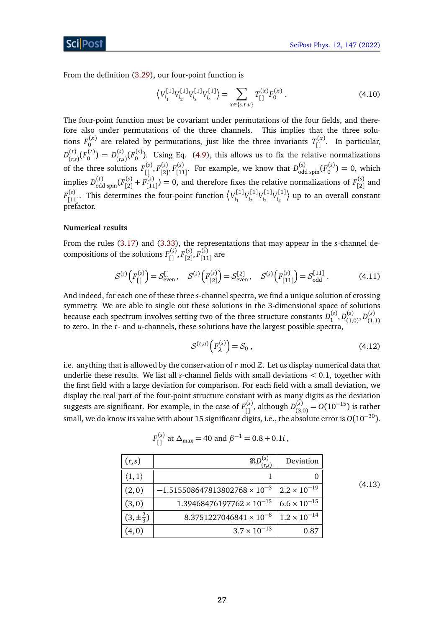From the definition [\(3.29\)](#page-18-1), our four-point function is

$$
\left\langle V_{i_1}^{[1]} V_{i_2}^{[1]} V_{i_3}^{[1]} V_{i_4}^{[1]} \right\rangle = \sum_{x \in \{s, t, u\}} T_{[}^{(x)} F_0^{(x)} . \tag{4.10}
$$

The four-point function must be covariant under permutations of the four fields, and therefore also under permutations of the three channels. This implies that the three solutions  $F_0^{(x)}$  are related by permutations, just like the three invariants  $T_{[]}^{(x)}$ . In particular,  $D_{(r,s)}^{(t)}$  $(L)$ <sub>(r,s)</sub> $(F_0^{(t)}) = D_{(r,s)}^{(s)}$  $(x_0, (s_0)$  ( $F_0^{(s)}$ ). Using Eq. [\(4.9\)](#page-25-1), this allows us to fix the relative normalizations of the three solutions  $F_{[1]}^{(s)}, F_{[2]}^{(s)}$ ,(s)<br>[2]<sup>, F</sup>[11  $\binom{s}{11}$ . For example, we know that  $D_{odd\text{ spin}}^{(s)}(F_0^{(s)}) = 0$ , which implies  $D_{\text{odd spin}}^{(t)}(F_{[2]}^{(s)})$  $\frac{f(s)}{[2]} + F_{[11]}^{(s)}$  $\binom{s}{[1]}$  = 0, and therefore fixes the relative normalizations of  $F_{[2]}^{(s)}$  $\binom{8}{2}$  and  $F_{\text{f11}}^{(s)}$ <sup>(s)</sup><sub>[11]</sub>. This determines the four-point function  $\left\langle V_{i_1}^{[1]} \right\rangle$ ,[1]<sub>*V*[1]</sub><br>*i*<sub>1</sub> <sup>r</sup><sup>[1]</sup>V<sup>[1]</sup><br><sup>*i*<sub>2</sub></sub></sup> <sup>r</sup><sup>[1]</sup>V<sup>[1]</sup><br><sup>*i*<sub>3</sub></sub></sup>  $\binom{n[1]}{i_4}$  up to an overall constant prefactor.

#### **Numerical results**

From the rules [\(3.17\)](#page-16-1) and [\(3.33\)](#page-19-1), the representations that may appear in the *s*-channel decompositions of the solutions  $F_{[0]}^{(s)}$ ,  $F_{[2]}^{(s)}$ [2] , *F* (*s*) (<sup>s)</sup> are

$$
S^{(s)}\left(F_{[1]}^{(s)}\right) = S_{even}^{[1]}, \quad S^{(s)}\left(F_{[2]}^{(s)}\right) = S_{even}^{[2]}, \quad S^{(s)}\left(F_{[11]}^{(s)}\right) = S_{odd}^{[11]}.
$$
 (4.11)

And indeed, for each one of these three *s*-channel spectra, we find a unique solution of crossing symmetry. We are able to single out these solutions in the 3-dimensional space of solutions because each spectrum involves setting two of the three structure constants  $D_1^{(s)}, D_{(1)}^{(s)}$  $D_{(1,0)}^{(s)}, D_{(1,0)}^{(s)}$ to zero. In the *t*- and *u*-channels, these solutions have the largest possible spectra,

$$
S^{(t,u)}\left(F_{\lambda}^{(s)}\right) = S_0 \tag{4.12}
$$

i.e. anything that is allowed by the conservation of  $r \mod \mathbb{Z}$ . Let us display numerical data that underlie these results. We list all *s*-channel fields with small deviations *<* 0.1, together with the first field with a large deviation for comparison. For each field with a small deviation, we display the real part of the four-point structure constant with as many digits as the deviation suggests are significant. For example, in the case of  $F_{[]}^{(s)}$ , although  $D_{(3)}^{(s)}$  $I_{(3,0)}^{(s)} = O(10^{-15})$  is rather small, we do know its value with about 15 significant digits, i.e., the absolute error is *<sup>O</sup>*(10−30).

| (r,s)                | $\Re D^{(s)}$<br>$(r_{\rm s}s)$      | Deviation             |
|----------------------|--------------------------------------|-----------------------|
| $\langle 1,1\rangle$ |                                      |                       |
| (2,0)                | $-1.515508647813802768\times10^{-3}$ | $2.2 \times 10^{-19}$ |
| (3,0)                | $1.39468476197762 \times 10^{-15}$   | $6.6 \times 10^{-15}$ |
| $(3,\pm\frac{2}{3})$ | $8.3751227046841 \times 10^{-8}$     | $1.2 \times 10^{-14}$ |
| (4,0)                | $3.7 \times 10^{-13}$                | 0.87                  |

 $F_{[}^{(s)}$  at  $\Delta_{\text{max}} = 40$  and  $\beta^{-1} = 0.8 + 0.1i$  ,

<span id="page-26-0"></span>(4.13)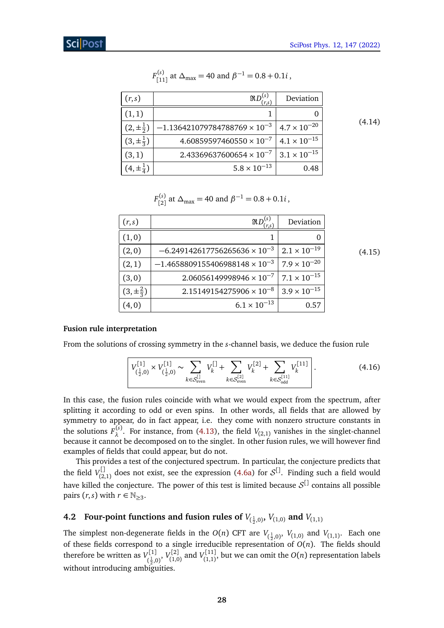| (r,s)                  | $\Re D^{(s)}$<br>(r,s)               | Deviation             |
|------------------------|--------------------------------------|-----------------------|
| (1,1)                  |                                      |                       |
| $(2,\pm \frac{1}{2})$  | $-1.136421079784788769\times10^{-3}$ | $4.7 \times 10^{-20}$ |
| $(3, \pm \frac{1}{3})$ | $4.60859597460550 \times 10^{-7}$    | $4.1 \times 10^{-15}$ |
| (3,1)                  | $2.43369637600654 \times 10^{-7}$    | $3.1 \times 10^{-15}$ |
| $(4, \pm \frac{1}{4})$ | $5.8 \times 10^{-13}$                | 0.48                  |

#### $F_{\text{f1}}^{(s)}$  $\binom{s}{11}$  at Δ<sub>max</sub> = 40 and  $β^{-1} = 0.8 + 0.1i$ ,

(4.14)

| $F_{[2]}^{(s)}$ at $\Delta_{\text{max}} = 40$ and $\beta^{-1} = 0.8 + 0.1i$ , |
|-------------------------------------------------------------------------------|
|                                                                               |

| (r,s)                | (r,s)                                   | Deviation             |
|----------------------|-----------------------------------------|-----------------------|
| (1,0)                |                                         |                       |
| (2,0)                | $-6.249142617756265636\times10^{-3}$    | $2.1 \times 10^{-19}$ |
| (2,1)                | $-1.4658809155406988148 \times 10^{-3}$ | $7.9 \times 10^{-20}$ |
| (3,0)                | $2.06056149998946 \times 10^{-7}$       | $7.1 \times 10^{-15}$ |
| $(3,\pm\frac{2}{3})$ | $2.15149154275906 \times 10^{-8}$       | $3.9 \times 10^{-15}$ |
| (4,0)                | $6.1 \times 10^{-13}$                   | 0.57                  |

<span id="page-27-1"></span>(4.15)

## **Fusion rule interpretation**

From the solutions of crossing symmetry in the *s*-channel basis, we deduce the fusion rule

$$
\left[ V_{(\frac{1}{2},0)}^{[1]} \times V_{(\frac{1}{2},0)}^{[1]} \sim \sum_{k \in S_{\text{even}}^{[1]}} V_k^{[1]} + \sum_{k \in S_{\text{even}}^{[2]}} V_k^{[2]} + \sum_{k \in S_{\text{odd}}^{[11]}} V_k^{[11]} \right].
$$
 (4.16)

In this case, the fusion rules coincide with what we would expect from the spectrum, after splitting it according to odd or even spins. In other words, all fields that are allowed by symmetry to appear, do in fact appear, i.e. they come with nonzero structure constants in the solutions  $F_2^{(s)}$  $λ<sup>(5)</sup>$ . For instance, from [\(4.13\)](#page-26-0), the field *V*<sub>(2,1)</sub> vanishes in the singlet-channel because it cannot be decomposed on to the singlet. In other fusion rules, we will however find examples of fields that could appear, but do not.

This provides a test of the conjectured spectrum. In particular, the conjecture predicts that the field  $V_{(2)}^{\downarrow}$  $\mathcal{L}^{[1]}_{(2,1)}$  does not exist, see the expression [\(4.6a\)](#page-24-1) for  $\mathcal{S}^{[1]}$ . Finding such a field would have killed the conjecture. The power of this test is limited because  $\mathcal{S}^{\downarrow}$  contains all possible pairs  $(r, s)$  with  $r \in \mathbb{N}_{\geq 3}$ .

# <span id="page-27-0"></span>**4.2** Four-point functions and fusion rules of  $V_{(\frac{1}{2},0)}$ ,  $V_{(1,0)}$  and  $V_{(1,1)}$

The simplest non-degenerate fields in the  $O(n)$  CFT are  $V_{(\frac{1}{2},0)},\ V_{(1,0)}$  and  $V_{(1,1)}.$  Each one of these fields correspond to a single irreducible representation of  $O(n)$ . The fields should therefore be written as  $V_{c1}^{[1]}$ ,<sup>[1]</sup>, *V*<sup>[2]</sup><br>( $\frac{1}{2}$ ,0)<sup>,</sup> *V*(1,0  $V_{(1,0)}^{[2]}$  and  $V_{(1,1)}^{[11]}$  $\binom{[1,1]}{[1,1]}$ , but we can omit the  $O(n)$  representation labels without introducing ambiguities.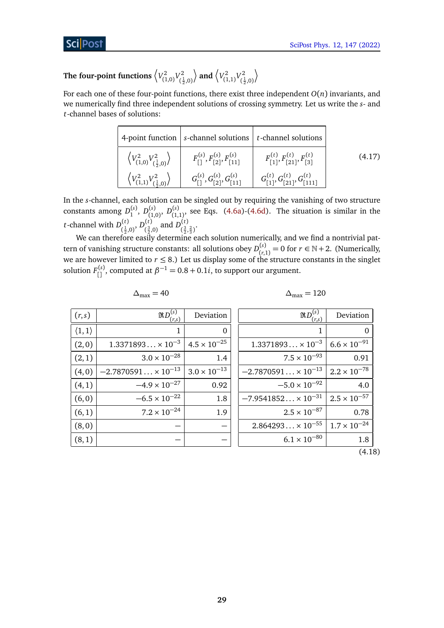#### The four-point functions  $\sqrt[n]{V_{c1}^2}$  $V^2_{(1,0)}V^2_{(\frac{1}{2})}$  $(\frac{1}{2},0)$  $\langle V_{c_1}^2 \rangle$  $V^2_{(1,1)}V^2_{(\frac{1}{2})}$  $(\frac{1}{2},0)$  $\setminus$

For each one of these four-point functions, there exist three independent *O*(*n*) invariants, and we numerically find three independent solutions of crossing symmetry. Let us write the *s*- and *t*-channel bases of solutions:

|                                                                | 4-point function $\left  s\right $ s-channel solutions $\left  t\right $ t-channel solutions |                                                  |        |
|----------------------------------------------------------------|----------------------------------------------------------------------------------------------|--------------------------------------------------|--------|
| $\left\langle V_{(1,0)}^2 V_{(\frac{1}{2},0)}^2 \right\rangle$ | $F_{[1]}^{(s)}$ , $F_{[2]}^{(s)}$ , $F_{[11]}^{(s)}$                                         | $F_{[1]}^{(t)}, F_{[21]}^{(t)}, F_{[3]}^{(t)}$   | (4.17) |
| $\left\langle V_{(1,1)}^2 V_{(\frac{1}{2},0)}^2 \right\rangle$ | $G_{1}^{(s)}, G_{12}^{(s)}, G_{111}^{(s)}$                                                   | $G_{[1]}^{(t)}, G_{[21]}^{(t)}, G_{[111]}^{(t)}$ |        |

In the *s*-channel, each solution can be singled out by requiring the vanishing of two structure constants among  $D_1^{(s)}$ ,  $D_{(1)}^{(s)}$ (1,0) , *D* (*s*)  $(1,1)$  see Eqs. [\(4.6a\)](#page-24-1)-[\(4.6d\)](#page-24-2). The situation is similar in the *t*-channel with  $D_{\ell_1}^{(t)}$  $\bigl(\frac{t}{2},0\bigr),\,D_{\left(\frac{3}{2},\right)}^{(t)}$  $\binom{(t)}{\left(\frac{3}{2},0\right)}$  and  $D_{\left(\frac{3}{2},\right)}^{(t)}$  $\left(\frac{3}{2},\frac{2}{3}\right)$ .

We can therefore easily determine each solution numerically, and we find a nontrivial pattern of vanishing structure constants: all solutions obey  $D_{(r)}^{(s)}$  $f_{(r,1)}^{(s)} = 0$  for  $r \in \mathbb{N} + 2$ . (Numerically, we are however limited to  $r \leq 8$ .) Let us display some of the structure constants in the singlet solution  $F_{[]}^{(s)}$ , computed at  $\beta^{-1} = 0.8 + 0.1i$ , to support our argument.

| (r,s)                | $\Re D^{(s)}$<br>$r_{\rm s}$ | Deviation             |
|----------------------|------------------------------|-----------------------|
| $\langle 1,1\rangle$ | 1                            | O                     |
| (2,0)                | $1.3371893 \times 10^{-3}$   | $4.5 \times 10^{-25}$ |
| (2,1)                | $3.0 \times 10^{-28}$        | 1.4                   |
| (4,0)                | $-2.7870591 \times 10^{-13}$ | $3.0 \times 10^{-13}$ |
| (4,1)                | $-4.9 \times 10^{-27}$       | 0.92                  |
| (6, 0)               | $-6.5 \times 10^{-22}$       | 1.8                   |
| (6, 1)               | $7.2 \times 10^{-24}$        | 1.9                   |
| (8, 0)               |                              |                       |
| (8,1)                |                              |                       |

$$
\Delta_{\text{max}}=40
$$

$$
\Delta_{\text{max}} = 40 \qquad \Delta_{\text{max}} = 120
$$

| NL<br>$r_{s}$                | Deviation             |
|------------------------------|-----------------------|
| 1                            |                       |
| $1.3371893 \times 10^{-3}$   | $6.6 \times 10^{-91}$ |
| $7.5 \times 10^{-93}$        | 0.91                  |
| $-2.7870591 \times 10^{-13}$ | $2.2 \times 10^{-78}$ |
| $-5.0 \times 10^{-92}$       | 4.0                   |
| $-7.9541852 \times 10^{-31}$ | $2.5 \times 10^{-57}$ |
| $2.5 \times 10^{-87}$        | 0.78                  |
| $2.864293 \times 10^{-55}$   | $1.7 \times 10^{-24}$ |
| $6.1 \times 10^{-80}$        | 1.8                   |
|                              |                       |

(4.18)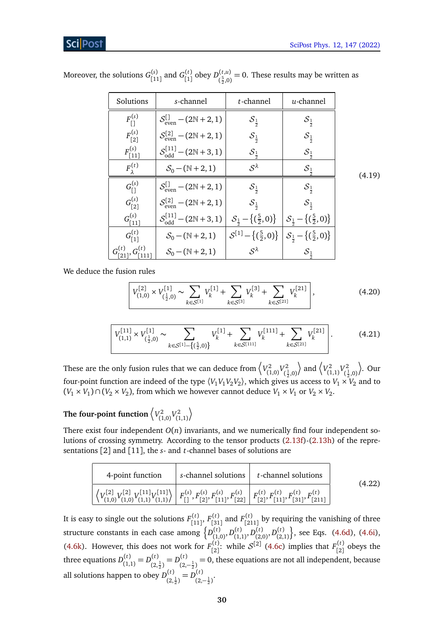## Scil

<span id="page-29-0"></span>

| Solutions                         | s-channel                                                                                                                                                                                               | t-channel                                                                  | $u$ -channel                |        |
|-----------------------------------|---------------------------------------------------------------------------------------------------------------------------------------------------------------------------------------------------------|----------------------------------------------------------------------------|-----------------------------|--------|
| $F_{1}^{(s)}$                     | $S_{\text{even}}^{\text{L}} - (2N + 2, 1)$                                                                                                                                                              | $\mathcal{S}_{\frac{1}{2}}$                                                | $\mathcal{S}_{\frac{1}{2}}$ |        |
| $F_{[2]}^{(s)}$                   | $S_{\text{even}}^{[2]} - (2N + 2, 1)$                                                                                                                                                                   | $\mathcal{S}_{\frac{1}{2}}$                                                | $\mathcal{S}_{\frac{1}{2}}$ |        |
| $F_{[11]}^{(s)}$                  | $S_{\text{odd}}^{[11]}$ – (2N + 3, 1)                                                                                                                                                                   | $\mathcal{S}_{\frac{1}{2}}$                                                | $\mathcal{S}_{\frac{1}{2}}$ |        |
| $F_{\lambda}^{(t)}$               | $S_0 - (N + 2, 1)$                                                                                                                                                                                      | $S^{\lambda}$                                                              | ${\cal S}_{\frac{1}{2}}$    | (4.19) |
| $G_{1}^{(s)}$                     | $S_{\text{even}}^{\text{L}} - (2N + 2, 1)$                                                                                                                                                              | $\mathcal{S}_{\frac{1}{2}}$                                                | ${\cal S}_\frac{1}{2}$      |        |
| $G_{[2]}^{(s)}$                   | $S_{\text{even}}^{[2]} - (2N + 2, 1)$                                                                                                                                                                   | ${\cal S}_{\frac{1}{2}}$                                                   | $S_{\frac{1}{2}}$           |        |
| $G_{[11]}^{(s)}$                  | $S_{\text{odd}}^{[11]} - (2N+3,1) \left  \mathcal{S}_{\frac{1}{2}} - \left\{ \left( \frac{5}{2}, 0 \right) \right\} \right  \mathcal{S}_{\frac{1}{2}} - \left\{ \left( \frac{5}{2}, 0 \right) \right\}$ |                                                                            |                             |        |
| $G_{11}^{(t)}$                    | $S_0 - (N + 2, 1)$                                                                                                                                                                                      | $S^{[1]} - \{(\frac{5}{2},0)\}\Big S_{\frac{1}{2}} - \{(\frac{5}{2},0)\}\$ |                             |        |
| $G_{[21]}^{(t)}, G_{[111]}^{(t)}$ | $S_0 - (N + 2, 1)$                                                                                                                                                                                      | $S^{\lambda}$                                                              | $\mathcal{S}_{\frac{1}{2}}$ |        |

Moreover, the solutions  $G_{\text{L1}}^{(s)}$  $\binom{(s)}{[11]}$  and  $G_{[1]}^{(t)}$ [1] obey *D* (*t*,*u*)  $\binom{S^{(1),i,j}}{S(5,0)}$  = 0. These results may be written as

We deduce the fusion rules

<span id="page-29-3"></span><span id="page-29-2"></span>
$$
\left| V_{(1,0)}^{[2]} \times V_{(\frac{1}{2},0)}^{[1]} \sim \sum_{k \in S^{[1]}} V_k^{[1]} + \sum_{k \in S^{[3]}} V_k^{[3]} + \sum_{k \in S^{[21]}} V_k^{[21]} \right|, \tag{4.20}
$$

$$
V_{(1,1)}^{[11]}\times V_{(\frac{1}{2},0)}^{[1]}\sim \sum_{k\in\mathcal{S}^{[1]}-\{(\frac{5}{2},0)\}} V_k^{[1]} + \sum_{k\in\mathcal{S}^{[111]}} V_k^{[111]} + \sum_{k\in\mathcal{S}^{[21]}} V_k^{[21]} \Bigg].
$$
 (4.21)

These are the only fusion rules that we can deduce from  $\left\langle V_{\ell 1}^2 \right\rangle$  $V^2_{(1,0)}V^2_{(\frac{1}{2})}$  $(\frac{1}{2}, 0)$  $\langle V_{c_1}^2$  $V^2_{(1,1)}V^2_{(\frac{1}{2})}$  $(\frac{1}{2},0)$ ¶ . Our four-point function are indeed of the type  $\langle V_1V_1V_2V_2\rangle$ , which gives us access to  $V_1\times V_2$  and to  $(V_1 \times V_1) \cap (V_2 \times V_2)$ , from which we however cannot deduce  $V_1 \times V_1$  or  $V_2 \times V_2$ .

The four-point function  $\left\langle V_{C_1}^2 \right\rangle$  $V^2_{(1,0)}V^2_{(1)}$ (1,1)  $\setminus$ 

There exist four independent  $O(n)$  invariants, and we numerically find four independent solutions of crossing symmetry. According to the tensor products [\(2.13f\)](#page-7-1)-[\(2.13h\)](#page-8-1) of the representations [2] and [11], the *s*- and *t*-channel bases of solutions are

<span id="page-29-1"></span>

| 4-point function                                                                                                                                                                                                                                                                                                                         | $ s$ -channel solutions $ t$ -channel solutions | (4.22) |
|------------------------------------------------------------------------------------------------------------------------------------------------------------------------------------------------------------------------------------------------------------------------------------------------------------------------------------------|-------------------------------------------------|--------|
| $\left\langle V_{(1,0)}^{[2]} V_{(1,0)}^{[1]} V_{(1,1)}^{[11]} V_{(1,1)}^{[11]} \right\rangle \bigg  F_{\lceil 1}^{(s)}, F_{\lceil 2 \rceil}^{(s)}, F_{\lceil 11 \rceil}^{(s)}, F_{\lceil 22 \rceil}^{(s)} \bigg  F_{\lceil 2 \rceil}^{(t)}, F_{\lceil 11 \rceil}^{(t)}, F_{\lceil 31 \rceil}^{(t)}, F_{\lceil 211 \rceil}^{(t)} \bigg $ |                                                 |        |

It is easy to single out the solutions  $F_{r_{11}}^{(t)}$ [11] , *F* (*t*)  $F^{(t)}_{[31]}$  and  $F^{(t)}_{[21]}$  $\binom{10}{211}$  by requiring the vanishing of three structure constants in each case among  $\{D_{t_1}^{(t)}\}$  $\big( \begin{matrix} (t) \ (1,0) \end{matrix} , D \big( \begin{matrix} (t) \ (1,0) \end{matrix} \big)$  $\bigl( \begin{smallmatrix} (t) \ (1,1) \end{smallmatrix} \bigr)$ ,  $D^{(t)}_{(2,1)}$  $D_{(2,0)}^{(t)}, D_{(2,0)}^{(t)}$ (2,1) © , see Eqs. [\(4.6d\)](#page-24-2), [\(4.6i\)](#page-25-1), [\(4.6k\)](#page-25-2). However, this does not work for  $F_{\text{r2}}^{(t)}$  $\binom{f(t)}{[2]}$ : while  $S^{[2]}$  [\(4.6c\)](#page-24-3) implies that  $F^{(t)}_{[2]}$  $\binom{11}{2}$  obeys the three equations  $D_{(1)}^{(t)}$  $D_{(1,1)}^{(t)} = D_{(2)}^{(t)}$  $L_{(2,\frac{1}{2})}^{(t)} = D_{(2,\frac{1}{2})}^{(t)}$  $\binom{10}{(2,-\frac{1}{2})}$  = 0, these equations are not all independent, because all solutions happen to obey  $D_{\alpha}^{(t)}$  $L_{(2,\frac{1}{2})}^{(t)} = D_{(2,\frac{1}{2})}^{(t)}$  $\frac{(t)}{(2,-\frac{1}{2})}$ .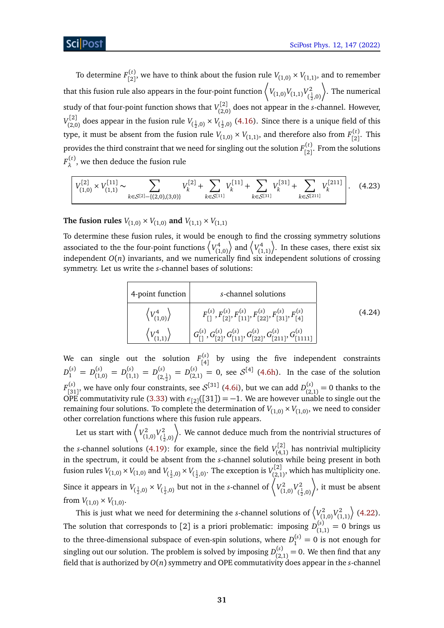To determine  $F_{[2]}^{(t)}$  $\binom{f(t)}{[2]}$ , we have to think about the fusion rule  $V_{(1,0)} \times V_{(1,1)}$ , and to remember that this fusion rule also appears in the four-point function  $\left\langle V_{(1,0)} V_{(1,1)} V_{(1,1)}^2 \right\rangle$  $(\frac{1}{2},0)$ · . The numerical study of that four-point function shows that  $V_{QQ}^{[2]}$  $\binom{[2,0]}{(2,0)}$  does not appear in the *s*-channel. However,  $V_{(2)}^{[2]}$  $V_{(2,0)}^{[2]}$  does appear in the fusion rule  $V_{(\frac{1}{2},0)} \times V_{(\frac{1}{2},0)}$  [\(4.16\)](#page-27-1). Since there is a unique field of this type, it must be absent from the fusion rule  $V_{(1,0)} \times V_{(1,1)}$ , and therefore also from  $F_{[2]}^{(t)}$  $\binom{11}{2}$ . This provides the third constraint that we need for singling out the solution  $F_{[2]}^{(t)}$  $\binom{1}{2}$ . From the solutions  $F_{\lambda}^{(t)}$  $\lambda^{(1)}$ , we then deduce the fusion rule

$$
V_{(1,0)}^{[2]} \times V_{(1,1)}^{[11]} \sim \sum_{k \in S^{[2]} - \{(2,0),(3,0)\}} V_k^{[2]} + \sum_{k \in S^{[11]}} V_k^{[11]} + \sum_{k \in S^{[31]}} V_k^{[31]} + \sum_{k \in S^{[211]}} V_k^{[211]} \Bigg| \, . \tag{4.23}
$$

**The fusion rules**  $V_{(1,0)} \times V_{(1,0)}$  and  $V_{(1,1)} \times V_{(1,1)}$ 

To determine these fusion rules, it would be enough to find the crossing symmetry solutions associated to the the four-point functions  $\langle V_{0}^4 \rangle$ (1,0)  $\langle V_{c_1}^4$ (1,1) ¶ . In these cases, there exist six independent *O*(*n*) invariants, and we numerically find six independent solutions of crossing symmetry. Let us write the *s*-channel bases of solutions:

<span id="page-30-0"></span>4-point function  
\n
$$
\begin{array}{c|c}\n\left\langle V_{(1,0)}^4 \right\rangle & F_{[1]}^{(s)}, F_{[2]}^{(s)}, F_{[11]}^{(s)}, F_{[22]}^{(s)}, F_{[31]}^{(s)}, F_{[4]}^{(s)} \\
\left\langle V_{(1,1)}^4 \right\rangle & G_{[1]}^{(s)}, G_{[2]}^{(s)}, G_{[11]}^{(s)}, G_{[22]}^{(s)}, G_{[211]}^{(s)}, G_{[1111]}^{(s)}\n\end{array}
$$
\n(4.24)

We can single out the solution  $F_{\text{A}}^{(s)}$  $\begin{bmatrix} 1.6 & 1.6 \\ 1.6 & 1.6 \end{bmatrix}$  by using the five independent constraints  $D_1^{(s)} = D_{(1)}^{(s)}$  $\binom{(s)}{(1,0)} = D_{(1)}^{(s)}$  $\binom{(s)}{(1,1)} = D_{(2)}^{(s)}$  $\binom{(s)}{(2,\frac{1}{2})} = D_{(2)}^{(s)}$  $\binom{(s)}{(2,1)}$  = 0, see  $S^{[4]}$  [\(4.6h\)](#page-25-3). In the case of the solution  $F_{\text{F21}}^{(s)}$  $\binom{s}{[31]}$ , we have only four constraints, see  $\mathcal{S}^{[31]}$  [\(4.6i\)](#page-25-1), but we can add  $D_{(2)}^{(s)}$  $\binom{3}{2,1}$  = 0 thanks to the OPE commutativity rule [\(3.33\)](#page-19-1) with  $\epsilon_{[2]}([31]) = -1$ . We are however unable to single out the remaining four solutions. To complete the determination of  $V_{(1,0)} \times V_{(1,0)}$ , we need to consider other correlation functions where this fusion rule appears.

Let us start with  $\langle V_{0}^2 \rangle$  $V^2_{(1,0)}V^2_{(\frac{1}{2})}$  $(\frac{1}{2}, 0)$ 2 · . We cannot deduce much from the nontrivial structures of the *s*-channel solutions [\(4.19\)](#page-29-0): for example, since the field  $V_{(4)}^{[2]}$  $\binom{n^2}{4,1}$  has nontrivial multiplicity in the spectrum, it could be absent from the *s*-channel solutions while being present in both fusion rules  $V_{(1,0)} \times V_{(1,0)}$  and  $V_{(\frac{1}{2},0)} \times V_{(\frac{1}{2},0)}$ . The exception is  $V_{(2,1)}^{[2]}$  $\sum_{(2,1)}^{r[2]}$ , which has multiplicity one. Since it appears in  $V_{(\frac{1}{2},0)} \times V_{(\frac{1}{2},0)}$  but not in the *s*-channel of  $\begin{pmatrix} V_{(1)}^2 & V_{(2)}^2 & V_{(2)} & V_{(2)} & V_{(2)} & V_{(2)} & V_{(2)} & V_{(2)} & V_{(2)} & V_{(2)} & V_{(2)} & V_{(2)} & V_{(2)} & V_{(2)} & V_{(2)} & V_{(2)} & V_{(2)} & V_{(2)} & V_{(2)} & V_{(2)} & V_{(2)} & V_{(2)} & V$  $V^2_{(1,0)}V^2_{(\frac{1}{2})}$  $(\frac{1}{2}, 0)$ · , it must be absent from  $V_{(1,0)} \times V_{(1,0)}$ .

This is just what we need for determining the *s*-channel solutions of  $\langle V_{(1)}^2 \rangle$  $V^2_{(1,0)}V^2_{(1)}$ (1,1)  $\rangle$  [\(4.22\)](#page-29-1). The solution that corresponds to [2] is a priori problematic: imposing  $D_{(1)}^{(s)}$  $\int_{(1,1)}^{(3)} = 0$  brings us to the three-dimensional subspace of even-spin solutions, where  $D_1^{(s)} = 0$  is not enough for singling out our solution. The problem is solved by imposing  $D_{(2)}^{(s)}$  $\binom{(S)}{(2,1)}$  = 0. We then find that any field that is authorized by *O*(*n*) symmetry and OPE commutativity does appear in the *s*-channel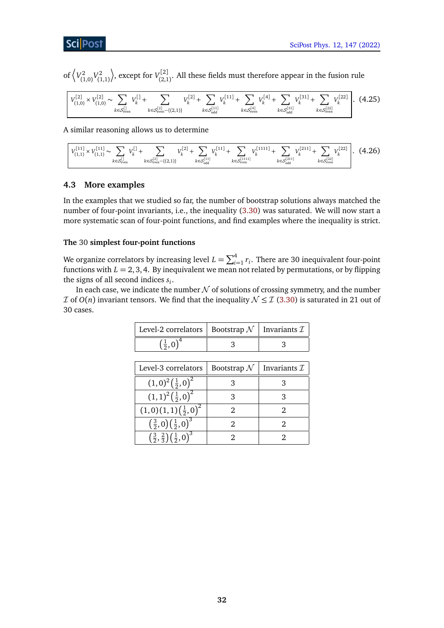# **ScilPost**

of  $\sqrt{V_{12}^2}$  $V^2_{(1,0)}V^2_{(1)}$ (1,1)  $\langle \rangle$ , except for  $V_{(2)}^{[2]}$  $\sum_{(2,1)}^{(2)}$ . All these fields must therefore appear in the fusion rule

<span id="page-31-1"></span>
$$
\left[ V_{(1,0)}^{[2]} \times V_{(1,0)}^{[2]} \sim \sum_{k \in \mathcal{S}_{even}^{[1]}} V_k^{[1]} + \sum_{k \in \mathcal{S}_{even}^{[2]} - \{(2,1)\}} V_k^{[2]} + \sum_{k \in \mathcal{S}_{odd}^{[11]}} V_k^{[11]} + \sum_{k \in \mathcal{S}_{even}^{[4]}} V_k^{[4]} + \sum_{k \in \mathcal{S}_{odd}^{[31]}} V_k^{[31]} + \sum_{k \in \mathcal{S}_{even}^{[22]}} V_k^{[22]} \right].
$$
 (4.25)

A similar reasoning allows us to determine

<span id="page-31-2"></span>
$$
\left[ V_{(1,1)}^{[11]} \times V_{(1,1)}^{[11]} \sim \sum_{k \in \mathcal{S}_{\text{even}}^{[1]}} V_k^{[1]} + \sum_{k \in \mathcal{S}_{\text{even}}^{[2]} - \{(2,1)\}} V_k^{[2]} + \sum_{k \in \mathcal{S}_{\text{odd}}^{[11]}} V_k^{[111]} + \sum_{k \in \mathcal{S}_{\text{even}}^{[1111]}} V_k^{[1111]} + \sum_{k \in \mathcal{S}_{\text{odd}}^{[211]}} V_k^{[211]} + \sum_{k \in \mathcal{S}_{\text{even}}^{[221]}} V_k^{[222]} \right]. \tag{4.26}
$$

## <span id="page-31-0"></span>**4.3 More examples**

In the examples that we studied so far, the number of bootstrap solutions always matched the number of four-point invariants, i.e., the inequality [\(3.30\)](#page-18-0) was saturated. We will now start a more systematic scan of four-point functions, and find examples where the inequality is strict.

## **The** 30 **simplest four-point functions**

We organize correlators by increasing level  $L = \sum_{i=1}^{4} r_i$ . There are 30 inequivalent four-point functions with  $L = 2, 3, 4$ . By inequivalent we mean not related by permutations, or by flipping the signs of all second indices *s<sup>i</sup>* .

In each case, we indicate the number  $\mathcal N$  of solutions of crossing symmetry, and the number *I* of *O*(*n*) invariant tensors. We find that the inequality  $N \leq I$  [\(3.30\)](#page-18-0) is saturated in 21 out of 30 cases.

| Level-2 correlators   Bootstrap $\mathcal{N}$   Invariants $\mathcal{I}$ |  |
|--------------------------------------------------------------------------|--|
|                                                                          |  |

| Level-3 correlators                                                | Bootstrap $\mathcal N$ | Invariants $\mathcal I$ |
|--------------------------------------------------------------------|------------------------|-------------------------|
| $(1,0)^2(\frac{1}{2},0)^2$                                         |                        |                         |
| $(1,1)^2(\frac{1}{2},0)^2$                                         | 3                      | З                       |
| $(1,0)(1,1)(\frac{1}{2},0)^2$                                      | 2                      | 2                       |
| $\left(\frac{3}{2},0\right)\left(\frac{1}{2},0\right)^3$           | 2                      | 2                       |
| $\left(\frac{3}{2},\frac{2}{3}\right)\left(\frac{1}{2},0\right)^3$ |                        |                         |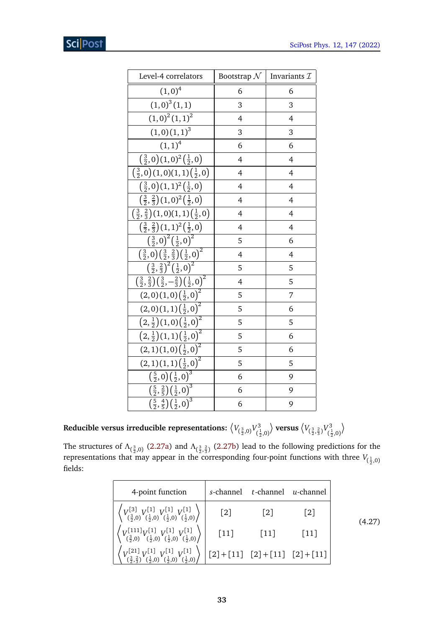| Level-4 correlators                                                                                     | Bootstrap $\mathcal N$ | Invariants $\mathcal I$ |
|---------------------------------------------------------------------------------------------------------|------------------------|-------------------------|
| $(1,0)^4$                                                                                               | 6                      | 6                       |
| $(1,0)^3(1,1)$                                                                                          | 3                      | 3                       |
| $(1,0)^2(1,1)^2$                                                                                        | 4                      | $\overline{4}$          |
| $(1,0)(1,1)^3$                                                                                          | 3                      | 3                       |
| $(1,1)^4$                                                                                               | 6                      | 6                       |
| $\left(\frac{3}{2},0\right)(1,0)^2\left(\frac{1}{2},0\right)$                                           | 4                      | 4                       |
| $\left(\frac{3}{2},0\right)$ $(1,0)$ $(1,1)$ $\left(\frac{1}{2},0\right)$                               | 4                      | $\overline{4}$          |
| $\left(\frac{3}{2},0\right)(1,1)^2\left(\frac{1}{2},0\right)$                                           | 4                      | 4                       |
| $\left(\frac{3}{2},\frac{2}{3}\right)(1,0)^2\left(\frac{1}{2},0\right)$                                 | 4                      | $\overline{4}$          |
| $\left(\frac{3}{2},\frac{2}{3}\right)(1,0)(1,1)\left(\frac{1}{2},0\right)$                              | 4                      | 4                       |
| $\left(\frac{3}{2},\frac{2}{3}\right)(1,1)^2\left(\frac{1}{2},0\right)$                                 | 4                      | $\overline{4}$          |
| $\left(\frac{3}{2},0\right)^2\left(\frac{1}{2},0\right)^2$                                              | 5                      | 6                       |
| $\left(\frac{3}{2},0\right)\left(\frac{3}{2},\frac{2}{3}\right)\left(\frac{1}{2},0\right)^2$            | $\overline{4}$         | $\overline{4}$          |
| $\left(\frac{3}{2},\frac{2}{3}\right)^2\left(\frac{1}{2},0\right)^2$                                    | 5                      | 5                       |
| $\left(\frac{3}{2},\frac{2}{3}\right)\left(\frac{3}{2},-\frac{2}{3}\right)\left(\frac{1}{2},0\right)^2$ | 4                      | 5                       |
| $(2,0)(1,0)(\frac{1}{2},0)^2$                                                                           | 5                      | 7                       |
| $(2,0)(1,1)(\frac{1}{2},0)^2$                                                                           | 5                      | 6                       |
| $(2,\frac{1}{2})(1,0)(\frac{1}{2},0)^2$                                                                 | 5                      | 5                       |
| $(2,\frac{1}{2})(1,1)(\frac{1}{2},0)^2$                                                                 | 5                      | 6                       |
| $(2,1)(1,0)(\overline{\frac{1}{2},0})^2$                                                                | 5                      | 6                       |
| $(2,1)(1,1)(\frac{1}{2},0)^2$                                                                           | 5                      | 5                       |
| $\left(\frac{5}{2},0\right)\left(\frac{1}{2},0\right)^3$                                                | 6                      | 9                       |
| $\left(\frac{5}{2},\frac{2}{5}\right)\left(\overline{\frac{1}{2},0}\right)^3$                           | 6                      | 9                       |
| $\left(\frac{5}{2},\frac{4}{5}\right)\left(\overline{\frac{1}{2},0}\right)^3$                           | 6                      | 9                       |

Reducible versus irreducible representations:  $\left\langle V_{(\frac{3}{2},0)} V_{(\frac{3}{2})}^3 \right\rangle$  $(\frac{1}{2}, 0)$  $\langle V_{(\frac{3}{2},\frac{2}{3})}V_{(\frac{3}{2})}^3\rangle$  $(\frac{1}{2}, 0)$  $\left\langle \right\rangle$ 

The structures of  $\Lambda_{(\frac{3}{2},0)}$  [\(2.27a\)](#page-5-2) and  $\Lambda_{(\frac{3}{2},\frac{2}{3})}$  [\(2.27b\)](#page-5-4) lead to the following predictions for the representations that may appear in the corresponding four-point functions with three  $V_{(\frac{1}{2},0)}$ fields:

| 4-point function                                                                                                                     |                                                                                                      | s-channel t-channel u-channel |                   |  |
|--------------------------------------------------------------------------------------------------------------------------------------|------------------------------------------------------------------------------------------------------|-------------------------------|-------------------|--|
| $\left\langle V^{[3]}_{(\frac{3}{2},0)} V^{[1]}_{(\frac{1}{2},0)} V^{[1]}_{(\frac{1}{2},0)} V^{[1]}_{(\frac{1}{2},0)} \right\rangle$ | $\lceil 2 \rceil$                                                                                    | $\lceil 2 \rceil$             | $\lceil 2 \rceil$ |  |
| $\left\langle V_{(\frac{3}{2},0)}^{[111]}V_{(\frac{1}{2},0)}^{[1]}V_{(\frac{1}{2},0)}^{[1]}V_{(\frac{1}{2},0)}^{[1]}\right\rangle$   | $[11]$                                                                                               | $[11]$                        | $[11]$            |  |
| $\left(V^{[21]}_{(\frac{3}{2},\frac{2}{3})}V^{[1]}_{(\frac{1}{2},0)}V^{[1]}_{(\frac{1}{2},0)}V^{[1]}_{(\frac{1}{2},0)}\right)$       | $\left(2\right) + \left[11\right] \left[2\right] + \left[11\right] \left[2\right] + \left[11\right]$ |                               |                   |  |

(4.27)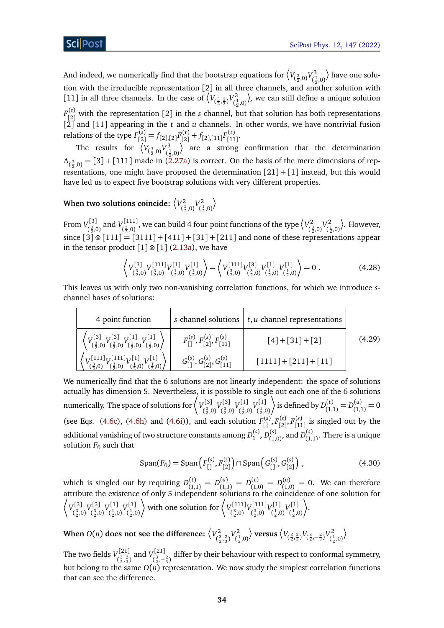And indeed, we numerically find that the bootstrap equations for  $\big\langle V_{(\frac{3}{2},0)} V^3_{(\frac{1}{2},0)} \big\rangle$ tion with the irreducible representation [2] in all three channels, and another solution with have one solu-[11] in all three channels. In the case of  $\left\langle V_{(\frac{3}{2},\frac{2}{3})}V_{(\frac{3}{2})}^3 \right\rangle$  $(\frac{1}{2}, 0)$ 2 , we can still define a unique solution  $F_{\lceil 2 \rceil}^{(s)}$  $\binom{8}{2}$  with the representation [2] in the *s*-channel, but that solution has both representations [2] and [11] appearing in the *t* and *u* channels. In other words, we have nontrivial fusion relations of the type *F* (*s*)  $f_{[2]}^{(s)} = f_{[2],[2]} F_{[2]}^{(t)}$  $f_{[2]}^{(t)} + f_{[2],[11]} F_{[11]}^{(t)}$ ,(*ι)*<br>[11]'

The results for  $\left\langle V_{(\frac{3}{2},0)} V_{(\frac{1}{2})}^3 \right\rangle$  $(\frac{1}{2},0)$  are a strong confirmation that the determination  $\Lambda_{(\frac{3}{2},0)} = [3] + [111]$  made in [\(2.27a\)](#page-5-2) is correct. On the basis of the mere dimensions of representations, one might have proposed the determination  $[21] + [1]$  instead, but this would have led us to expect five bootstrap solutions with very different properties.

When two solutions coincide:  $\langle V_{cs}^2 \rangle$  $V^2_{(\frac{3}{2},0)}V^2_{(\frac{1}{2})}$  $(\frac{1}{2}, 0)$  $\backslash$ 

From  $V_{\epsilon^3}^{[3]}$  $\binom{[3]}{\frac{3}{2},0}$  and  $\binom{[111]}{(\frac{3}{2},0)}$  $\binom{[111]}{(\frac{3}{2},0)}$ , we can build 4 four-point functions of the type  $\left\langle V_{(\frac{3}{2},0)}^2 \right\rangle$  $V_{(\frac{3}{2},0)}^2V_{(\frac{3}{2})}^2$  $(\frac{1}{2},0)$  . However, since  $\boxed{3}$  ⊗  $\boxed{111}$  =  $\boxed{3111}$  +  $\boxed{411}$  +  $\boxed{31}$  +  $\boxed{211}$  and none of these representations appear in the tensor product  $[1] \otimes [1]$  [\(2.13a\)](#page-5-2), we have

<span id="page-33-0"></span>
$$
\left\langle V_{(\frac{3}{2},0)}^{[3]} V_{(\frac{3}{2},0)}^{[111]} V_{(\frac{1}{2},0)}^{[1]} V_{(\frac{1}{2},0)}^{[1]} \right\rangle = \left\langle V_{(\frac{3}{2},0)}^{[111]} V_{(\frac{3}{2},0)}^{[3]} V_{(\frac{1}{2},0)}^{[1]} V_{(\frac{1}{2},0)}^{[1]} \right\rangle = 0.
$$
 (4.28)

This leaves us with only two non-vanishing correlation functions, for which we introduce *s*channel bases of solutions:

| 4-point function                                                                                                                         |                                                | s-channel solutions $\mid t, u$ -channel representations |        |
|------------------------------------------------------------------------------------------------------------------------------------------|------------------------------------------------|----------------------------------------------------------|--------|
| $\left\langle V_{(\frac{3}{2},0)}^{[3]} V_{(\frac{3}{2},0)}^{[3]} V_{(\frac{1}{2},0)}^{[1]} V_{(\frac{1}{2},0)}^{[1]} \right\rangle$     | $F_{[1]}^{(s)}, F_{[2]}^{(s)}, F_{[11]}^{(s)}$ | $[4]+[31]+[2]$                                           | (4.29) |
| $\left\langle V^{[111]}_{(\frac{3}{2},0)} V^{[111]}_{(\frac{3}{2},0)} V^{[1]}_{(\frac{1}{2},0)} V^{[1]}_{(\frac{1}{2},0)} \right\rangle$ | $G_{[1]}^{(s)}, G_{[2]}^{(s)}, G_{[11]}^{(s)}$ | $[1111] + [211] + [11]$                                  |        |

We numerically find that the 6 solutions are not linearly independent: the space of solutions actually has dimension 5. Nevertheless, it is possible to single out each one of the 6 solutions numerically. The space of solutions for  $\left\langle V_{c_3}^{[3]} \right\rangle$ ,[3]  $V^{[3]}_{(\frac{3}{2},0)}$ <br>( $\frac{3}{2}$ ,0) ,[3]  $V^{[1]}_{(\frac{3}{2},0)}$ <br>( $\frac{3}{2}$ ,0) ,[1]  $V^{[1]}_{(\frac{1}{2},0)}$ <br>( $\frac{1}{2}$ ,0)  $(\frac{1}{2},0)$  $\bigg\}$  is defined by  $D_{(1)}^{(t)}$  $D_{(1,1)}^{(t)} = D_{(1)}^{(u)}$  $\binom{u_j}{(1,1)}=0$ (see Eqs. [\(4.6c\)](#page-24-3), [\(4.6h\)](#page-25-3) and [\(4.6i\)](#page-25-1)), and each solution  $F_{[}^{(s)}, F_{[2]}^{(s)}$ [2] , *F* (*s*)  $\binom{13}{11}$  is singled out by the additional vanishing of two structure constants among  $D_1^{(s)}, D_{(1)}^{(s)}$  $D_{(1,0)}^{(s)}$ , and  $D_{(1,0)}^{(s)}$  $\binom{S}{1,1}$ . There is a unique solution  $F_0$  such that

$$
Span(F_0) = Span\left(F_{[1]}^{(s)}, F_{[2]}^{(s)}\right) \cap Span\left(G_{[1]}^{(s)}, G_{[2]}^{(s)}\right) ,\tag{4.30}
$$

which is singled out by requiring  $D_{(1)}^{(t)}$  $D_{(1,1)}^{(t)} = D_{(1)}^{(u)}$  $D_{(1,1)}^{(u)} = D_{(1,1)}^{(t)}$  $D_{(1,0)}^{(t)} = D_{(1,0)}^{(u)}$  $\binom{u}{1,0}$  = 0. We can therefore attribute the existence of only 5 independent solutions to the coincidence of one solution for  $\langle V_{c^3}^{[3]} \rangle$ ,[3]  $V^{[3]}_{(\frac{3}{2},0)}$ <br>( $\frac{3}{2}$ ,0) ,[3]  $V^{[1]}_{(\frac{3}{2},0)}$ <br>( $\frac{3}{2}$ ,0)  $(\frac{1}{2},0)$ ,[1]  $V^{[1]}_{(\frac{1}{2},0)}$ <br>( $\frac{1}{2}$ ,0)  $(\frac{1}{2}, 0)$ with one solution for  $\langle V_{\ell 3}^{[111]} \rangle$ <sub>7</sub>[111]<sub>*V*</sub>[111]</sup><br>( $\frac{3}{2}$ ,0)<sup>*(* $\frac{3}{2}$ </sup>,0) ,[111]<sub>V</sub>[1]<br>( $\frac{3}{2}$ ,0)<sup>( $\frac{1}{2}$ ,0</sup> ,[1]  $V^{[1]}_{(\frac{1}{2},0)}$ <br>( $\frac{1}{2}$ ,0)  $(\frac{1}{2}, 0)$  $\bigg\}$ .

When  $O(n)$  does not see the difference:  $\left\langle V_{\epsilon}^{2}\right\rangle$  $V^2_{(\frac{3}{2},\frac{2}{3})}V^2_{(\frac{1}{2})}$  $(\frac{1}{2},0)$  $\big\{\text{versus}\, \big\{V_{(\frac{3}{2},\frac{2}{3})}V_{(\frac{3}{2},-\frac{2}{3})}V_{(\frac{3}{2},\frac{1}{3})}^2\big\}$  $(\frac{1}{2},0)$  $\setminus$ 

The two fields  $V_{c3/2}^{[21]}$ <sup>,[21]</sup> and  $V^{[21]}_{(\frac{3}{2},\frac{2}{3})}$  and  $V^{[21]}_{(\frac{3}{2},-)}$  $(\frac{3}{2},-\frac{2}{3})$  differ by their behaviour with respect to conformal symmetry, but belong to the same  $O(n)$  representation. We now study the simplest correlation functions that can see the difference.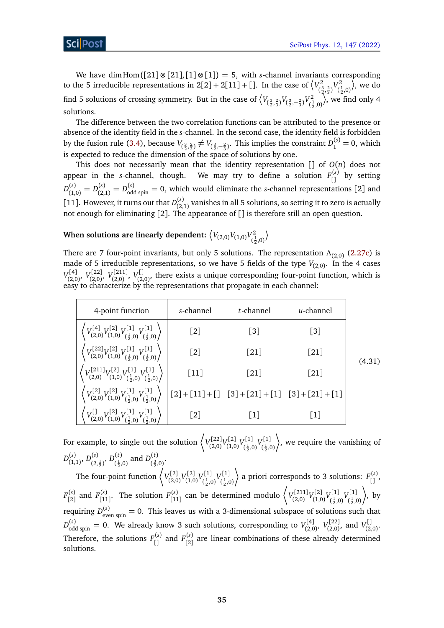(4.31)

We have dim Hom  $([21] \otimes [21], [1] \otimes [1]) = 5$ , with *s*-channel invariants corresponding to the 5 irreducible representations in  $2[2]+2[11]+[$ ]. In the case of  $\left\langle V_{\ell}^{2}\right\rangle$  $V^2_{(\frac{3}{2},\frac{2}{3})}V^2_{(\frac{3}{2})}$  $(\frac{1}{2},0)$  $\rangle$ , we do find 5 solutions of crossing symmetry. But in the case of  $\left\langle V_{(\frac{3}{2},\frac{2}{3})}V_{(\frac{3}{2},-\frac{2}{3})}^2V_{(\frac{3}{2},-\frac{2}{3})}^2 \right\rangle$  $(\frac{1}{2},0)$  $\rangle$ , we find only 4 solutions.

The difference between the two correlation functions can be attributed to the presence or absence of the identity field in the *s*-channel. In the second case, the identity field is forbidden by the fusion rule [\(3.4\)](#page-13-1), because  $V_{(\frac{3}{2},\frac{2}{3})} \neq V_{(\frac{3}{2},-\frac{2}{3})}$ . This implies the constraint  $D_1^{(s)} = 0$ , which is expected to reduce the dimension of the space of solutions by one.

This does not necessarily mean that the identity representation [] of *O*(*n*) does not appear in the *s*-channel, though. We may try to define a solution  $F_{\text{c}}^{(s)}$  by setting  $D_{(1)}^{(s)}$  $L_{(1,0)}^{(s)} = D_{(2)}^{(s)}$  $D_{\text{odd spin}}^{(s)} = D_{\text{odd spin}}^{(s)} = 0$ , which would eliminate the *s*-channel representations [2] and [11]. However, it turns out that  $D_{(2)}^{(s)}$  $\sum_{(2,1)}^{(3)}$  vanishes in all 5 solutions, so setting it to zero is actually not enough for eliminating [2]. The appearance of [] is therefore still an open question.

#### When solutions are linearly dependent:  $\left\langle V_{(2,0)} V_{(1,0)} V_{(2,0)}^2 \right\rangle$  $(\frac{1}{2},0)$ 2  $\setminus$

There are 7 four-point invariants, but only 5 solutions. The representation *Λ*(2,0) [\(2.27c\)](#page-5-3) is made of 5 irreducible representations, so we have 5 fields of the type  $V_{(2,0)}$ . In the 4 cases  $V_{(2)}^{[4]}$ (2,0) , *V* [22] ,[22] *V*[211]<br>(2,0)' *V*<sub>(2,0)</sub> <sup>,[211]</sup>, V<sup>[]</sup><br>(2,0) , <sup>V</sup>(2,  $\mathcal{L}_{(2,0)}^{(1)}$ , there exists a unique corresponding four-point function, which is easy to characterize by the representations that propagate in each channel:

| 4-point function                                                                                                                          | s-channel         | t-channel                                                                                                                                                                                                                                                                                                               | $u$ -channel      |       |
|-------------------------------------------------------------------------------------------------------------------------------------------|-------------------|-------------------------------------------------------------------------------------------------------------------------------------------------------------------------------------------------------------------------------------------------------------------------------------------------------------------------|-------------------|-------|
| $\left\langle V_{(2,0)}^{[4]}\tV_{(1,0)}^{[2]}\tV_{(\frac{1}{2},0)}^{[1]}\tV_{(\frac{1}{2},0)}^{[1]}\right\rangle \; \Big _{\frac{1}{2}}$ | $\lceil 2 \rceil$ | $\lceil 3 \rceil$                                                                                                                                                                                                                                                                                                       | $\lceil 3 \rceil$ |       |
| $\left\langle V_{(2,0)}^{[22]}V_{(1,0)}^{[2]}V_{(\frac{1}{2},0)}^{[1]}V_{(\frac{1}{2},0)}^{[1]}\right\rangle$                             | $\lceil 2 \rceil$ | $\lceil 21 \rceil$                                                                                                                                                                                                                                                                                                      | $[21]$            | (4.3) |
| $\left(V^{[211]}_{(2,0)}V^{[2]}_{(1,0)}V^{[1]}_{(\frac{1}{2},0)}V^{[1]}_{(\frac{1}{2},0)}\right)$                                         | $[11]$            | $\lceil 21 \rceil$                                                                                                                                                                                                                                                                                                      | $[21]$            |       |
| $\left\langle V^{[2]}_{(2,0)} V^{[2]}_{(1,0)} V^{[1]}_{(\frac{1}{2},0)} V^{[1]}_{(\frac{1}{2},0)} \right\rangle$                          |                   | $\begin{bmatrix} 2 \end{bmatrix} + \begin{bmatrix} 11 \end{bmatrix} + \begin{bmatrix} 1 \end{bmatrix} + \begin{bmatrix} 3 \end{bmatrix} + \begin{bmatrix} 21 \end{bmatrix} + \begin{bmatrix} 11 \end{bmatrix} + \begin{bmatrix} 31 \end{bmatrix} + \begin{bmatrix} 21 \end{bmatrix} + \begin{bmatrix} 11 \end{bmatrix}$ |                   |       |
| $\left\langle V_{(2,0)}^{[1]} V_{(1,0)}^{[2]} V_{(\frac{1}{2},0)}^{[1]} V_{(\frac{1}{2},0)}^{[1]} \right\rangle$                          | $\lceil 2 \rceil$ | 1                                                                                                                                                                                                                                                                                                                       | $[1]$             |       |

For example, to single out the solution  $\left\langle V^{[22]}_{(2)0} \right\rangle$ r[22]<sub>V</sub>[2]<br>(2,0)<sup>V</sup>(1,0 r<sup>[2]</sup> V<sup>[1]</sup><br>(1,0) (1,1) ,[1]  $V^{[1]}_{(\frac{1}{2},0)}$ <br>( $\frac{1}{2}$ ,0)  $(\frac{1}{2},0)$ · , we require the vanishing of  $D_{(1)}^{(s)}$  $\binom{(s)}{(1,1)}, D\binom{(s)}{(2,1)}$  $\frac{(s)}{(2,\frac{1}{2})}, D^{(t)}_{(\frac{1}{2}, \frac{1}{2})}$  $\binom{(t)}{\frac{1}{2},0}$  and  $D_{(\frac{3}{2},)}^{(t)}$  $\frac{1}{2}$ ( $\frac{3}{2}$ ,0)<sup>\*</sup>

The four-point function  $\langle V_{Q}^{[2]} \rangle$ (2,0) *V* [2] (1,0) *V* [1] r[1]  $V^{[1]}_{(\frac{1}{2},0)}$ <br>( $\frac{1}{2}$ ,0)  $(\frac{1}{2}, 0)$ a priori corresponds to 3 solutions:  $F_{\begin{bmatrix} 0 \\ 1 \end{bmatrix}}^{(s)}$ ,  $F_{[2]}^{(s)}$  and  $F_{[11]}^{(s)}$ . The solution  $F_{[11]}^{(s)}$  can be determined modulo  $\left\langle V_{(2,0)}^{[211]}V_{(1,0)}^{[2]}V_{(\frac{1}{2},0)}^{[1]}V_{(\frac{1}{2},0)}^{[1]}\right\rangle$ , by (*s*) and  $F^{(s)}$  The colution  $F^{(s)}$  can be determined modulo  $\bigg\{V^{[211]}_V[2]_V[1]_V[1]\bigg\}$ requiring  $D_{\text{even spin}}^{(s)} = 0$ . This leaves us with a 3-dimensional subspace of solutions such that  $D_{\rm odd\ spin}^{(s)}=0.$  We already know 3 such solutions, corresponding to  $V_{(2,\mathbb{C})}^{[4]}$ (2,0) , *V* [22]  $V_{(2,0)}^{[22]}$ , and  $V_{(2)}^{[1]}$ (2,0) . Therefore, the solutions  $F_{\begin{bmatrix} 1 \end{bmatrix}}^{(s)}$  and  $F_{\begin{bmatrix} 2 \end{bmatrix}}^{(s)}$  $\binom{S}{2}$  are linear combinations of these already determined solutions.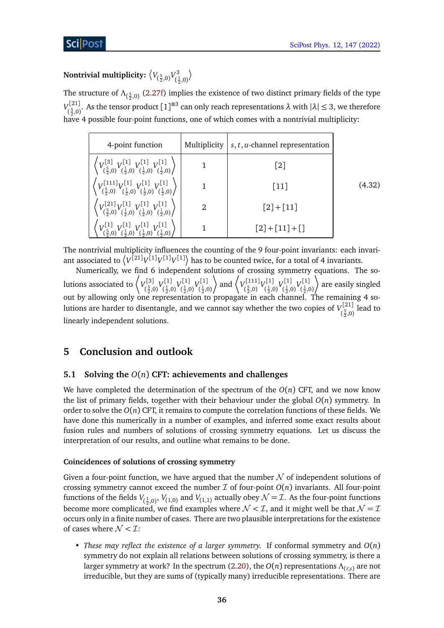#### Nontrivial multiplicity:  $\left\langle V_{(\frac{5}{2},0)} V_{(\frac{1}{r})}^3 \right\rangle$  $(\frac{1}{2}, 0)$  $\rangle$

The structure of *Λ*<sub>( $\frac{5}{2}$ ,0)</sub> [\(2.27f\)](#page-7-1) implies the existence of two distinct primary fields of the type  $V_{(5,0)}^{[21]}$  $\sigma$ <sup>[21]</sup><sub>2</sub>. As the tensor product [1]<sup>⊗3</sup> can only reach representations *λ* with  $|\lambda|$  ≤ 3, we therefore have 4 possible four-point functions, one of which comes with a nontrivial multiplicity:

| 4-point function                                                                                                                                                                                                           | Multiplicity           | $\vert s,t,u$ -channel representation |        |
|----------------------------------------------------------------------------------------------------------------------------------------------------------------------------------------------------------------------------|------------------------|---------------------------------------|--------|
| $\left\langle V^{[3]}_{(\frac{5}{2},0)} V^{[1]}_{(\frac{1}{2},0)} V^{[1]}_{(\frac{1}{2},0)} V^{[1]}_{(\frac{1}{2},0)} \right\rangle$                                                                                       |                        | $\lceil 2 \rceil$                     |        |
| $\left\langle V^{\llbracket 111 \rrbracket}_{(\frac{5}{2}, 0)} V^{\llbracket 1 \rrbracket}_{(\frac{1}{2}, 0)} V^{\llbracket 1 \rrbracket}_{(\frac{1}{2}, 0)} V^{\llbracket 1 \rrbracket}_{(\frac{1}{2}, 0)} \right\rangle$ |                        | $\lceil 11 \rceil$                    | (4.32) |
| $\left\langle V^{[21]}_{(\frac{5}{2},0)} V^{[1]}_{(\frac{1}{2},0)} V^{[1]}_{(\frac{1}{2},0)} V^{[1]}_{(\frac{1}{2},0)} \right\rangle$                                                                                      | $\mathfrak{D}_{\cdot}$ | $[2]+[11]$                            |        |
| $\left\langle V^{[1]}_{(\frac{5}{2},0)} V^{[1]}_{(\frac{1}{2},0)} V^{[1]}_{(\frac{1}{2},0)} V^{[1]}_{(\frac{1}{2},0)} \right\rangle$                                                                                       |                        | $[2]+[11]+[]$                         |        |

The nontrivial multiplicity influences the counting of the 9 four-point invariants: each invariant associated to  $\left\langle V^{[21]}V^{[1]}V^{[1]}V^{[1]}\right\rangle$  has to be counted twice, for a total of 4 invariants.

Numerically, we find 6 independent solutions of crossing symmetry equations. The solutions associated to  $\left\langle V_{cs}^{[3]} \right\rangle$ ,[3]  $V^{[1]}_{(\frac{5}{2},0)}$ <br>( $\frac{5}{2}$ ,0)  $(\frac{1}{2},0)$ ,[1]  $V^{[1]}_{(\frac{1}{2},0)}$ <br>( $\frac{1}{2}$ ,0) ,[1]  $V^{[1]}_{(\frac{1}{2},0)}$ <br>( $\frac{1}{2}$ ,0)  $(\frac{1}{2}, 0)$  $\bigg\}$  and  $\bigg\langle V_{(5,0)}^{[111]} \bigg\rangle$ ,[111]<sub>V</sub>[1]<br>( $\frac{5}{2}$ ,0)<sup>( $\frac{1}{2}$ ,0</sup> <sub>7</sub>[1]  $V^{[1]}_{(\frac{1}{2},0)}$ <br>( $\frac{1}{2}$ ,0 ,[1]  $V^{[1]}_{(\frac{1}{2},0)}$ <br>( $\frac{1}{2}$ ,0)  $(\frac{1}{2},0)$ · are easily singled out by allowing only one representation to propagate in each channel. The remaining 4 solutions are harder to disentangle, and we cannot say whether the two copies of  $V_{\epsilon^5 \text{ s}}^{[21]}$  $\binom{5}{2,0}$  lead to linearly independent solutions.

# <span id="page-35-0"></span>**5 Conclusion and outlook**

## <span id="page-35-1"></span>**5.1 Solving the** *O*(*n*) **CFT: achievements and challenges**

We have completed the determination of the spectrum of the  $O(n)$  CFT, and we now know the list of primary fields, together with their behaviour under the global *O*(*n*) symmetry. In order to solve the  $O(n)$  CFT, it remains to compute the correlation functions of these fields. We have done this numerically in a number of examples, and inferred some exact results about fusion rules and numbers of solutions of crossing symmetry equations. Let us discuss the interpretation of our results, and outline what remains to be done.

## **Coincidences of solutions of crossing symmetry**

Given a four-point function, we have argued that the number  $\mathcal N$  of independent solutions of crossing symmetry cannot exceed the number  $\mathcal I$  of four-point  $O(n)$  invariants. All four-point functions of the fields  $V_{(\frac{1}{2},0)},V_{(1,0)}$  and  $V_{(1,1)}$  actually obey  ${\cal N}$  =  ${\cal I}.$  As the four-point functions become more complicated, we find examples where  $\mathcal{N} < \mathcal{I}$ , and it might well be that  $\mathcal{N} = \mathcal{I}$ occurs only in a finite number of cases. There are two plausible interpretations for the existence of cases where  $\mathcal{N} < \mathcal{I}$ :

• *These may reflect the existence of a larger symmetry.* If conformal symmetry and *O*(*n*) symmetry do not explain all relations between solutions of crossing symmetry, is there a larger symmetry at work? In the spectrum [\(2.20\)](#page-10-0), the *O*(*n*) representations *Λ*(*r*,*s*) are not irreducible, but they are sums of (typically many) irreducible representations. There are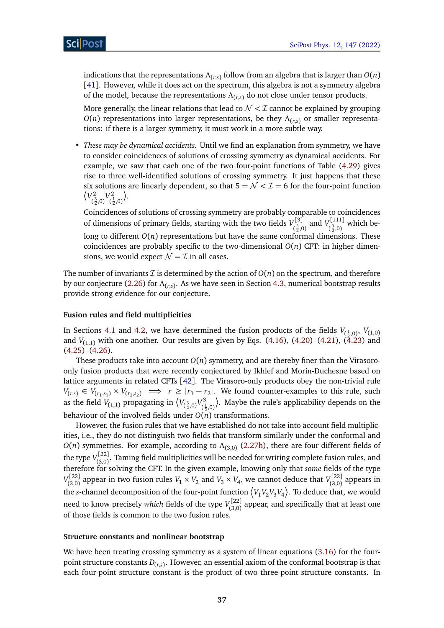indications that the representations  $\Lambda_{(r,s)}$  follow from an algebra that is larger than  $O(n)$ [[41](#page-44-0)]. However, while it does act on the spectrum, this algebra is not a symmetry algebra of the model, because the representations *Λ*(*r*,*s*) do not close under tensor products.

More generally, the linear relations that lead to  $N < I$  cannot be explained by grouping *O*(*n*) representations into larger representations, be they  $Λ$ <sub>(*r,s*)</sub> or smaller representations: if there is a larger symmetry, it must work in a more subtle way.

• *These may be dynamical accidents.* Until we find an explanation from symmetry, we have to consider coincidences of solutions of crossing symmetry as dynamical accidents. For example, we saw that each one of the two four-point functions of Table [\(4.29\)](#page-33-0) gives rise to three well-identified solutions of crossing symmetry. It just happens that these six solutions are linearly dependent, so that  $5 = \mathcal{N} < \mathcal{I} = 6$  for the four-point function  $\sqrt{V_c^2}$  $V^2_{(\frac{3}{2},0)}V^2_{(\frac{1}{2})}$  $(\frac{1}{2}, 0)$ .

Coincidences of solutions of crossing symmetry are probably comparable to coincidences of dimensions of primary fields, starting with the two fields  $V_{3}^{[3]}$  $V^{[3]}_{(\frac{3}{2},0)}$  and  $V^{[111]}_{(\frac{3}{2},0)}$  $\binom{3}{2,0}$  which belong to different  $O(n)$  representations but have the same conformal dimensions. These coincidences are probably specific to the two-dimensional  $O(n)$  CFT: in higher dimensions, we would expect  $\mathcal{N} = \mathcal{I}$  in all cases.

The number of invariants  $\mathcal I$  is determined by the action of  $O(n)$  on the spectrum, and therefore by our conjecture [\(2.26\)](#page-11-0) for *Λ*(*r*,*s*) . As we have seen in Section [4.3,](#page-31-0) numerical bootstrap results provide strong evidence for our conjecture.

## **Fusion rules and field multiplicities**

In Sections [4.1](#page-25-0) and [4.2,](#page-27-0) we have determined the fusion products of the fields  $V_{(\frac{1}{2},0)}, V_{(1,0)}$ and  $V_{(1,1)}$  with one another. Our results are given by Eqs. [\(4.16\)](#page-27-1), [\(4.20\)](#page-29-2)–[\(4.21\)](#page-29-3), [\(4.23\)](#page-30-0) and  $(4.25)$ – $(4.26)$ .

These products take into account  $O(n)$  symmetry, and are thereby finer than the Virasoroonly fusion products that were recently conjectured by Ikhlef and Morin-Duchesne based on lattice arguments in related CFTs [[42](#page-44-1)]. The Virasoro-only products obey the non-trivial rule  $V_{(r,s)} \in V_{(r_1,s_1)} \times V_{(r_2,s_2)} \implies r \ge |r_1 - r_2|$ . We found counter-examples to this rule, such as the field  $V_{(1,1)}$  propagating in  $\big\langle V_{(\frac{5}{2},0)} V_{(\frac{3}{2})}^3 \big\rangle$  $(\frac{1}{2}, 0)$  . Maybe the rule's applicability depends on the behaviour of the involved fields under  $O(n)$  transformations.

However, the fusion rules that we have established do not take into account field multiplicities, i.e., they do not distinguish two fields that transform similarly under the conformal and *O*(*n*) symmetries. For example, according to *Λ*(3,0) [\(2.27h\)](#page-8-1), there are four different fields of the type  $V_{(3,0)}^{[22]}$  $\binom{[2,2]}{(3,0)}$ . Taming field multiplicities will be needed for writing complete fusion rules, and therefore for solving the CFT. In the given example, knowing only that *some* fields of the type *V* [22]  $V_{(3,0)}^{[22]}$  appear in two fusion rules  $V_1 \times V_2$  and  $V_3 \times V_4$ , we cannot deduce that  $V_{(3,0)}^{[22]}$  $\binom{7^{122}}{3,0}$  appears in the *s*-channel decomposition of the four-point function  $\left\langle V_1 V_2 V_3 V_4 \right\rangle$ . To deduce that, we would need to know precisely *which* fields of the type *V* [22]  $\binom{[1,2]}{(3,0)}$  appear, and specifically that at least one of those fields is common to the two fusion rules.

## **Structure constants and nonlinear bootstrap**

We have been treating crossing symmetry as a system of linear equations [\(3.16\)](#page-16-0) for the fourpoint structure constants *D*(*r*,*s*) . However, an essential axiom of the conformal bootstrap is that each four-point structure constant is the product of two three-point structure constants. In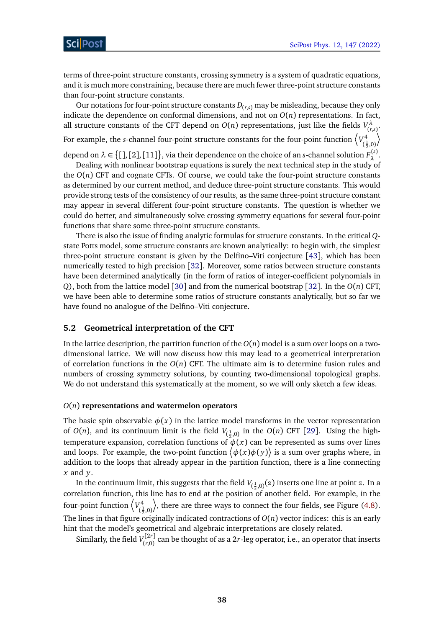terms of three-point structure constants, crossing symmetry is a system of quadratic equations, and it is much more constraining, because there are much fewer three-point structure constants than four-point structure constants.

Our notations for four-point structure constants  $D_{(r,s)}$  may be misleading, because they only indicate the dependence on conformal dimensions, and not on *O*(*n*) representations. In fact, all structure constants of the CFT depend on  $O(n)$  representations, just like the fields  $V_{(n)}^{\lambda}$ (*r*,*s*) .

For example, the *s*-channel four-point structure constants for the four-point function  $\left\langle V_{i}^{4}\right\rangle$  $(\frac{1}{2}, 0)$  $\setminus$ 

depend on  $\lambda \in \big\{ [$   $],$   $[2]$   $],$   $[11]$   $\big\}$  , via their dependence on the choice of an *s*-channel solution  $F^{(s)}_{\lambda}$ *λ* .

Dealing with nonlinear bootstrap equations is surely the next technical step in the study of the  $O(n)$  CFT and cognate CFTs. Of course, we could take the four-point structure constants as determined by our current method, and deduce three-point structure constants. This would provide strong tests of the consistency of our results, as the same three-point structure constant may appear in several different four-point structure constants. The question is whether we could do better, and simultaneously solve crossing symmetry equations for several four-point functions that share some three-point structure constants.

There is also the issue of finding analytic formulas for structure constants. In the critical *Q*state Potts model, some structure constants are known analytically: to begin with, the simplest three-point structure constant is given by the Delfino–Viti conjecture [[43](#page-44-2)], which has been numerically tested to high precision [[32](#page-43-3)]. Moreover, some ratios between structure constants have been determined analytically (in the form of ratios of integer-coefficient polynomials in *Q*), both from the lattice model [[30](#page-43-13)] and from the numerical bootstrap [[32](#page-43-3)]. In the *O*(*n*) CFT, we have been able to determine some ratios of structure constants analytically, but so far we have found no analogue of the Delfino–Viti conjecture.

## <span id="page-37-0"></span>**5.2 Geometrical interpretation of the CFT**

In the lattice description, the partition function of the  $O(n)$  model is a sum over loops on a twodimensional lattice. We will now discuss how this may lead to a geometrical interpretation of correlation functions in the *O*(*n*) CFT. The ultimate aim is to determine fusion rules and numbers of crossing symmetry solutions, by counting two-dimensional topological graphs. We do not understand this systematically at the moment, so we will only sketch a few ideas.

#### *O*(*n*) **representations and watermelon operators**

The basic spin observable  $\phi(x)$  in the lattice model transforms in the vector representation of  $O(n)$ , and its continuum limit is the field  $V_{(\frac{1}{2},0)}$  in the  $O(n)$  CFT [[29](#page-43-14)]. Using the hightemperature expansion, correlation functions of  $\phi(x)$  can be represented as sums over lines and loops. For example, the two-point function  $\big<\phi(x)\phi(y)\big>$  is a sum over graphs where, in addition to the loops that already appear in the partition function, there is a line connecting *x* and *y*.

In the continuum limit, this suggests that the field  $V_{(\frac{1}{2},0)}(z)$  inserts one line at point  $z$ . In a correlation function, this line has to end at the position of another field. For example, in the four-point function  $\langle V_{c_1}^4$  $(\frac{1}{2}, 0)$ ¶ , there are three ways to connect the four fields, see Figure [\(4.8\)](#page-25-3). The lines in that figure originally indicated contractions of *O*(*n*) vector indices: this is an early hint that the model's geometrical and algebraic interpretations are closely related.

Similarly, the field  $V_{(r,0)}^{[2r]}$  $\binom{n}{r,0}$  can be thought of as a 2*r*-leg operator, i.e., an operator that inserts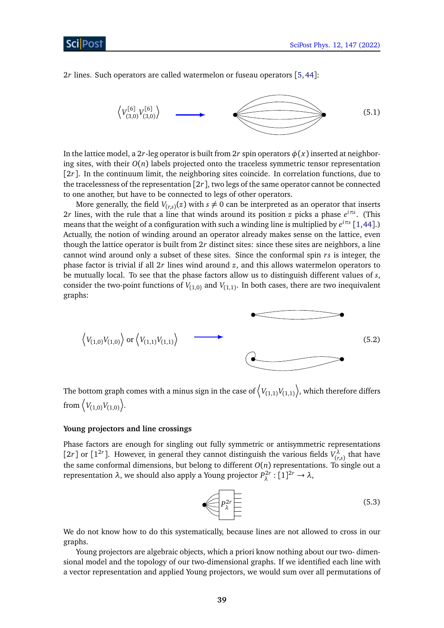Sci Post

2*r* lines. Such operators are called watermelon or fuseau operators [[5,](#page-41-4)[44](#page-44-3)]:



In the lattice model, a 2*r*-leg operator is built from 2*r* spin operators  $\phi(x)$  inserted at neighboring sites, with their  $O(n)$  labels projected onto the traceless symmetric tensor representation  $[2r]$ . In the continuum limit, the neighboring sites coincide. In correlation functions, due to the tracelessness of the representation [2*r*], two legs of the same operator cannot be connected to one another, but have to be connected to legs of other operators.

More generally, the field  $V_{(r,s)}(z)$  with  $s \neq 0$  can be interpreted as an operator that inserts 2*r* lines, with the rule that a line that winds around its position *z* picks a phase *e iπs* . (This means that the weight of a configuration with such a winding line is multiplied by *e iπs* [[1,](#page-41-0)[44](#page-44-3)].) Actually, the notion of winding around an operator already makes sense on the lattice, even though the lattice operator is built from 2*r* distinct sites: since these sites are neighbors, a line cannot wind around only a subset of these sites. Since the conformal spin *rs* is integer, the phase factor is trivial if all 2*r* lines wind around *z*, and this allows watermelon operators to be mutually local. To see that the phase factors allow us to distinguish different values of *s*, consider the two-point functions of  $V_{(1,0)}$  and  $V_{(1,1)}$ . In both cases, there are two inequivalent graphs:

$$
\left\langle V_{(1,0)}V_{(1,0)}\right\rangle \text{ or } \left\langle V_{(1,1)}V_{(1,1)}\right\rangle \tag{5.2}
$$

The bottom graph comes with a minus sign in the case of  $\left\langle V_{(1,1)} V_{(1,1)} \right\rangle$ , which therefore differs from  $\left\langle V_{(1,0)} V_{(1,0)} \right\rangle$ .

## **Young projectors and line crossings**

Phase factors are enough for singling out fully symmetric or antisymmetric representations [2*r*] or [1<sup>2*r*</sup>]. However, in general they cannot distinguish the various fields  $V_t^{\lambda}$  $\binom{r}{r,s}$  that have the same conformal dimensions, but belong to different  $O(n)$  representations. To single out a representation *λ*, we should also apply a Young projector *P* 2*r*  $\rho_\lambda^{2r}:[1]^{2r}\to\lambda,$ 

$$
\left(5.3\right)
$$

We do not know how to do this systematically, because lines are not allowed to cross in our graphs.

Young projectors are algebraic objects, which a priori know nothing about our two- dimensional model and the topology of our two-dimensional graphs. If we identified each line with a vector representation and applied Young projectors, we would sum over all permutations of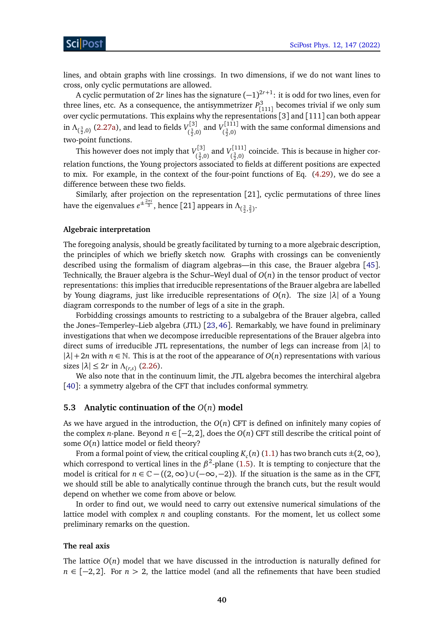lines, and obtain graphs with line crossings. In two dimensions, if we do not want lines to cross, only cyclic permutations are allowed.

A cyclic permutation of 2*r* lines has the signature (−1) 2*r*+1 : it is odd for two lines, even for three lines, etc. As a consequence, the antisymmetrizer *P* 3  $\int_{[111]}^{3}$  becomes trivial if we only sum over cyclic permutations. This explains why the representations [3] and [111] can both appear in  $\Lambda_{(\frac{3}{2},0)}$  [\(2.27a\)](#page-5-2), and lead to fields  $V_{(\frac{3}{2},0)}^{[3]}$  $\begin{array}{c} V^{[3]}_{\frac{3}{2},0} \text{ and } V^{[111]}_{\left(\frac{3}{2},0\right)} \end{array}$  $\binom{1111}{\frac{3}{2},0}$  with the same conformal dimensions and two-point functions.

This however does not imply that  $V_{\epsilon 3}^{[3]}$  $V^{[3]}_{(\frac{3}{2},0)}$  and  $V^{[111]}_{(\frac{3}{2},0)}$  $(\frac{3}{2},0)$  coincide. This is because in higher correlation functions, the Young projectors associated to fields at different positions are expected to mix. For example, in the context of the four-point functions of Eq. [\(4.29\)](#page-33-0), we do see a difference between these two fields.

Similarly, after projection on the representation [21], cyclic permutations of three lines have the eigenvalues  $e^{\pm \frac{2\pi i}{3}}$ , hence [21] appears in  $\Lambda_{(\frac{3}{2},\frac{2}{3})}$ .

### **Algebraic interpretation**

The foregoing analysis, should be greatly facilitated by turning to a more algebraic description, the principles of which we briefly sketch now. Graphs with crossings can be conveniently described using the formalism of diagram algebras—in this case, the Brauer algebra [[45](#page-44-4)]. Technically, the Brauer algebra is the Schur–Weyl dual of *O*(*n*) in the tensor product of vector representations: this implies that irreducible representations of the Brauer algebra are labelled by Young diagrams, just like irreducible representations of *O*(*n*). The size |*λ*| of a Young diagram corresponds to the number of legs of a site in the graph.

Forbidding crossings amounts to restricting to a subalgebra of the Brauer algebra, called the Jones–Temperley–Lieb algebra (JTL) [[23,](#page-42-14)[46](#page-44-5)]. Remarkably, we have found in preliminary investigations that when we decompose irreducible representations of the Brauer algebra into direct sums of irreducible JTL representations, the number of legs can increase from |*λ*| to  $|\lambda| + 2n$  with  $n \in \mathbb{N}$ . This is at the root of the appearance of  $O(n)$  representations with various sizes  $|\lambda| \leq 2r$  in  $\Lambda_{(r,s)}$  [\(2.26\)](#page-11-0).

We also note that in the continuum limit, the JTL algebra becomes the interchiral algebra [[40](#page-43-12)]: a symmetry algebra of the CFT that includes conformal symmetry.

## <span id="page-39-0"></span>**5.3 Analytic continuation of the** *O*(*n*) **model**

As we have argued in the introduction, the  $O(n)$  CFT is defined on infinitely many copies of the complex *n*-plane. Beyond  $n \in [-2, 2]$ , does the  $O(n)$  CFT still describe the critical point of some *O*(*n*) lattice model or field theory?

From a formal point of view, the critical coupling  $K_c(n)$  [\(1.1\)](#page-1-1) has two branch cuts  $\pm$ (2,  $\infty$ ), which correspond to vertical lines in the *β*<sup>2</sup>-plane [\(1.5\)](#page-3-1). It is tempting to conjecture that the model is critical for  $n \in \mathbb{C} - ((2, \infty) \cup (-\infty, -2))$ . If the situation is the same as in the CFT, we should still be able to analytically continue through the branch cuts, but the result would depend on whether we come from above or below.

In order to find out, we would need to carry out extensive numerical simulations of the lattice model with complex *n* and coupling constants. For the moment, let us collect some preliminary remarks on the question.

#### **The real axis**

The lattice  $O(n)$  model that we have discussed in the introduction is naturally defined for *n* ∈ [−2, 2]. For *n* > 2, the lattice model (and all the refinements that have been studied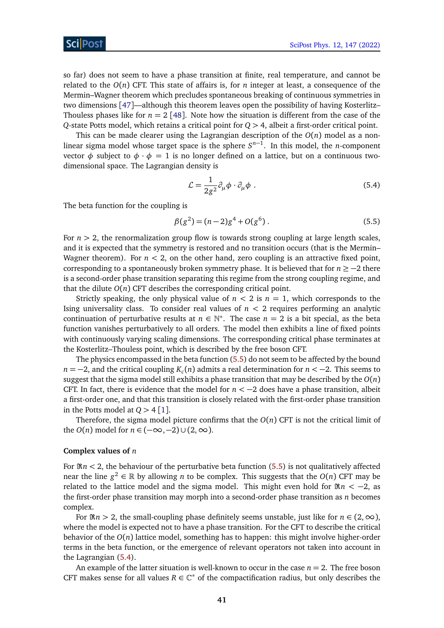so far) does not seem to have a phase transition at finite, real temperature, and cannot be related to the  $O(n)$  CFT. This state of affairs is, for *n* integer at least, a consequence of the Mermin–Wagner theorem which precludes spontaneous breaking of continuous symmetries in two dimensions [[47](#page-44-6)]—although this theorem leaves open the possibility of having Kosterlitz– Thouless phases like for  $n = 2$  [[48](#page-44-7)]. Note how the situation is different from the case of the *Q*-state Potts model, which retains a critical point for *Q >* 4, albeit a first-order critical point.

This can be made clearer using the Lagrangian description of the  $O(n)$  model as a nonlinear sigma model whose target space is the sphere *S n*−1 . In this model, the *n*-component vector  $\phi$  subject to  $\phi \cdot \phi = 1$  is no longer defined on a lattice, but on a continuous twodimensional space. The Lagrangian density is

<span id="page-40-2"></span><span id="page-40-1"></span>
$$
\mathcal{L} = \frac{1}{2g^2} \partial_\mu \phi \cdot \partial_\mu \phi \tag{5.4}
$$

The beta function for the coupling is

$$
\beta(g^2) = (n-2)g^4 + O(g^6) \,. \tag{5.5}
$$

For  $n > 2$ , the renormalization group flow is towards strong coupling at large length scales, and it is expected that the symmetry is restored and no transition occurs (that is the Mermin– Wagner theorem). For  $n < 2$ , on the other hand, zero coupling is an attractive fixed point, corresponding to a spontaneously broken symmetry phase. It is believed that for *n* ≥ −2 there is a second-order phase transition separating this regime from the strong coupling regime, and that the dilute  $O(n)$  CFT describes the corresponding critical point.

Strictly speaking, the only physical value of  $n < 2$  is  $n = 1$ , which corresponds to the Ising universality class. To consider real values of  $n < 2$  requires performing an analytic continuation of perturbative results at  $n \in \mathbb{N}^*$ . The case  $n = 2$  is a bit special, as the beta function vanishes perturbatively to all orders. The model then exhibits a line of fixed points with continuously varying scaling dimensions. The corresponding critical phase terminates at the Kosterlitz–Thouless point, which is described by the free boson CFT.

The physics encompassed in the beta function [\(5.5\)](#page-40-1) do not seem to be affected by the bound *n* = −2, and the critical coupling *K<sup>c</sup>* (*n*) admits a real determination for *n <* −2. This seems to suggest that the sigma model still exhibits a phase transition that may be described by the  $O(n)$ CFT. In fact, there is evidence that the model for  $n < -2$  does have a phase transition, albeit a first-order one, and that this transition is closely related with the first-order phase transition in the Potts model at  $Q > 4 \lceil 1 \rceil$  $Q > 4 \lceil 1 \rceil$  $Q > 4 \lceil 1 \rceil$ .

Therefore, the sigma model picture confirms that the *O*(*n*) CFT is not the critical limit of the  $O(n)$  model for  $n \in (-\infty, -2) \cup (2, \infty)$ .

#### <span id="page-40-0"></span>**Complex values of** *n*

For  $\Re n < 2$ , the behaviour of the perturbative beta function [\(5.5\)](#page-40-1) is not qualitatively affected near the line  $g^2 \in \mathbb{R}$  by allowing *n* to be complex. This suggests that the  $O(n)$  CFT may be related to the lattice model and the sigma model. This might even hold for  $\Re n < -2$ , as the first-order phase transition may morph into a second-order phase transition as *n* becomes complex.

For  $\Re n > 2$ , the small-coupling phase definitely seems unstable, just like for  $n \in (2, \infty)$ , where the model is expected not to have a phase transition. For the CFT to describe the critical behavior of the *O*(*n*) lattice model, something has to happen: this might involve higher-order terms in the beta function, or the emergence of relevant operators not taken into account in the Lagrangian [\(5.4\)](#page-40-2).

An example of the latter situation is well-known to occur in the case  $n = 2$ . The free boson CFT makes sense for all values  $R \in \mathbb{C}^*$  of the compactification radius, but only describes the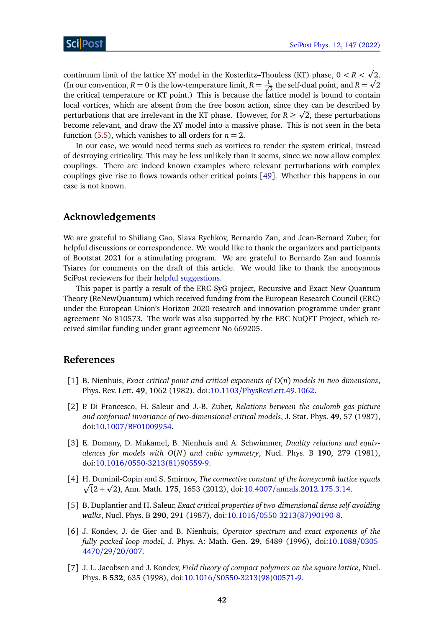continuum limit of the lattice XY model in the Kosterlitz–Thouless (KT) phase,  $0 < R < \sqrt{2}$ . p (In our convention,  $R = 0$  is the low-temperature limit,  $R = \frac{1}{\sqrt{2}}$  $\frac{1}{2}$  the self-dual point, and  $R = \sqrt{2}$ the critical temperature or KT point.) This is because the lattice model is bound to contain local vortices, which are absent from the free boson action, since the<u>y</u> can be described by perturbations that are irrelevant in the KT phase. However, for  $R \geq \sqrt{2}$ , these perturbations become relevant, and draw the XY model into a massive phase. This is not seen in the beta function [\(5.5\)](#page-40-1), which vanishes to all orders for  $n = 2$ .

In our case, we would need terms such as vortices to render the system critical, instead of destroying criticality. This may be less unlikely than it seems, since we now allow complex couplings. There are indeed known examples where relevant perturbations with complex couplings give rise to flows towards other critical points [[49](#page-44-8)]. Whether this happens in our case is not known.

## **Acknowledgements**

We are grateful to Shiliang Gao, Slava Rychkov, Bernardo Zan, and Jean-Bernard Zuber, for helpful discussions or correspondence. We would like to thank the organizers and participants of Bootstat 2021 for a stimulating program. We are grateful to Bernardo Zan and Ioannis Tsiares for comments on the draft of this article. We would like to thank the anonymous SciPost reviewers for their [helpful suggestions.](https://scipost.org/submission/2111.01106v2/)

This paper is partly a result of the ERC-SyG project, Recursive and Exact New Quantum Theory (ReNewQuantum) which received funding from the European Research Council (ERC) under the European Union's Horizon 2020 research and innovation programme under grant agreement No 810573. The work was also supported by the ERC NuQFT Project, which received similar funding under grant agreement No 669205.

## **References**

- <span id="page-41-0"></span>[1] B. Nienhuis, *Exact critical point and critical exponents of* O(*n*) *models in two dimensions*, Phys. Rev. Lett. **49**, 1062 (1982), doi:10.1103/[PhysRevLett.49.1062.](https://doi.org/10.1103/PhysRevLett.49.1062)
- <span id="page-41-1"></span>[2] P. Di Francesco, H. Saleur and J.-B. Zuber, *Relations between the coulomb gas picture and conformal invariance of two-dimensional critical models*, J. Stat. Phys. **49**, 57 (1987), doi:10.1007/[BF01009954.](https://doi.org/10.1007/BF01009954)
- <span id="page-41-2"></span>[3] E. Domany, D. Mukamel, B. Nienhuis and A. Schwimmer, *Duality relations and equivalences for models with O*(*N*) *and cubic symmetry*, Nucl. Phys. B **190**, 279 (1981), doi:10.1016/[0550-3213\(81\)90559-9.](https://doi.org/10.1016/0550-3213(81)90559-9)
- <span id="page-41-3"></span>[4] H. Duminil-Copin and S. Smirnov, *The connective constant of the honeycomb lattice equals* p  $\sqrt{(2 + \sqrt{2})}$ , Ann. Math. **175**, 1653 (2012), doi:10.4007/[annals.2012.175.3.14.](https://doi.org/10.4007/annals.2012.175.3.14)
- <span id="page-41-4"></span>[5] B. Duplantier and H. Saleur, *Exact critical properties of two-dimensional dense self-avoiding walks*, Nucl. Phys. B **290**, 291 (1987), doi:10.1016/[0550-3213\(87\)90190-8.](https://doi.org/10.1016/0550-3213(87)90190-8)
- <span id="page-41-5"></span>[6] J. Kondev, J. de Gier and B. Nienhuis, *Operator spectrum and exact exponents of the fully packed loop model*, J. Phys. A: Math. Gen. **29**, 6489 (1996), doi[:10.1088](https://doi.org/10.1088/0305-4470/29/20/007)/0305- [4470](https://doi.org/10.1088/0305-4470/29/20/007)/29/20/007.
- <span id="page-41-6"></span>[7] J. L. Jacobsen and J. Kondev, *Field theory of compact polymers on the square lattice*, Nucl. Phys. B **532**, 635 (1998), doi:10.1016/[S0550-3213\(98\)00571-9.](https://doi.org/10.1016/S0550-3213(98)00571-9)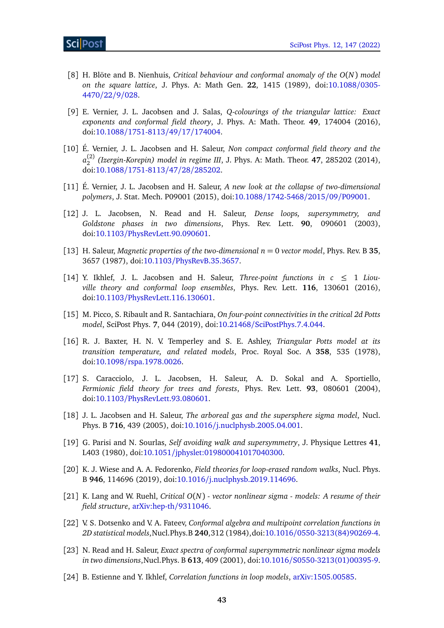- <span id="page-42-0"></span>[8] H. Blöte and B. Nienhuis, *Critical behaviour and conformal anomaly of the O*(*N*) *model on the square lattice*, J. Phys. A: Math Gen. **22**, 1415 (1989), doi[:10.1088](https://doi.org/10.1088/0305-4470/22/9/028)/0305- [4470](https://doi.org/10.1088/0305-4470/22/9/028)/22/9/028.
- <span id="page-42-1"></span>[9] E. Vernier, J. L. Jacobsen and J. Salas, *Q-colourings of the triangular lattice: Exact exponents and conformal field theory*, J. Phys. A: Math. Theor. **49**, 174004 (2016), doi:10.1088/[1751-8113](https://doi.org/10.1088/1751-8113/49/17/174004)/49/17/174004.
- [10] É. Vernier, J. L. Jacobsen and H. Saleur, *Non compact conformal field theory and the a* (2) 2 *(Izergin-Korepin) model in regime III*, J. Phys. A: Math. Theor. **47**, 285202 (2014), doi:10.1088/[1751-8113](https://doi.org/10.1088/1751-8113/47/28/285202)/47/28/285202.
- <span id="page-42-2"></span>[11] É. Vernier, J. L. Jacobsen and H. Saleur, *A new look at the collapse of two-dimensional polymers*, J. Stat. Mech. P09001 (2015), doi:10.1088/[1742-5468](https://doi.org/10.1088/1742-5468/2015/09/P09001)/2015/09/P09001.
- <span id="page-42-3"></span>[12] J. L. Jacobsen, N. Read and H. Saleur, *Dense loops, supersymmetry, and Goldstone phases in two dimensions*, Phys. Rev. Lett. **90**, 090601 (2003), doi:10.1103/[PhysRevLett.90.090601.](https://doi.org/10.1103/PhysRevLett.90.090601)
- <span id="page-42-4"></span>[13] H. Saleur, *Magnetic properties of the two-dimensional*  $n = 0$  *vector model, Phys. Rev. B* 35, 3657 (1987), doi:10.1103/[PhysRevB.35.3657.](https://doi.org/10.1103/PhysRevB.35.3657)
- <span id="page-42-5"></span>[14] Y. Ikhlef, J. L. Jacobsen and H. Saleur, *Three-point functions in*  $c \leq 1$  *Liouville theory and conformal loop ensembles*, Phys. Rev. Lett. **116**, 130601 (2016), doi:10.1103/[PhysRevLett.116.130601.](https://doi.org/10.1103/PhysRevLett.116.130601)
- <span id="page-42-6"></span>[15] M. Picco, S. Ribault and R. Santachiara, *On four-point connectivities in the critical 2d Potts model*, SciPost Phys. **7**, 044 (2019), doi:10.21468/[SciPostPhys.7.4.044.](https://doi.org/10.21468/SciPostPhys.7.4.044)
- <span id="page-42-7"></span>[16] R. J. Baxter, H. N. V. Temperley and S. E. Ashley, *Triangular Potts model at its transition temperature, and related models*, Proc. Royal Soc. A **358**, 535 (1978), doi:10.1098/[rspa.1978.0026.](https://doi.org/10.1098/rspa.1978.0026)
- <span id="page-42-8"></span>[17] S. Caracciolo, J. L. Jacobsen, H. Saleur, A. D. Sokal and A. Sportiello, *Fermionic field theory for trees and forests*, Phys. Rev. Lett. **93**, 080601 (2004), doi:10.1103/[PhysRevLett.93.080601.](https://doi.org/10.1103/PhysRevLett.93.080601)
- <span id="page-42-9"></span>[18] J. L. Jacobsen and H. Saleur, *The arboreal gas and the supersphere sigma model*, Nucl. Phys. B **716**, 439 (2005), doi:10.1016/[j.nuclphysb.2005.04.001.](https://doi.org/10.1016/j.nuclphysb.2005.04.001)
- <span id="page-42-10"></span>[19] G. Parisi and N. Sourlas, *Self avoiding walk and supersymmetry*, J. Physique Lettres **41**, L403 (1980), doi:10.1051/[jphyslet:019800041017040300.](https://doi.org/10.1051/jphyslet:019800041017040300)
- <span id="page-42-11"></span>[20] K. J. Wiese and A. A. Fedorenko, *Field theories for loop-erased random walks*, Nucl. Phys. B **946**, 114696 (2019), doi:10.1016/[j.nuclphysb.2019.114696.](https://doi.org/10.1016/j.nuclphysb.2019.114696)
- <span id="page-42-12"></span>[21] K. Lang and W. Ruehl, *Critical O*(*N*) *- vector nonlinear sigma - models: A resume of their field structure*, [arXiv:hep-th](https://arxiv.org/abs/hep-th/9311046)/9311046.
- <span id="page-42-13"></span>[22] V. S. Dotsenko and V. A. Fateev, *Conformal algebra and multipoint correlation functions in 2D statistical models*,Nucl.Phys.B **240**,312 (1984),doi:10.1016/[0550-3213\(84\)90269-4.](https://doi.org/10.1016/0550-3213(84)90269-4)
- <span id="page-42-14"></span>[23] N. Read and H. Saleur, *Exact spectra of conformal supersymmetric nonlinear sigma models in two dimensions*,Nucl.Phys. B **613**, 409 (2001), doi:10.1016/[S0550-3213\(01\)00395-9.](https://doi.org/10.1016/S0550-3213(01)00395-9)
- <span id="page-42-15"></span>[24] B. Estienne and Y. Ikhlef, *Correlation functions in loop models*, [arXiv:1505.00585.](https://arxiv.org/abs/1505.00585)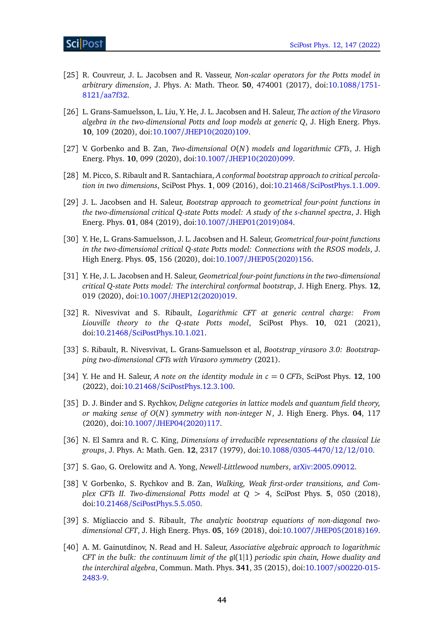- [25] R. Couvreur, J. L. Jacobsen and R. Vasseur, *Non-scalar operators for the Potts model in arbitrary dimension*, J. Phys. A: Math. Theor. **50**, 474001 (2017), doi[:10.1088](https://doi.org/10.1088/1751-8121/aa7f32)/1751- 8121/[aa7f32.](https://doi.org/10.1088/1751-8121/aa7f32)
- <span id="page-43-0"></span>[26] L. Grans-Samuelsson, L. Liu, Y. He, J. L. Jacobsen and H. Saleur, *The action of the Virasoro algebra in the two-dimensional Potts and loop models at generic Q*, J. High Energ. Phys. **10**, 109 (2020), doi:10.1007/[JHEP10\(2020\)109.](https://doi.org/10.1007/JHEP10(2020)109)
- <span id="page-43-1"></span>[27] V. Gorbenko and B. Zan, *Two-dimensional O*(*N*) *models and logarithmic CFTs*, J. High Energ. Phys. **10**, 099 (2020), doi:10.1007/[JHEP10\(2020\)099.](https://doi.org/10.1007/JHEP10(2020)099)
- <span id="page-43-2"></span>[28] M. Picco, S. Ribault and R. Santachiara, *A conformal bootstrap approach to critical percolation in two dimensions*, SciPost Phys. **1**, 009 (2016), doi:10.21468/[SciPostPhys.1.1.009.](https://doi.org/10.21468/SciPostPhys.1.1.009)
- <span id="page-43-14"></span>[29] J. L. Jacobsen and H. Saleur, *Bootstrap approach to geometrical four-point functions in the two-dimensional critical Q-state Potts model: A study of the s-channel spectra*, J. High Energ. Phys. **01**, 084 (2019), doi:10.1007/[JHEP01\(2019\)084.](https://doi.org/10.1007/JHEP01(2019)084)
- <span id="page-43-13"></span>[30] Y. He, L. Grans-Samuelsson, J. L. Jacobsen and H. Saleur, *Geometrical four-point functions in the two-dimensional critical Q-state Potts model: Connections with the RSOS models*, J. High Energ. Phys. **05**, 156 (2020), doi:10.1007/[JHEP05\(2020\)156.](https://doi.org/10.1007/JHEP05(2020)156)
- <span id="page-43-11"></span>[31] Y. He, J. L. Jacobsen and H. Saleur, *Geometrical four-point functions in the two-dimensional critical Q-state Potts model: The interchiral conformal bootstrap*, J. High Energ. Phys. **12**, 019 (2020), doi:10.1007/[JHEP12\(2020\)019.](https://doi.org/10.1007/JHEP12(2020)019)
- <span id="page-43-3"></span>[32] R. Nivesvivat and S. Ribault, *Logarithmic CFT at generic central charge: From Liouville theory to the Q-state Potts model*, SciPost Phys. **10**, 021 (2021), doi:10.21468/[SciPostPhys.10.1.021.](https://doi.org/10.21468/SciPostPhys.10.1.021)
- <span id="page-43-4"></span>[33] S. Ribault, R. Nivesvivat, L. Grans-Samuelsson et al, *Bootstrap\_virasoro 3.0: Bootstrapping two-dimensional CFTs with Virasoro symmetry* (2021).
- <span id="page-43-5"></span>[34] Y. He and H. Saleur, *A note on the identity module in*  $c = 0$  *CFTs*, SciPost Phys. **12**, 100 (2022), doi:10.21468/[SciPostPhys.12.3.100.](https://doi.org/10.21468/SciPostPhys.12.3.100)
- <span id="page-43-6"></span>[35] D. J. Binder and S. Rychkov, *Deligne categories in lattice models and quantum field theory, or making sense of O*(*N*) *symmetry with non-integer N*, J. High Energ. Phys. **04**, 117 (2020), doi:10.1007/[JHEP04\(2020\)117.](https://doi.org/10.1007/JHEP04(2020)117)
- <span id="page-43-7"></span>[36] N. El Samra and R. C. King, *Dimensions of irreducible representations of the classical Lie groups*, J. Phys. A: Math. Gen. **12**, 2317 (1979), doi:10.1088/[0305-4470](https://doi.org/10.1088/0305-4470/12/12/010)/12/12/010.
- <span id="page-43-8"></span>[37] S. Gao, G. Orelowitz and A. Yong, *Newell-Littlewood numbers*, [arXiv:2005.09012.](https://arxiv.org/abs/2005.09012)
- <span id="page-43-9"></span>[38] V. Gorbenko, S. Rychkov and B. Zan, *Walking, Weak first-order transitions, and Complex CFTs II. Two-dimensional Potts model at Q >* 4, SciPost Phys. **5**, 050 (2018), doi:10.21468/[SciPostPhys.5.5.050.](https://doi.org/10.21468/SciPostPhys.5.5.050)
- <span id="page-43-10"></span>[39] S. Migliaccio and S. Ribault, *The analytic bootstrap equations of non-diagonal twodimensional CFT*, J. High Energ. Phys. **05**, 169 (2018), doi:10.1007/[JHEP05\(2018\)169.](https://doi.org/10.1007/JHEP05(2018)169)
- <span id="page-43-12"></span>[40] A. M. Gainutdinov, N. Read and H. Saleur, *Associative algebraic approach to logarithmic CFT in the bulk: the continuum limit of the* gl(1|1) *periodic spin chain, Howe duality and the interchiral algebra*, Commun. Math. Phys. **341**, 35 (2015), doi:10.1007/[s00220-015-](https://doi.org/10.1007/s00220-015-2483-9) [2483-9.](https://doi.org/10.1007/s00220-015-2483-9)